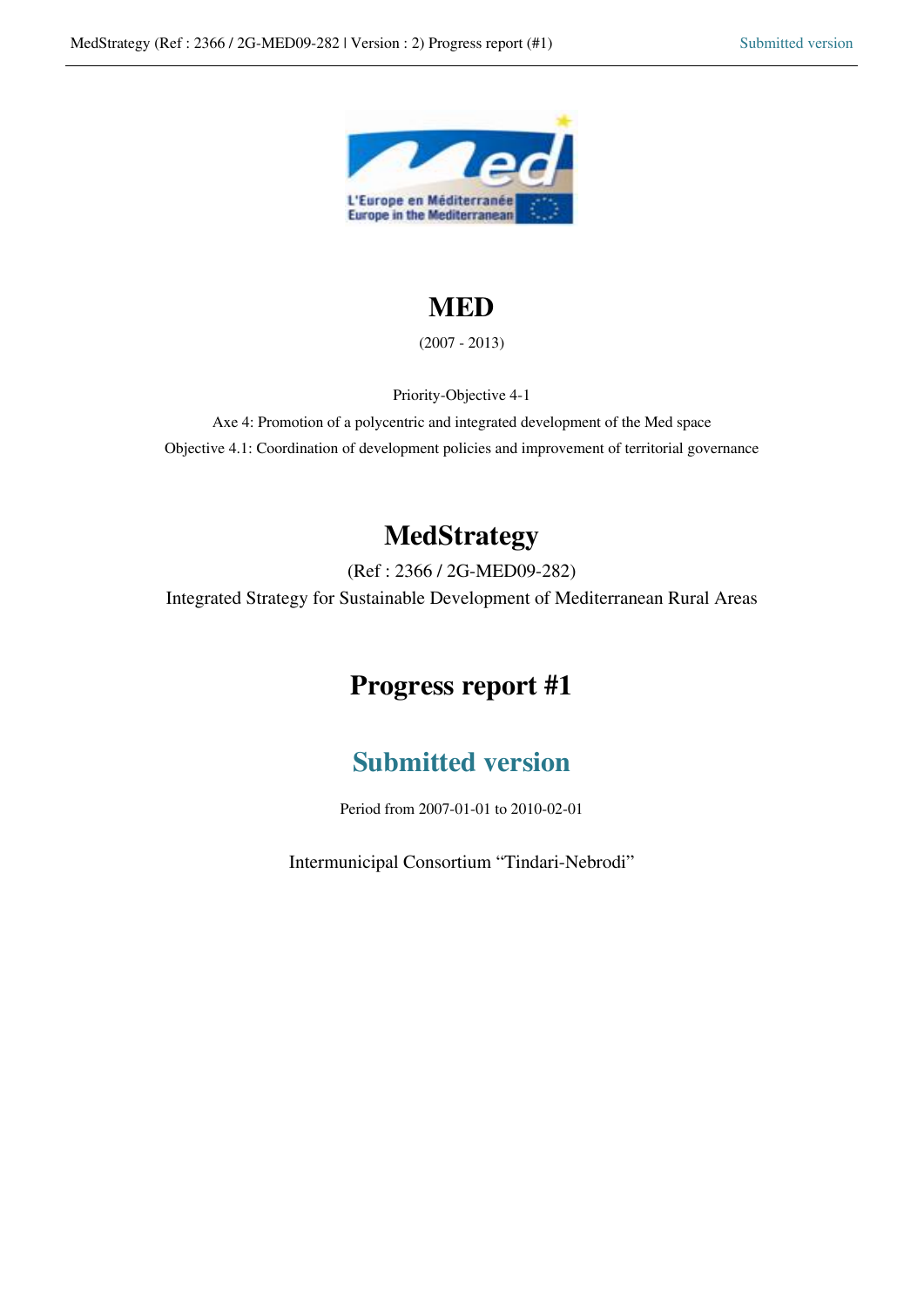

# **MED**

(2007 - 2013)

Priority-Objective 4-1

Axe 4: Promotion of a polycentric and integrated development of the Med space Objective 4.1: Coordination of development policies and improvement of territorial governance

# **MedStrategy**

(Ref : 2366 / 2G-MED09-282) Integrated Strategy for Sustainable Development of Mediterranean Rural Areas

# **Progress report #1**

# **Submitted version**

Period from 2007-01-01 to 2010-02-01

Intermunicipal Consortium "Tindari-Nebrodi"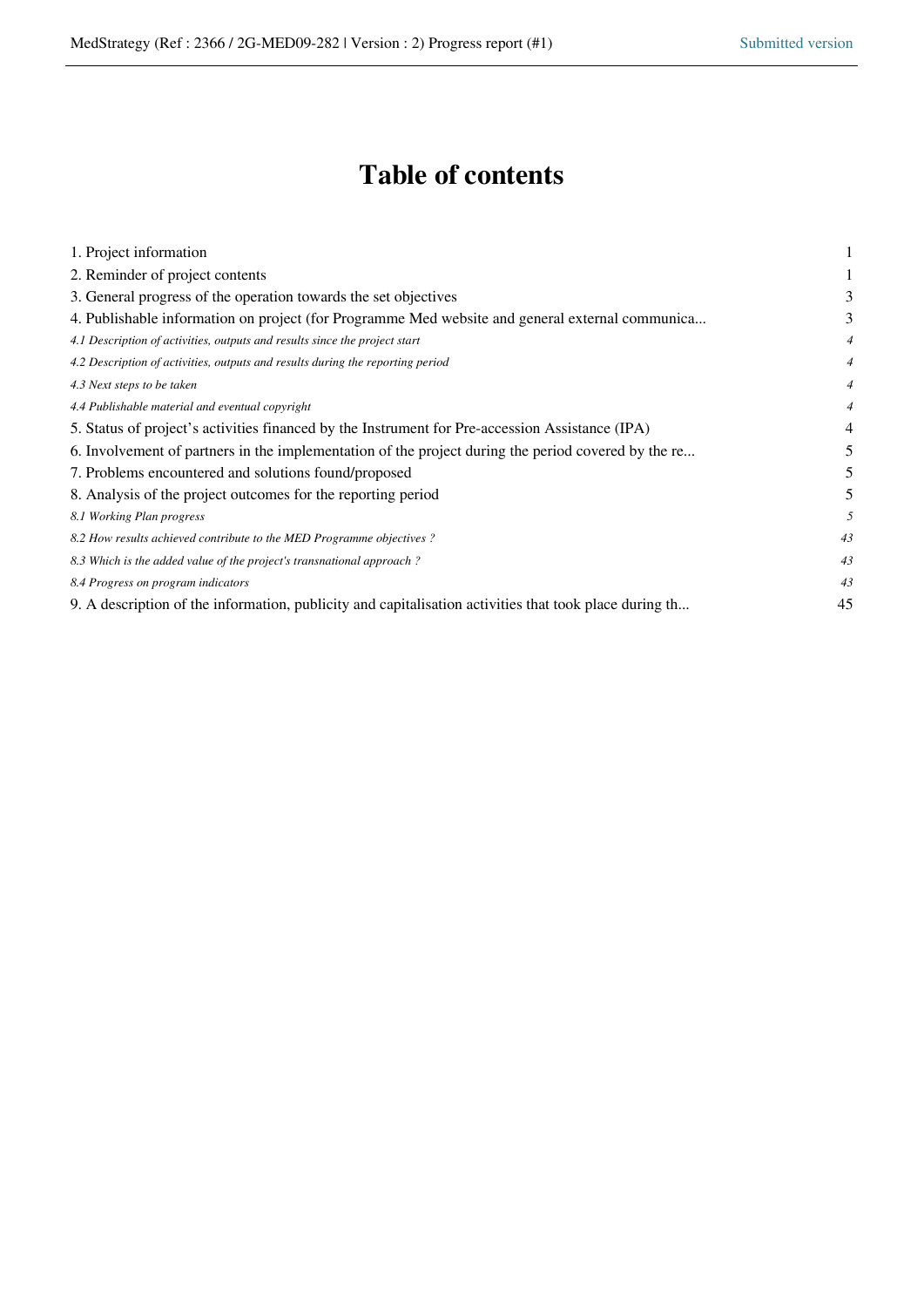# **Table of contents**

| 4 <sup>3</sup>  |
|-----------------|
| $4\overline{3}$ |
| $4\overline{3}$ |
| 45              |
|                 |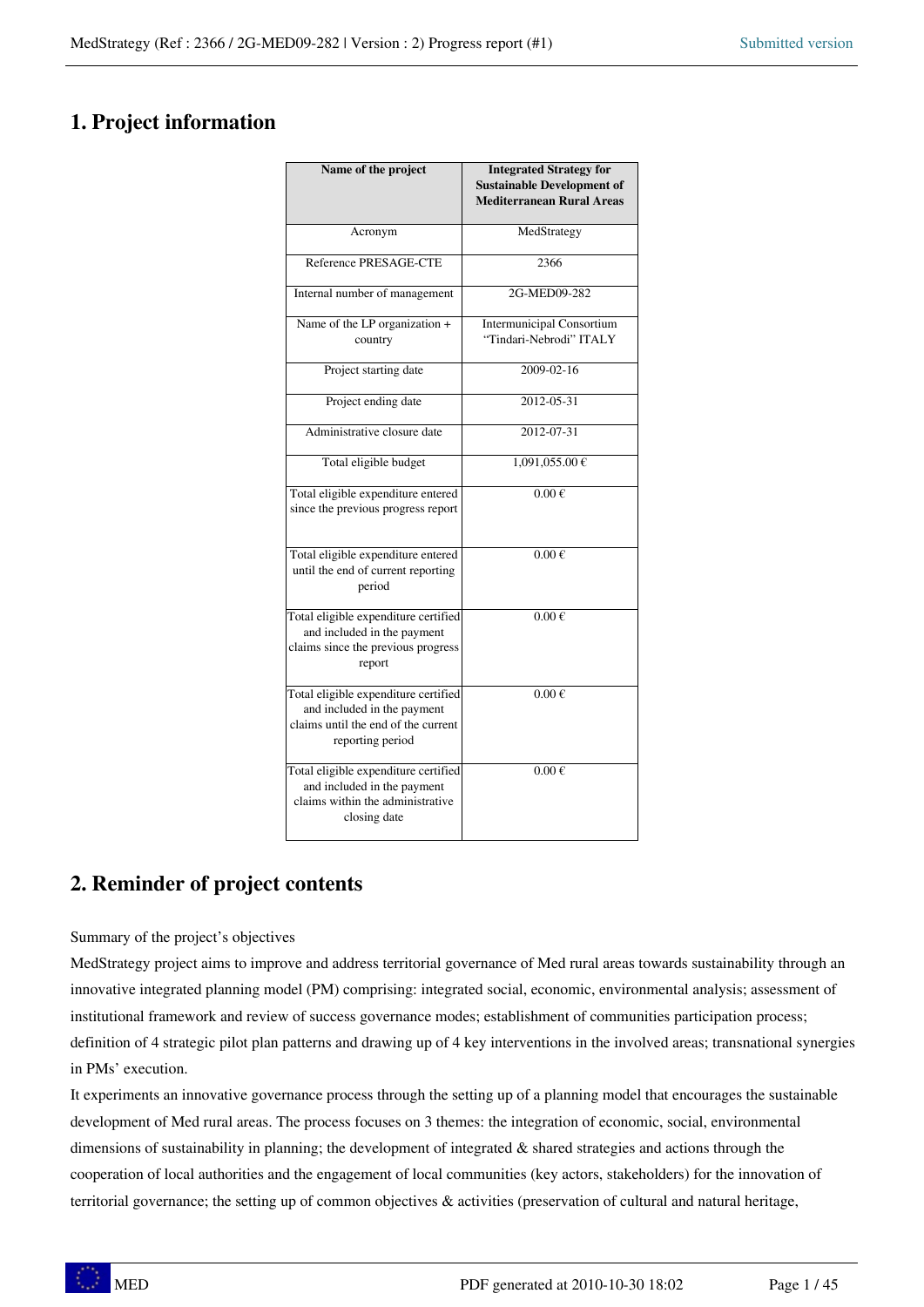## **1. Project information**

| Name of the project                                                                                                            | <b>Integrated Strategy for</b><br><b>Sustainable Development of</b> |
|--------------------------------------------------------------------------------------------------------------------------------|---------------------------------------------------------------------|
|                                                                                                                                | <b>Mediterranean Rural Areas</b>                                    |
| Acronym                                                                                                                        | MedStrategy                                                         |
| Reference PRESAGE-CTE                                                                                                          | 2366                                                                |
| Internal number of management                                                                                                  | 2G-MED09-282                                                        |
| Name of the LP organization +<br>country                                                                                       | Intermunicipal Consortium<br>"Tindari-Nebrodi" ITALY                |
| Project starting date                                                                                                          | 2009-02-16                                                          |
| Project ending date                                                                                                            | $2012 - 05 - 31$                                                    |
| Administrative closure date                                                                                                    | 2012-07-31                                                          |
| Total eligible budget                                                                                                          | $1,091,055.00 \in$                                                  |
| Total eligible expenditure entered<br>since the previous progress report                                                       | 0.00€                                                               |
| Total eligible expenditure entered<br>until the end of current reporting<br>period                                             | $0.00 \in$                                                          |
| Total eligible expenditure certified<br>and included in the payment<br>claims since the previous progress<br>report            | $0.00 \in$                                                          |
| Total eligible expenditure certified<br>and included in the payment<br>claims until the end of the current<br>reporting period | $0.00 \notin$                                                       |
| Total eligible expenditure certified<br>and included in the payment<br>claims within the administrative<br>closing date        | $\overline{0.00 \text{ } \epsilon}$                                 |

## **2. Reminder of project contents**

## Summary of the project's objectives

MedStrategy project aims to improve and address territorial governance of Med rural areas towards sustainability through an innovative integrated planning model (PM) comprising: integrated social, economic, environmental analysis; assessment of institutional framework and review of success governance modes; establishment of communities participation process; definition of 4 strategic pilot plan patterns and drawing up of 4 key interventions in the involved areas; transnational synergies in PMs' execution.

It experiments an innovative governance process through the setting up of a planning model that encourages the sustainable development of Med rural areas. The process focuses on 3 themes: the integration of economic, social, environmental dimensions of sustainability in planning; the development of integrated  $\&$  shared strategies and actions through the cooperation of local authorities and the engagement of local communities (key actors, stakeholders) for the innovation of territorial governance; the setting up of common objectives & activities (preservation of cultural and natural heritage,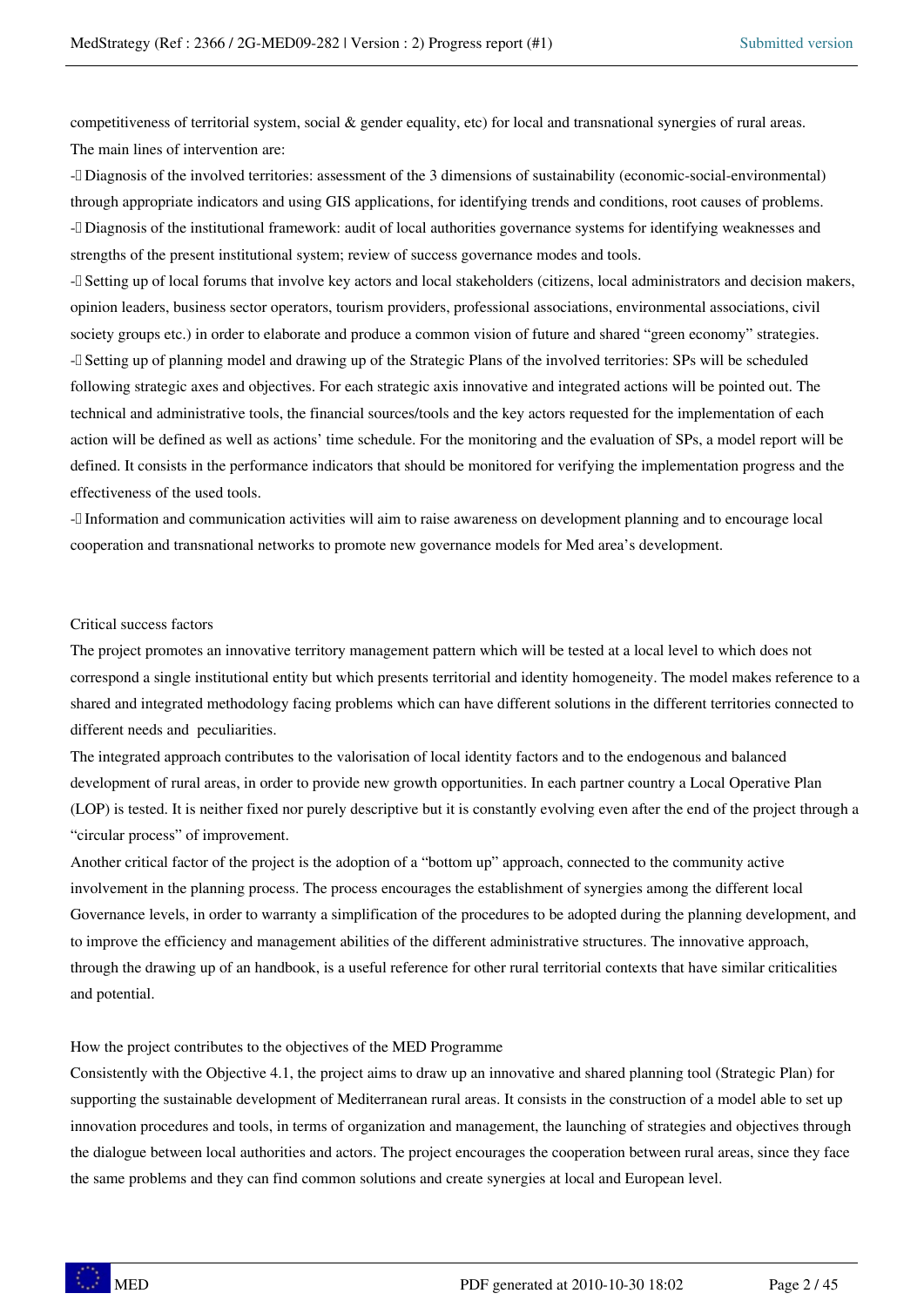competitiveness of territorial system, social & gender equality, etc) for local and transnational synergies of rural areas. The main lines of intervention are:

- $\square$  Diagnosis of the involved territories: assessment of the 3 dimensions of sustainability (economic-social-environmental) through appropriate indicators and using GIS applications, for identifying trends and conditions, root causes of problems. -*I* Diagnosis of the institutional framework: audit of local authorities governance systems for identifying weaknesses and strengths of the present institutional system; review of success governance modes and tools.

- $\Box$  Setting up of local forums that involve key actors and local stakeholders (citizens, local administrators and decision makers, opinion leaders, business sector operators, tourism providers, professional associations, environmental associations, civil society groups etc.) in order to elaborate and produce a common vision of future and shared "green economy" strategies. - $\Box$  Setting up of planning model and drawing up of the Strategic Plans of the involved territories: SPs will be scheduled following strategic axes and objectives. For each strategic axis innovative and integrated actions will be pointed out. The technical and administrative tools, the financial sources/tools and the key actors requested for the implementation of each action will be defined as well as actions' time schedule. For the monitoring and the evaluation of SPs, a model report will be defined. It consists in the performance indicators that should be monitored for verifying the implementation progress and the effectiveness of the used tools.

-**I** Information and communication activities will aim to raise awareness on development planning and to encourage local cooperation and transnational networks to promote new governance models for Med area's development.

## Critical success factors

The project promotes an innovative territory management pattern which will be tested at a local level to which does not correspond a single institutional entity but which presents territorial and identity homogeneity. The model makes reference to a shared and integrated methodology facing problems which can have different solutions in the different territories connected to different needs and peculiarities.

The integrated approach contributes to the valorisation of local identity factors and to the endogenous and balanced development of rural areas, in order to provide new growth opportunities. In each partner country a Local Operative Plan (LOP) is tested. It is neither fixed nor purely descriptive but it is constantly evolving even after the end of the project through a "circular process" of improvement.

Another critical factor of the project is the adoption of a "bottom up" approach, connected to the community active involvement in the planning process. The process encourages the establishment of synergies among the different local Governance levels, in order to warranty a simplification of the procedures to be adopted during the planning development, and to improve the efficiency and management abilities of the different administrative structures. The innovative approach, through the drawing up of an handbook, is a useful reference for other rural territorial contexts that have similar criticalities and potential.

#### How the project contributes to the objectives of the MED Programme

Consistently with the Objective 4.1, the project aims to draw up an innovative and shared planning tool (Strategic Plan) for supporting the sustainable development of Mediterranean rural areas. It consists in the construction of a model able to set up innovation procedures and tools, in terms of organization and management, the launching of strategies and objectives through the dialogue between local authorities and actors. The project encourages the cooperation between rural areas, since they face the same problems and they can find common solutions and create synergies at local and European level.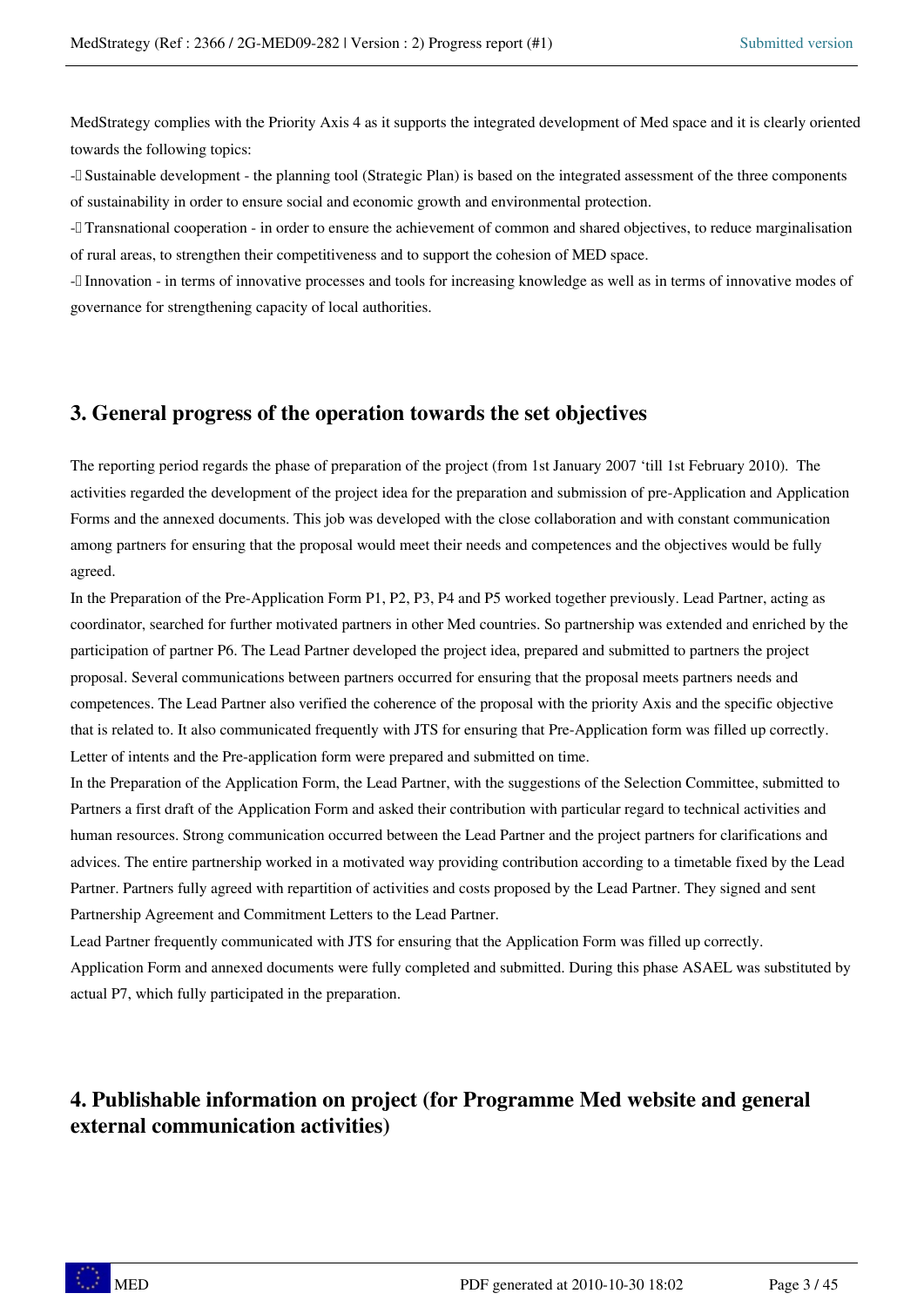MedStrategy complies with the Priority Axis 4 as it supports the integrated development of Med space and it is clearly oriented towards the following topics:

- $\Box$  Sustainable development - the planning tool (Strategic Plan) is based on the integrated assessment of the three components of sustainability in order to ensure social and economic growth and environmental protection.

- $\Box$  Transnational cooperation - in order to ensure the achievement of common and shared objectives, to reduce marginalisation of rural areas, to strengthen their competitiveness and to support the cohesion of MED space.

-**I** Innovation - in terms of innovative processes and tools for increasing knowledge as well as in terms of innovative modes of governance for strengthening capacity of local authorities.

## **3. General progress of the operation towards the set objectives**

The reporting period regards the phase of preparation of the project (from 1st January 2007 'till 1st February 2010). The activities regarded the development of the project idea for the preparation and submission of pre-Application and Application Forms and the annexed documents. This job was developed with the close collaboration and with constant communication among partners for ensuring that the proposal would meet their needs and competences and the objectives would be fully agreed.

In the Preparation of the Pre-Application Form P1, P2, P3, P4 and P5 worked together previously. Lead Partner, acting as coordinator, searched for further motivated partners in other Med countries. So partnership was extended and enriched by the participation of partner P6. The Lead Partner developed the project idea, prepared and submitted to partners the project proposal. Several communications between partners occurred for ensuring that the proposal meets partners needs and competences. The Lead Partner also verified the coherence of the proposal with the priority Axis and the specific objective that is related to. It also communicated frequently with JTS for ensuring that Pre-Application form was filled up correctly. Letter of intents and the Pre-application form were prepared and submitted on time.

In the Preparation of the Application Form, the Lead Partner, with the suggestions of the Selection Committee, submitted to Partners a first draft of the Application Form and asked their contribution with particular regard to technical activities and human resources. Strong communication occurred between the Lead Partner and the project partners for clarifications and advices. The entire partnership worked in a motivated way providing contribution according to a timetable fixed by the Lead Partner. Partners fully agreed with repartition of activities and costs proposed by the Lead Partner. They signed and sent Partnership Agreement and Commitment Letters to the Lead Partner.

Lead Partner frequently communicated with JTS for ensuring that the Application Form was filled up correctly. Application Form and annexed documents were fully completed and submitted. During this phase ASAEL was substituted by actual P7, which fully participated in the preparation.

## **4. Publishable information on project (for Programme Med website and general external communication activities)**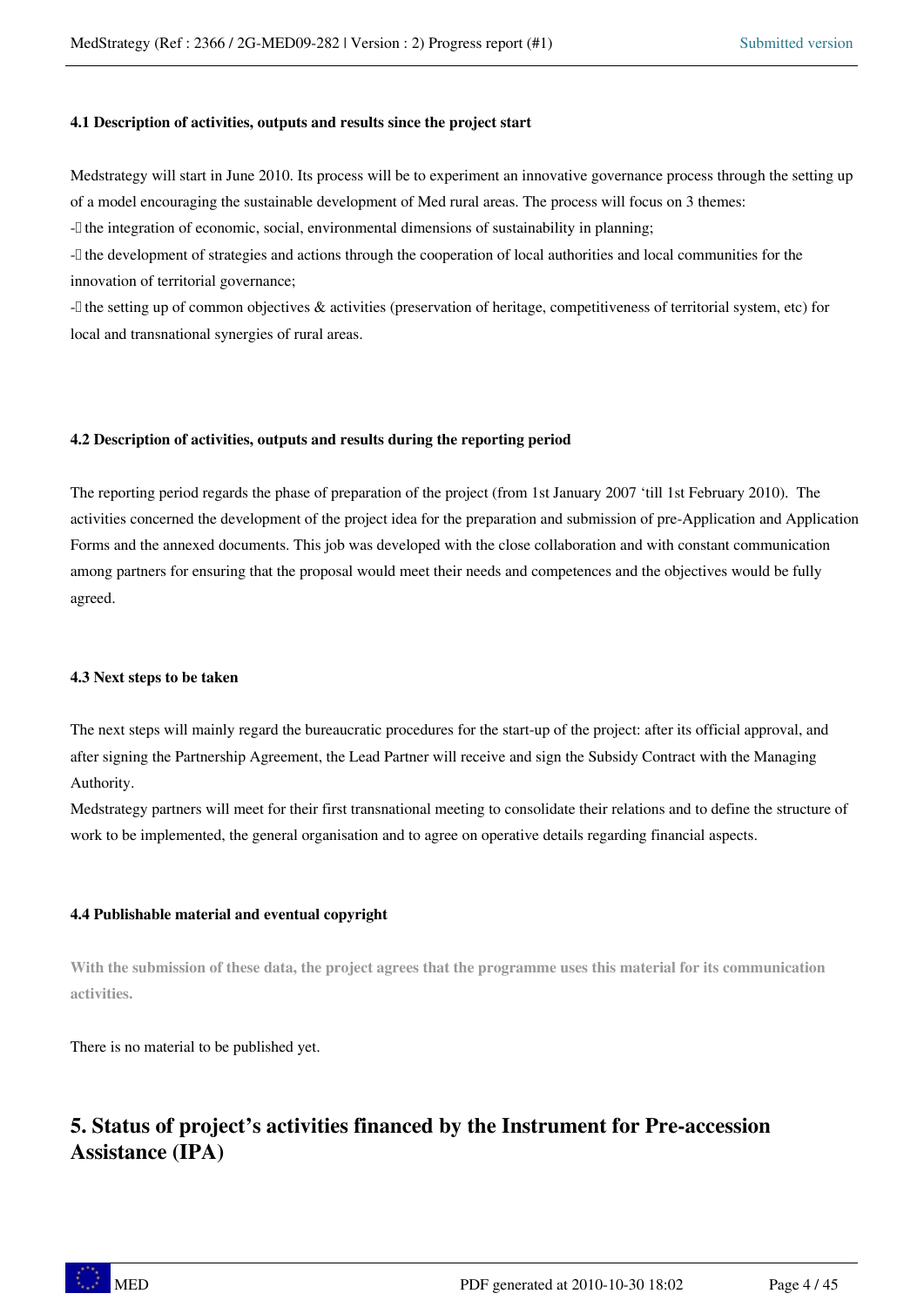#### **4.1 Description of activities, outputs and results since the project start**

Medstrategy will start in June 2010. Its process will be to experiment an innovative governance process through the setting up of a model encouraging the sustainable development of Med rural areas. The process will focus on 3 themes:

- I the integration of economic, social, environmental dimensions of sustainability in planning;

- $\Box$  the development of strategies and actions through the cooperation of local authorities and local communities for the innovation of territorial governance;

- $\Box$  the setting up of common objectives & activities (preservation of heritage, competitiveness of territorial system, etc) for local and transnational synergies of rural areas.

## **4.2 Description of activities, outputs and results during the reporting period**

The reporting period regards the phase of preparation of the project (from 1st January 2007 'till 1st February 2010). The activities concerned the development of the project idea for the preparation and submission of pre-Application and Application Forms and the annexed documents. This job was developed with the close collaboration and with constant communication among partners for ensuring that the proposal would meet their needs and competences and the objectives would be fully agreed.

## **4.3 Next steps to be taken**

The next steps will mainly regard the bureaucratic procedures for the start-up of the project: after its official approval, and after signing the Partnership Agreement, the Lead Partner will receive and sign the Subsidy Contract with the Managing Authority.

Medstrategy partners will meet for their first transnational meeting to consolidate their relations and to define the structure of work to be implemented, the general organisation and to agree on operative details regarding financial aspects.

## **4.4 Publishable material and eventual copyright**

**With the submission of these data, the project agrees that the programme uses this material for its communication activities.**

There is no material to be published yet.

## **5. Status of project's activities financed by the Instrument for Pre-accession Assistance (IPA)**

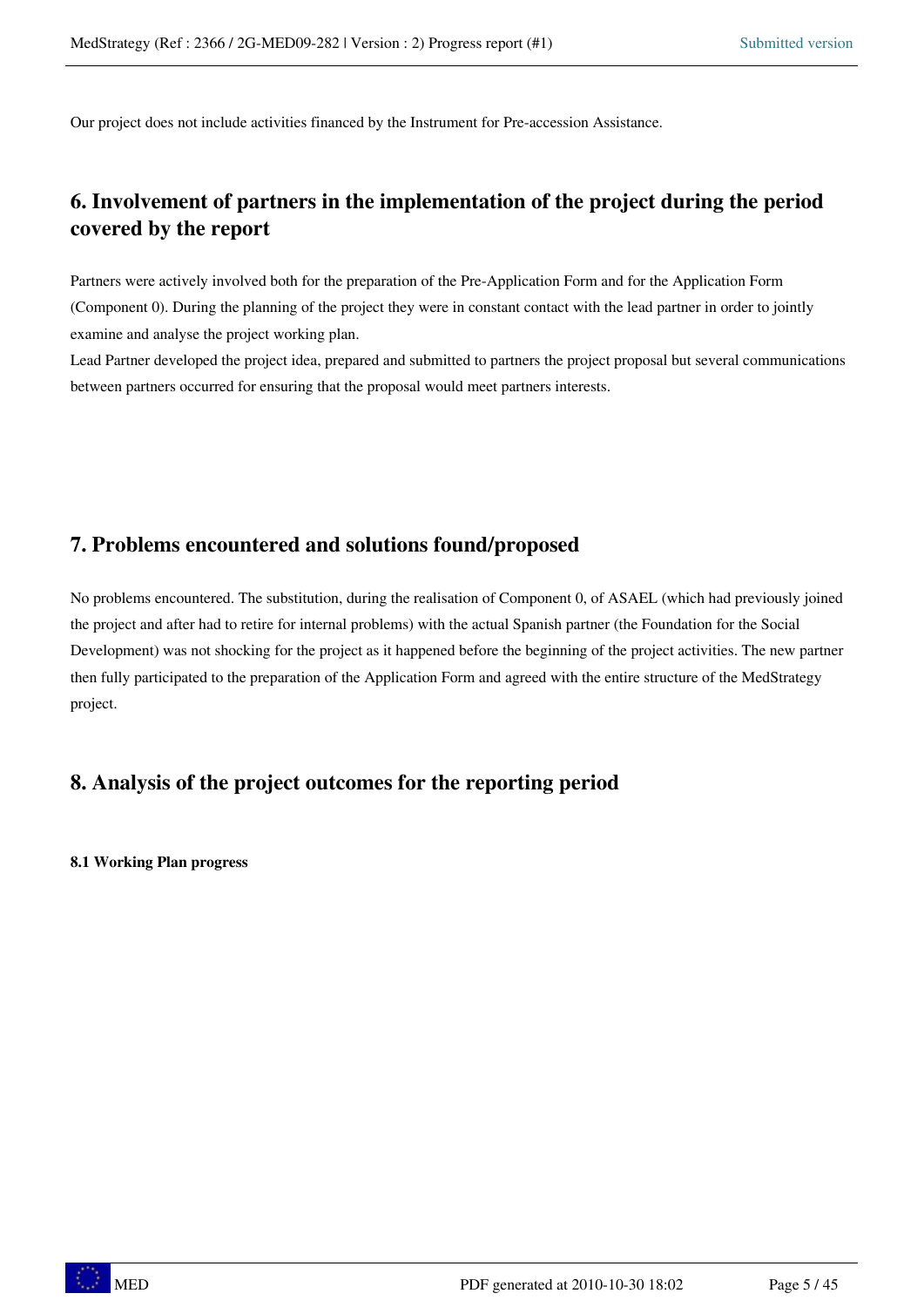Our project does not include activities financed by the Instrument for Pre-accession Assistance.

## **6. Involvement of partners in the implementation of the project during the period covered by the report**

Partners were actively involved both for the preparation of the Pre-Application Form and for the Application Form (Component 0). During the planning of the project they were in constant contact with the lead partner in order to jointly examine and analyse the project working plan.

Lead Partner developed the project idea, prepared and submitted to partners the project proposal but several communications between partners occurred for ensuring that the proposal would meet partners interests.

## **7. Problems encountered and solutions found/proposed**

No problems encountered. The substitution, during the realisation of Component 0, of ASAEL (which had previously joined the project and after had to retire for internal problems) with the actual Spanish partner (the Foundation for the Social Development) was not shocking for the project as it happened before the beginning of the project activities. The new partner then fully participated to the preparation of the Application Form and agreed with the entire structure of the MedStrategy project.

## **8. Analysis of the project outcomes for the reporting period**

**8.1 Working Plan progress**

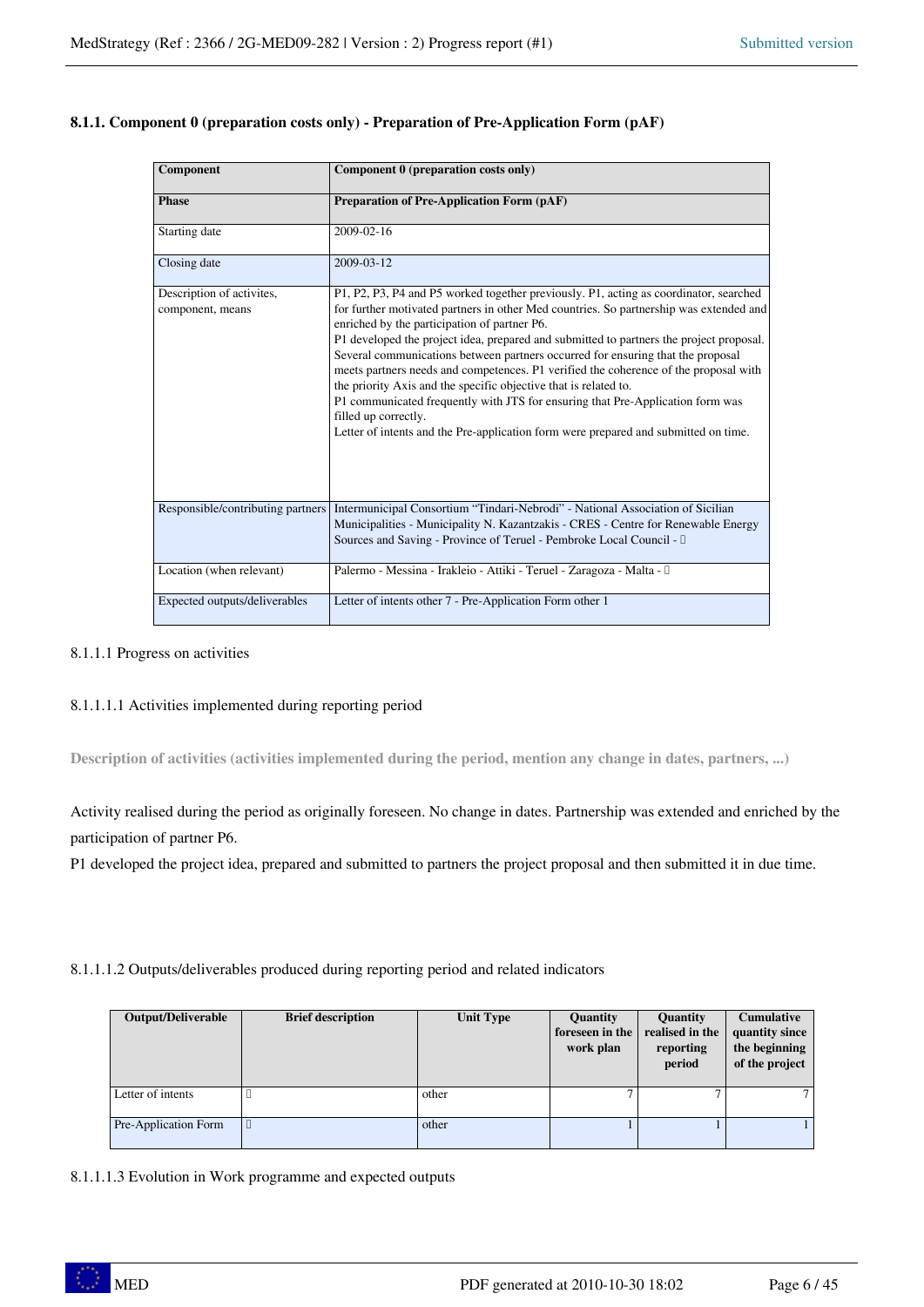| <b>Component</b>                              | Component 0 (preparation costs only)                                                                                                                                                                                                                                                                                                                                                                                                                                                                                                                                                                                                                                                                                                                                       |
|-----------------------------------------------|----------------------------------------------------------------------------------------------------------------------------------------------------------------------------------------------------------------------------------------------------------------------------------------------------------------------------------------------------------------------------------------------------------------------------------------------------------------------------------------------------------------------------------------------------------------------------------------------------------------------------------------------------------------------------------------------------------------------------------------------------------------------------|
| <b>Phase</b>                                  | <b>Preparation of Pre-Application Form (pAF)</b>                                                                                                                                                                                                                                                                                                                                                                                                                                                                                                                                                                                                                                                                                                                           |
| Starting date                                 | 2009-02-16                                                                                                                                                                                                                                                                                                                                                                                                                                                                                                                                                                                                                                                                                                                                                                 |
| Closing date                                  | 2009-03-12                                                                                                                                                                                                                                                                                                                                                                                                                                                                                                                                                                                                                                                                                                                                                                 |
| Description of activites,<br>component, means | P1, P2, P3, P4 and P5 worked together previously. P1, acting as coordinator, searched<br>for further motivated partners in other Med countries. So partnership was extended and<br>enriched by the participation of partner P6.<br>P1 developed the project idea, prepared and submitted to partners the project proposal.<br>Several communications between partners occurred for ensuring that the proposal<br>meets partners needs and competences. P1 verified the coherence of the proposal with<br>the priority Axis and the specific objective that is related to.<br>P1 communicated frequently with JTS for ensuring that Pre-Application form was<br>filled up correctly.<br>Letter of intents and the Pre-application form were prepared and submitted on time. |
| Responsible/contributing partners             | Intermunicipal Consortium "Tindari-Nebrodi" - National Association of Sicilian<br>Municipalities - Municipality N. Kazantzakis - CRES - Centre for Renewable Energy<br>Sources and Saving - Province of Teruel - Pembroke Local Council - I                                                                                                                                                                                                                                                                                                                                                                                                                                                                                                                                |
| Location (when relevant)                      | Palermo - Messina - Irakleio - Attiki - Teruel - Zaragoza - Malta - I                                                                                                                                                                                                                                                                                                                                                                                                                                                                                                                                                                                                                                                                                                      |
| Expected outputs/deliverables                 | Letter of intents other 7 - Pre-Application Form other 1                                                                                                                                                                                                                                                                                                                                                                                                                                                                                                                                                                                                                                                                                                                   |

## **8.1.1. Component 0 (preparation costs only) - Preparation of Pre-Application Form (pAF)**

## 8.1.1.1 Progress on activities

## 8.1.1.1.1 Activities implemented during reporting period

**Description of activities (activities implemented during the period, mention any change in dates, partners, ...)**

Activity realised during the period as originally foreseen. No change in dates. Partnership was extended and enriched by the participation of partner P6.

P1 developed the project idea, prepared and submitted to partners the project proposal and then submitted it in due time.

## 8.1.1.1.2 Outputs/deliverables produced during reporting period and related indicators

| <b>Output/Deliverable</b> | <b>Brief description</b> | Unit Type | <b>Quantity</b><br>foreseen in the<br>work plan | Quantity<br>realised in the<br>reporting<br>period | <b>Cumulative</b><br>quantity since<br>the beginning<br>of the project |
|---------------------------|--------------------------|-----------|-------------------------------------------------|----------------------------------------------------|------------------------------------------------------------------------|
| Letter of intents         |                          | other     |                                                 |                                                    |                                                                        |
| Pre-Application Form      |                          | other     |                                                 |                                                    |                                                                        |

8.1.1.1.3 Evolution in Work programme and expected outputs

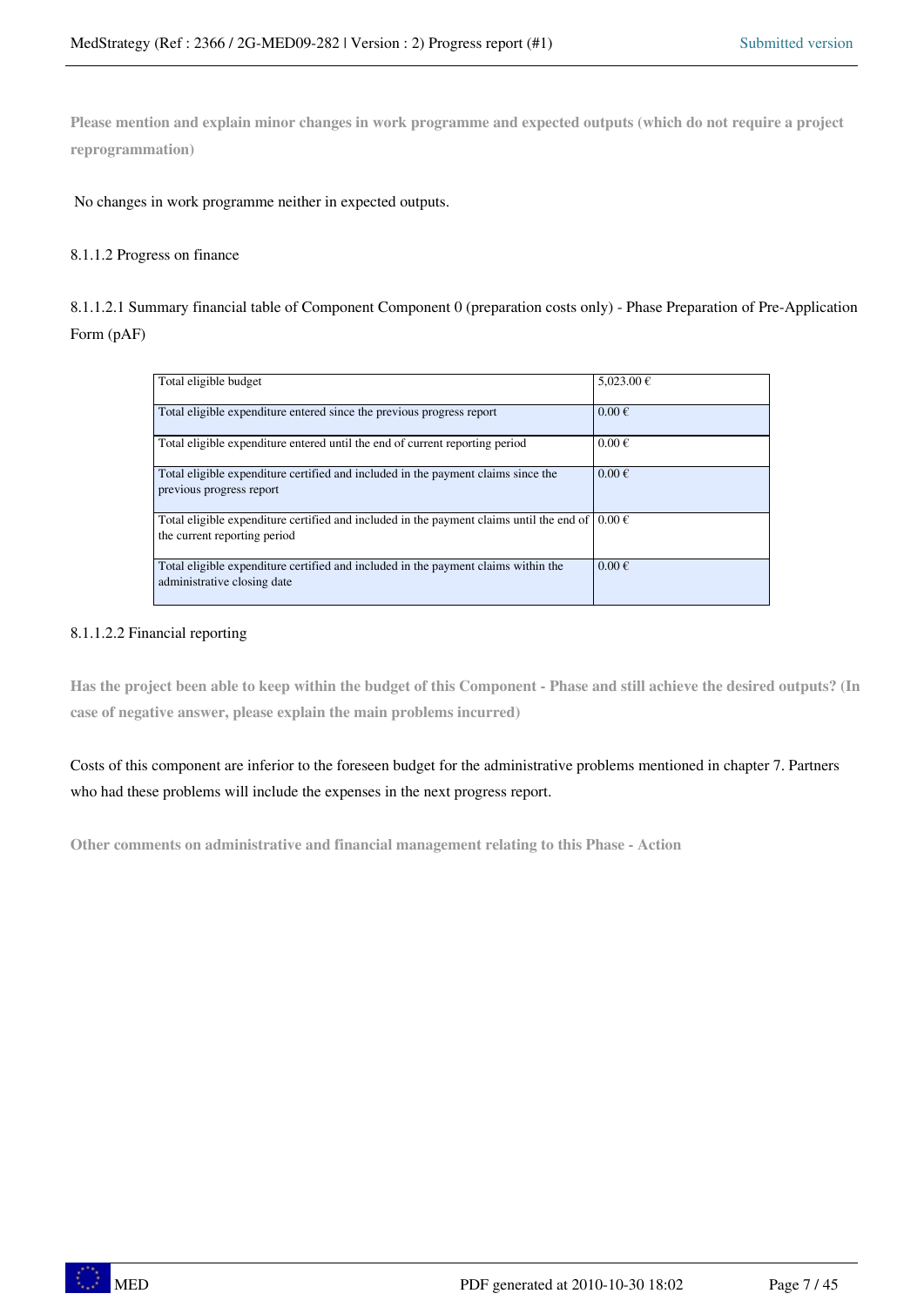**Please mention and explain minor changes in work programme and expected outputs (which do not require a project reprogrammation)**

No changes in work programme neither in expected outputs.

#### 8.1.1.2 Progress on finance

8.1.1.2.1 Summary financial table of Component Component 0 (preparation costs only) - Phase Preparation of Pre-Application Form (pAF)

| Total eligible budget                                                                                                                | 5,023,00 € |
|--------------------------------------------------------------------------------------------------------------------------------------|------------|
| Total eligible expenditure entered since the previous progress report                                                                | $0.00 \in$ |
| Total eligible expenditure entered until the end of current reporting period                                                         | $0.00 \in$ |
| Total eligible expenditure certified and included in the payment claims since the<br>previous progress report                        | $0.00 \in$ |
| Total eligible expenditure certified and included in the payment claims until the end of $(0.00 \in$<br>the current reporting period |            |
| Total eligible expenditure certified and included in the payment claims within the<br>administrative closing date                    | $0.00 \in$ |

#### 8.1.1.2.2 Financial reporting

**Has the project been able to keep within the budget of this Component - Phase and still achieve the desired outputs? (In case of negative answer, please explain the main problems incurred)**

Costs of this component are inferior to the foreseen budget for the administrative problems mentioned in chapter 7. Partners who had these problems will include the expenses in the next progress report.

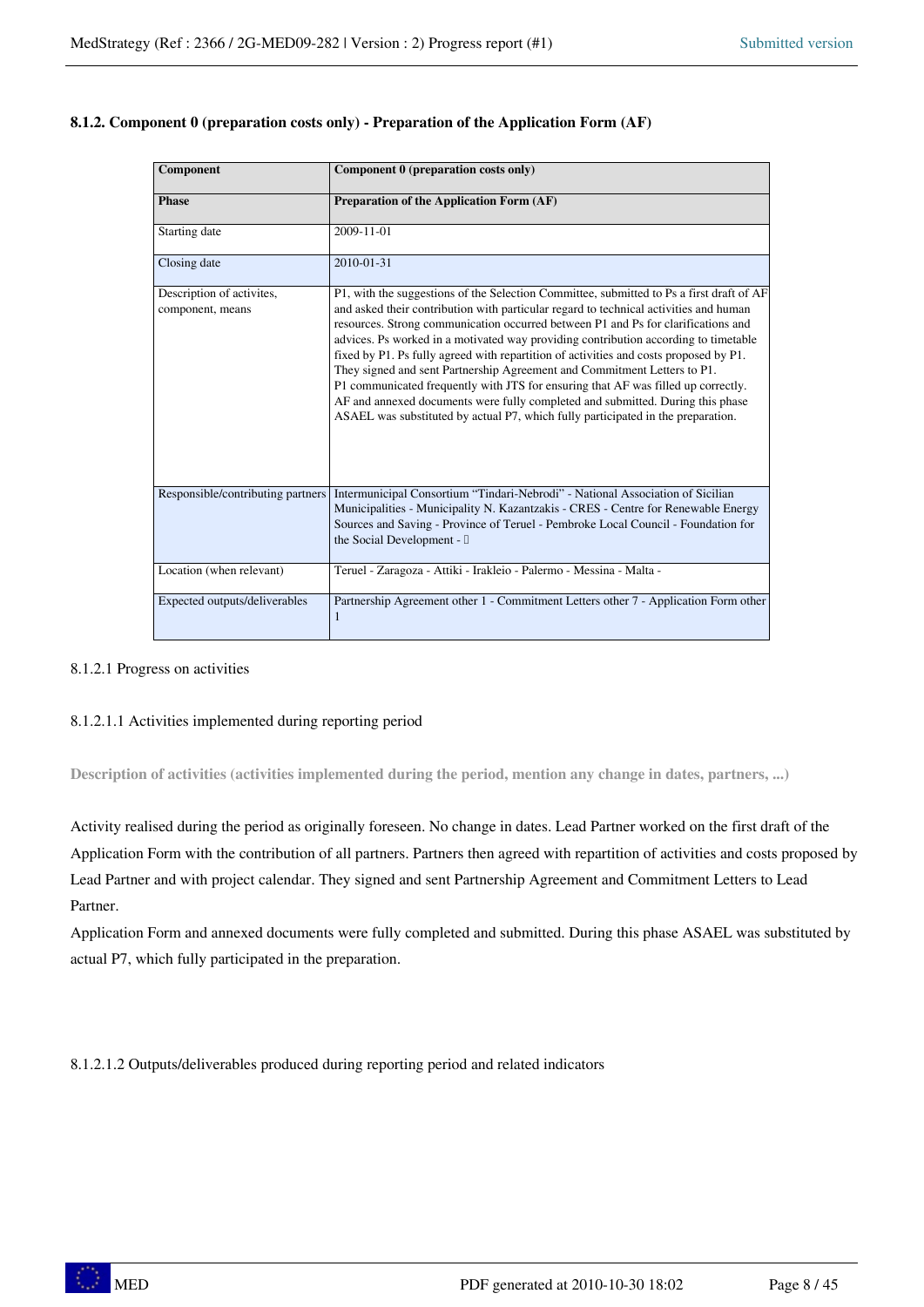| Component                                     | Component 0 (preparation costs only)                                                                                                                                                                                                                                                                                                                                                                                                                                                                                                                                                                                                                                                                                                                                                          |  |  |
|-----------------------------------------------|-----------------------------------------------------------------------------------------------------------------------------------------------------------------------------------------------------------------------------------------------------------------------------------------------------------------------------------------------------------------------------------------------------------------------------------------------------------------------------------------------------------------------------------------------------------------------------------------------------------------------------------------------------------------------------------------------------------------------------------------------------------------------------------------------|--|--|
| <b>Phase</b>                                  | Preparation of the Application Form (AF)                                                                                                                                                                                                                                                                                                                                                                                                                                                                                                                                                                                                                                                                                                                                                      |  |  |
| Starting date                                 | 2009-11-01                                                                                                                                                                                                                                                                                                                                                                                                                                                                                                                                                                                                                                                                                                                                                                                    |  |  |
| Closing date                                  | 2010-01-31                                                                                                                                                                                                                                                                                                                                                                                                                                                                                                                                                                                                                                                                                                                                                                                    |  |  |
| Description of activites,<br>component, means | P1, with the suggestions of the Selection Committee, submitted to Ps a first draft of AF<br>and asked their contribution with particular regard to technical activities and human<br>resources. Strong communication occurred between P1 and Ps for clarifications and<br>advices. Ps worked in a motivated way providing contribution according to timetable<br>fixed by P1. Ps fully agreed with repartition of activities and costs proposed by P1.<br>They signed and sent Partnership Agreement and Commitment Letters to P1.<br>P1 communicated frequently with JTS for ensuring that AF was filled up correctly.<br>AF and annexed documents were fully completed and submitted. During this phase<br>ASAEL was substituted by actual P7, which fully participated in the preparation. |  |  |
| Responsible/contributing partners             | Intermunicipal Consortium "Tindari-Nebrodi" - National Association of Sicilian<br>Municipalities - Municipality N. Kazantzakis - CRES - Centre for Renewable Energy<br>Sources and Saving - Province of Teruel - Pembroke Local Council - Foundation for<br>the Social Development - II                                                                                                                                                                                                                                                                                                                                                                                                                                                                                                       |  |  |
| Location (when relevant)                      | Teruel - Zaragoza - Attiki - Irakleio - Palermo - Messina - Malta -                                                                                                                                                                                                                                                                                                                                                                                                                                                                                                                                                                                                                                                                                                                           |  |  |
| Expected outputs/deliverables                 | Partnership Agreement other 1 - Commitment Letters other 7 - Application Form other<br>1                                                                                                                                                                                                                                                                                                                                                                                                                                                                                                                                                                                                                                                                                                      |  |  |

## **8.1.2. Component 0 (preparation costs only) - Preparation of the Application Form (AF)**

## 8.1.2.1 Progress on activities

## 8.1.2.1.1 Activities implemented during reporting period

**Description of activities (activities implemented during the period, mention any change in dates, partners, ...)**

Activity realised during the period as originally foreseen. No change in dates. Lead Partner worked on the first draft of the Application Form with the contribution of all partners. Partners then agreed with repartition of activities and costs proposed by Lead Partner and with project calendar. They signed and sent Partnership Agreement and Commitment Letters to Lead Partner.

Application Form and annexed documents were fully completed and submitted. During this phase ASAEL was substituted by actual P7, which fully participated in the preparation.

8.1.2.1.2 Outputs/deliverables produced during reporting period and related indicators

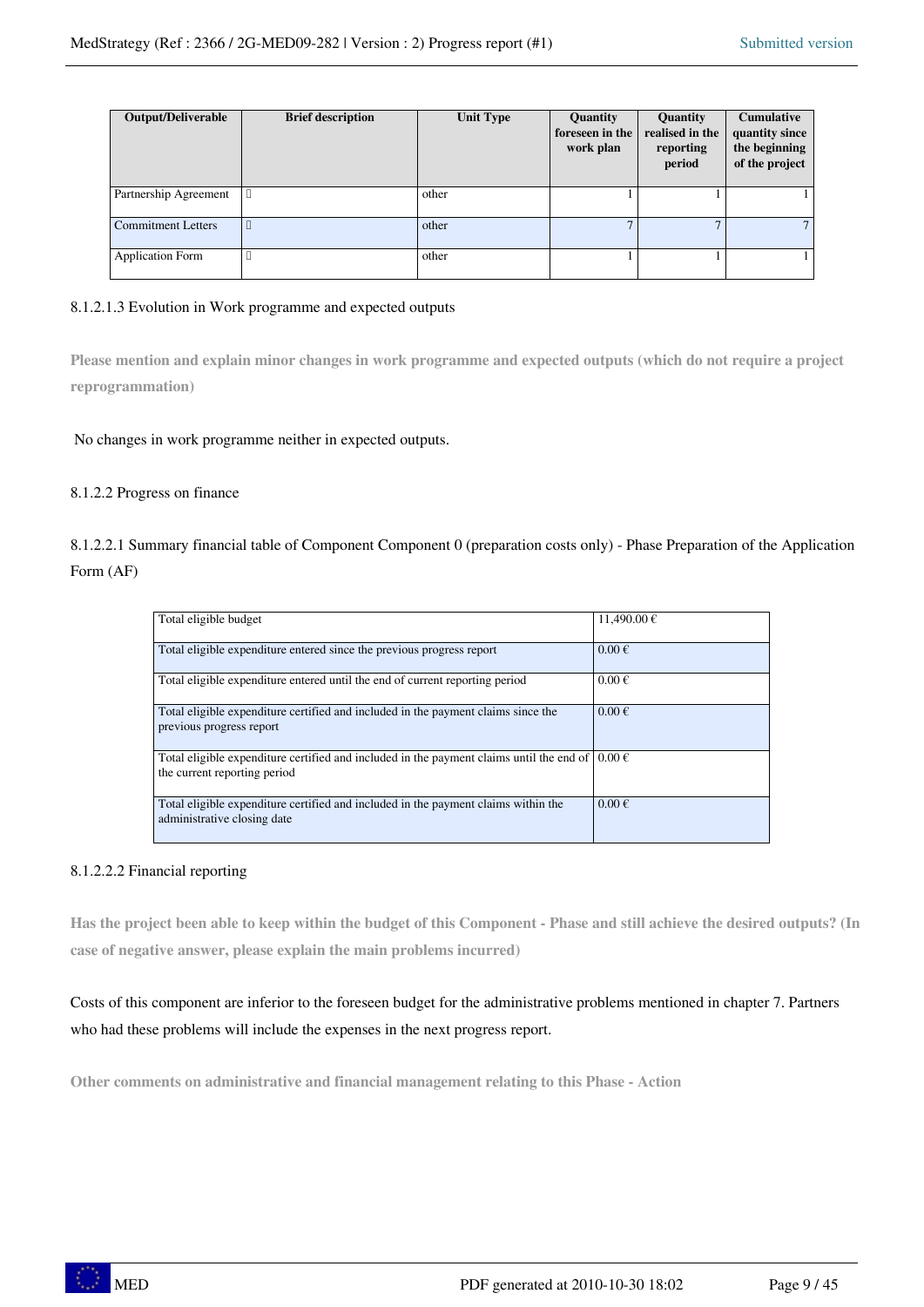| Output/Deliverable      | <b>Brief description</b> | <b>Unit Type</b> | <b>Quantity</b><br>foreseen in the<br>work plan | Quantity<br>realised in the<br>reporting<br>period | <b>Cumulative</b><br>quantity since<br>the beginning<br>of the project |
|-------------------------|--------------------------|------------------|-------------------------------------------------|----------------------------------------------------|------------------------------------------------------------------------|
| Partnership Agreement   | IΠ                       | other            |                                                 |                                                    |                                                                        |
| Commitment Letters      | Ш                        | other            |                                                 |                                                    | $\tau$                                                                 |
| <b>Application Form</b> |                          | other            |                                                 |                                                    |                                                                        |

## 8.1.2.1.3 Evolution in Work programme and expected outputs

**Please mention and explain minor changes in work programme and expected outputs (which do not require a project reprogrammation)**

## No changes in work programme neither in expected outputs.

## 8.1.2.2 Progress on finance

8.1.2.2.1 Summary financial table of Component Component 0 (preparation costs only) - Phase Preparation of the Application Form (AF)

| Total eligible budget                                                                                                    | 11,490.00€ |
|--------------------------------------------------------------------------------------------------------------------------|------------|
| Total eligible expenditure entered since the previous progress report                                                    | $0.00 \in$ |
| Total eligible expenditure entered until the end of current reporting period                                             | $0.00 \in$ |
| Total eligible expenditure certified and included in the payment claims since the<br>previous progress report            | $0.00 \in$ |
| Total eligible expenditure certified and included in the payment claims until the end of<br>the current reporting period | $0.00 \in$ |
| Total eligible expenditure certified and included in the payment claims within the<br>administrative closing date        | $0.00 \in$ |

## 8.1.2.2.2 Financial reporting

**Has the project been able to keep within the budget of this Component - Phase and still achieve the desired outputs? (In case of negative answer, please explain the main problems incurred)**

## Costs of this component are inferior to the foreseen budget for the administrative problems mentioned in chapter 7. Partners who had these problems will include the expenses in the next progress report.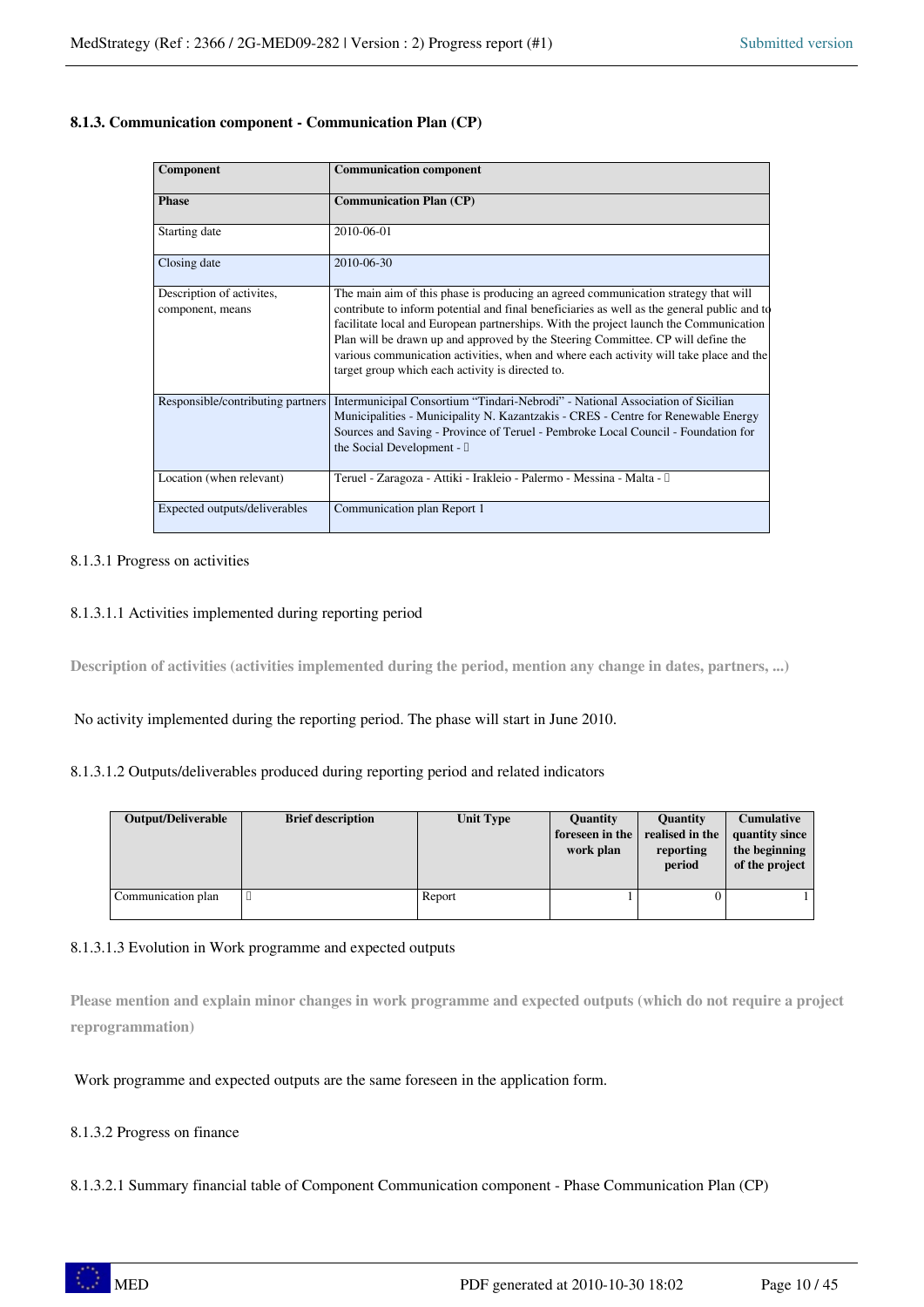## **8.1.3. Communication component - Communication Plan (CP)**

| Component                                     | <b>Communication component</b>                                                                                                                                                                                                                                                                                                                                                                                                                                                                               |
|-----------------------------------------------|--------------------------------------------------------------------------------------------------------------------------------------------------------------------------------------------------------------------------------------------------------------------------------------------------------------------------------------------------------------------------------------------------------------------------------------------------------------------------------------------------------------|
| <b>Phase</b>                                  | <b>Communication Plan (CP)</b>                                                                                                                                                                                                                                                                                                                                                                                                                                                                               |
| Starting date                                 | 2010-06-01                                                                                                                                                                                                                                                                                                                                                                                                                                                                                                   |
| Closing date                                  | 2010-06-30                                                                                                                                                                                                                                                                                                                                                                                                                                                                                                   |
| Description of activites,<br>component, means | The main aim of this phase is producing an agreed communication strategy that will<br>contribute to inform potential and final beneficiaries as well as the general public and to<br>facilitate local and European partnerships. With the project launch the Communication<br>Plan will be drawn up and approved by the Steering Committee. CP will define the<br>various communication activities, when and where each activity will take place and the<br>target group which each activity is directed to. |
| Responsible/contributing partners             | Intermunicipal Consortium "Tindari-Nebrodi" - National Association of Sicilian<br>Municipalities - Municipality N. Kazantzakis - CRES - Centre for Renewable Energy<br>Sources and Saving - Province of Teruel - Pembroke Local Council - Foundation for<br>the Social Development - []                                                                                                                                                                                                                      |
| Location (when relevant)                      | Teruel - Zaragoza - Attiki - Irakleio - Palermo - Messina - Malta - I                                                                                                                                                                                                                                                                                                                                                                                                                                        |
| Expected outputs/deliverables                 | Communication plan Report 1                                                                                                                                                                                                                                                                                                                                                                                                                                                                                  |

## 8.1.3.1 Progress on activities

## 8.1.3.1.1 Activities implemented during reporting period

**Description of activities (activities implemented during the period, mention any change in dates, partners, ...)**

## No activity implemented during the reporting period. The phase will start in June 2010.

## 8.1.3.1.2 Outputs/deliverables produced during reporting period and related indicators

| <b>Output/Deliverable</b> | <b>Brief description</b> | <b>Unit Type</b> | <b>Quantity</b><br>foreseen in the<br>work plan | <b>Quantity</b><br>realised in the<br>reporting<br>period | <b>Cumulative</b><br>quantity since<br>the beginning<br>of the project |
|---------------------------|--------------------------|------------------|-------------------------------------------------|-----------------------------------------------------------|------------------------------------------------------------------------|
| Communication plan        | Ш                        | Report           |                                                 |                                                           |                                                                        |

## 8.1.3.1.3 Evolution in Work programme and expected outputs

**Please mention and explain minor changes in work programme and expected outputs (which do not require a project reprogrammation)**

Work programme and expected outputs are the same foreseen in the application form.

## 8.1.3.2 Progress on finance

8.1.3.2.1 Summary financial table of Component Communication component - Phase Communication Plan (CP)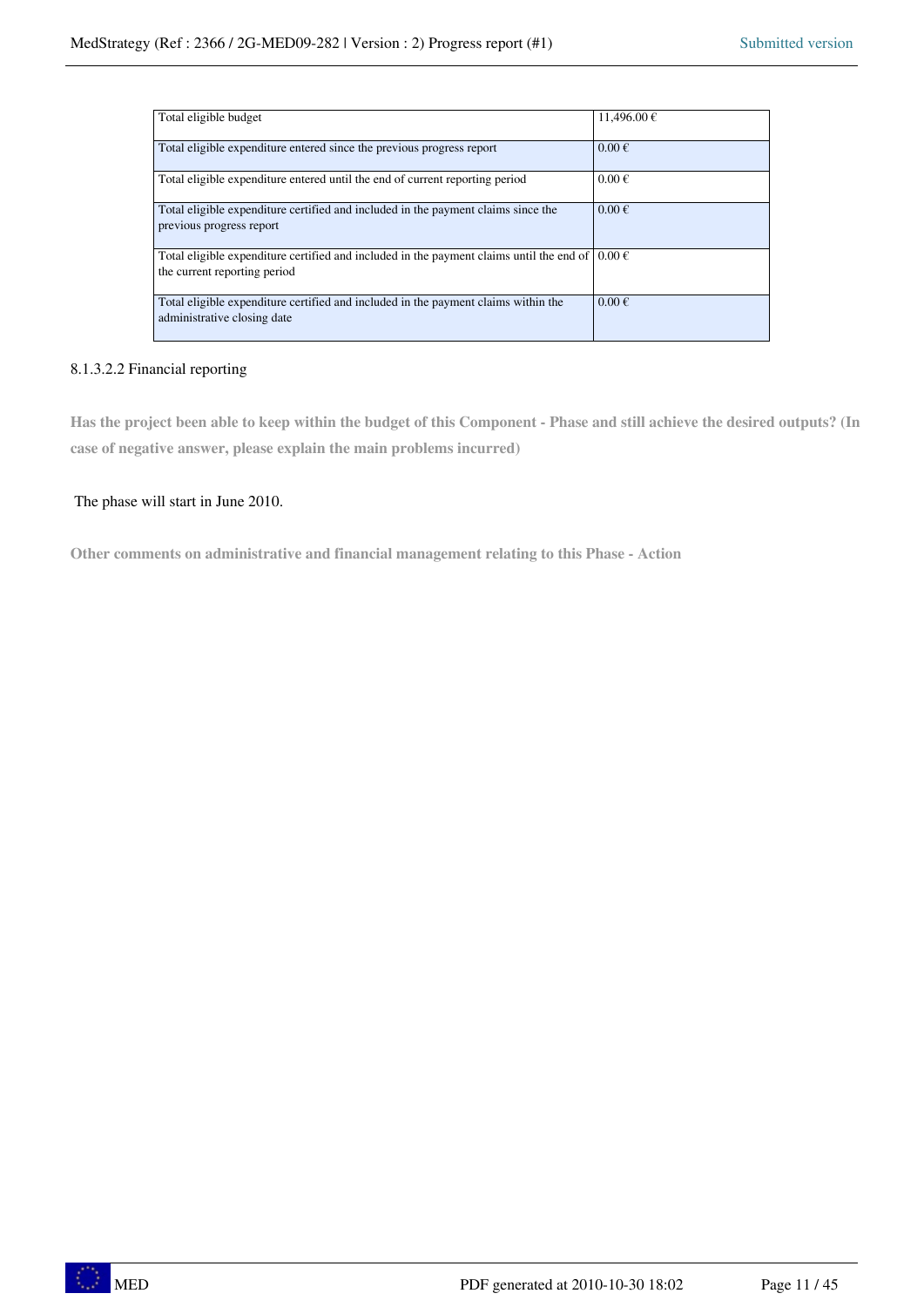| Total eligible budget                                                                                                                | 11,496.00 € |
|--------------------------------------------------------------------------------------------------------------------------------------|-------------|
| Total eligible expenditure entered since the previous progress report                                                                | $0.00 \in$  |
| Total eligible expenditure entered until the end of current reporting period                                                         | $0.00 \in$  |
| Total eligible expenditure certified and included in the payment claims since the<br>previous progress report                        | $0.00 \in$  |
| Total eligible expenditure certified and included in the payment claims until the end of $(0.00 \in$<br>the current reporting period |             |
| Total eligible expenditure certified and included in the payment claims within the<br>administrative closing date                    | $0.00 \in$  |

## 8.1.3.2.2 Financial reporting

**Has the project been able to keep within the budget of this Component - Phase and still achieve the desired outputs? (In case of negative answer, please explain the main problems incurred)**

## The phase will start in June 2010.

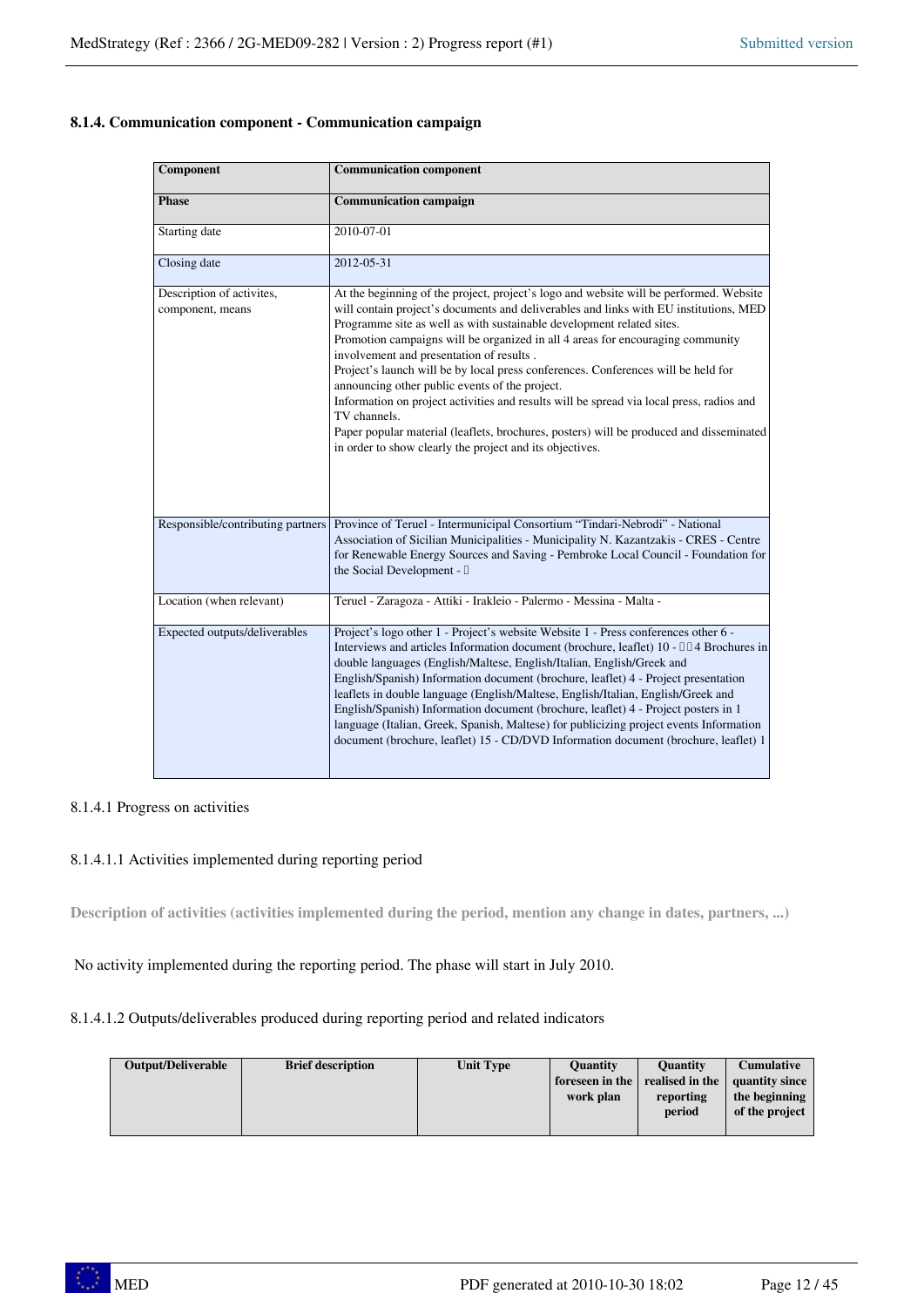## **8.1.4. Communication component - Communication campaign**

| Component                                     | <b>Communication component</b>                                                                                                                                                                                                                                                                                                                                                                                                                                                                                                                                                                                                                                                                                                                                                                   |
|-----------------------------------------------|--------------------------------------------------------------------------------------------------------------------------------------------------------------------------------------------------------------------------------------------------------------------------------------------------------------------------------------------------------------------------------------------------------------------------------------------------------------------------------------------------------------------------------------------------------------------------------------------------------------------------------------------------------------------------------------------------------------------------------------------------------------------------------------------------|
| <b>Phase</b>                                  | <b>Communication campaign</b>                                                                                                                                                                                                                                                                                                                                                                                                                                                                                                                                                                                                                                                                                                                                                                    |
| Starting date                                 | 2010-07-01                                                                                                                                                                                                                                                                                                                                                                                                                                                                                                                                                                                                                                                                                                                                                                                       |
| Closing date                                  | 2012-05-31                                                                                                                                                                                                                                                                                                                                                                                                                                                                                                                                                                                                                                                                                                                                                                                       |
| Description of activites,<br>component, means | At the beginning of the project, project's logo and website will be performed. Website<br>will contain project's documents and deliverables and links with EU institutions, MED<br>Programme site as well as with sustainable development related sites.<br>Promotion campaigns will be organized in all 4 areas for encouraging community<br>involvement and presentation of results.<br>Project's launch will be by local press conferences. Conferences will be held for<br>announcing other public events of the project.<br>Information on project activities and results will be spread via local press, radios and<br>TV channels.<br>Paper popular material (leaflets, brochures, posters) will be produced and disseminated<br>in order to show clearly the project and its objectives. |
| Responsible/contributing partners             | Province of Teruel - Intermunicipal Consortium "Tindari-Nebrodi" - National<br>Association of Sicilian Municipalities - Municipality N. Kazantzakis - CRES - Centre<br>for Renewable Energy Sources and Saving - Pembroke Local Council - Foundation for<br>the Social Development - []                                                                                                                                                                                                                                                                                                                                                                                                                                                                                                          |
| Location (when relevant)                      | Teruel - Zaragoza - Attiki - Irakleio - Palermo - Messina - Malta -                                                                                                                                                                                                                                                                                                                                                                                                                                                                                                                                                                                                                                                                                                                              |
| Expected outputs/deliverables                 | Project's logo other 1 - Project's website Website 1 - Press conferences other 6 -<br>Interviews and articles Information document (brochure, leaflet) 10 - 004 Brochures in<br>double languages (English/Maltese, English/Italian, English/Greek and<br>English/Spanish) Information document (brochure, leaflet) 4 - Project presentation<br>leaflets in double language (English/Maltese, English/Italian, English/Greek and<br>English/Spanish) Information document (brochure, leaflet) 4 - Project posters in 1<br>language (Italian, Greek, Spanish, Maltese) for publicizing project events Information<br>document (brochure, leaflet) 15 - CD/DVD Information document (brochure, leaflet) 1                                                                                           |

## 8.1.4.1 Progress on activities

## 8.1.4.1.1 Activities implemented during reporting period

**Description of activities (activities implemented during the period, mention any change in dates, partners, ...)**

No activity implemented during the reporting period. The phase will start in July 2010.

## 8.1.4.1.2 Outputs/deliverables produced during reporting period and related indicators

| <b>Output/Deliverable</b> | <b>Brief description</b> | <b>Unit Type</b> | <b>Quantity</b> | <b>Quantity</b> | <b>Cumulative</b> |
|---------------------------|--------------------------|------------------|-----------------|-----------------|-------------------|
|                           |                          |                  | foreseen in the | realised in the | quantity since    |
|                           |                          |                  | work plan       | reporting       | the beginning     |
|                           |                          |                  |                 | period          | of the project    |
|                           |                          |                  |                 |                 |                   |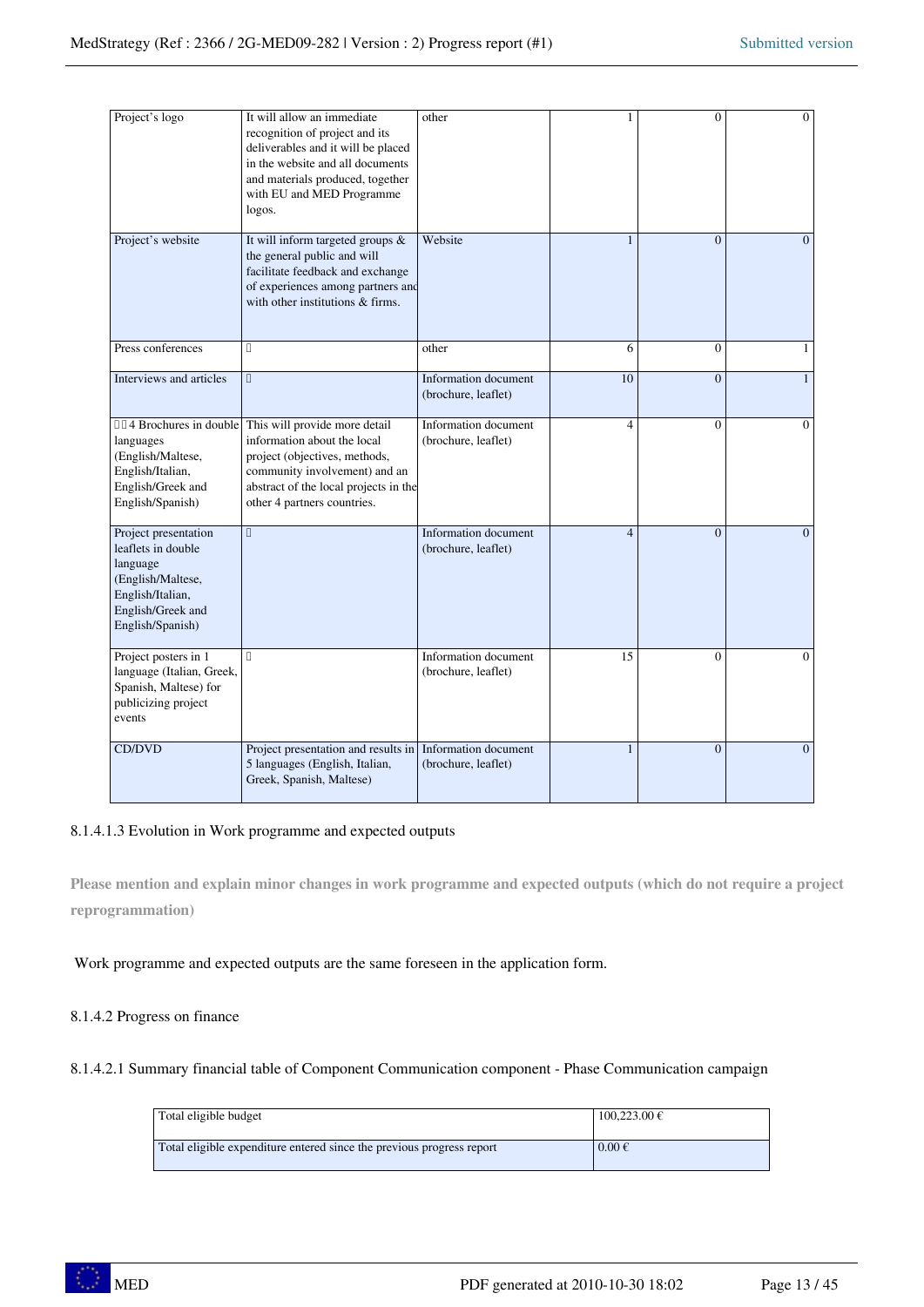| Project's logo                                                                                                                           | It will allow an immediate<br>recognition of project and its<br>deliverables and it will be placed<br>in the website and all documents<br>and materials produced, together<br>with EU and MED Programme<br>logos. | other                                              | 1                        | $\theta$       | $\overline{0}$ |
|------------------------------------------------------------------------------------------------------------------------------------------|-------------------------------------------------------------------------------------------------------------------------------------------------------------------------------------------------------------------|----------------------------------------------------|--------------------------|----------------|----------------|
| Project's website                                                                                                                        | It will inform targeted groups &<br>the general public and will<br>facilitate feedback and exchange<br>of experiences among partners and<br>with other institutions & firms.                                      | Website                                            | $\mathbf{1}$             | $\Omega$       | $\Omega$       |
| Press conferences                                                                                                                        | П                                                                                                                                                                                                                 | other                                              | 6                        | $\overline{0}$ | 1              |
| Interviews and articles                                                                                                                  | $\Box$                                                                                                                                                                                                            | Information document<br>(brochure, leaflet)        | $\overline{10}$          | $\overline{0}$ | $\mathbf{1}$   |
| <b>114 Brochures in double</b><br>languages<br>(English/Maltese,<br>English/Italian,<br>English/Greek and<br>English/Spanish)            | This will provide more detail<br>information about the local<br>project (objectives, methods,<br>community involvement) and an<br>abstract of the local projects in the<br>other 4 partners countries.            | <b>Information</b> document<br>(brochure, leaflet) | $\overline{\mathcal{L}}$ | $\theta$       | $\Omega$       |
| Project presentation<br>leaflets in double<br>language<br>(English/Maltese,<br>English/Italian,<br>English/Greek and<br>English/Spanish) | $\Box$                                                                                                                                                                                                            | Information document<br>(brochure, leaflet)        | $\overline{4}$           | $\Omega$       | $\Omega$       |
| Project posters in 1<br>language (Italian, Greek,<br>Spanish, Maltese) for<br>publicizing project<br>events                              | $\overline{\Pi}$                                                                                                                                                                                                  | Information document<br>(brochure, leaflet)        | $\overline{15}$          | $\overline{0}$ | $\Omega$       |
| CD/DVD                                                                                                                                   | Project presentation and results in<br>5 languages (English, Italian,<br>Greek, Spanish, Maltese)                                                                                                                 | Information document<br>(brochure, leaflet)        | $\mathbf{1}$             | $\overline{0}$ | $\mathbf{0}$   |

## 8.1.4.1.3 Evolution in Work programme and expected outputs

**Please mention and explain minor changes in work programme and expected outputs (which do not require a project reprogrammation)**

## Work programme and expected outputs are the same foreseen in the application form.

## 8.1.4.2 Progress on finance

## 8.1.4.2.1 Summary financial table of Component Communication component - Phase Communication campaign

| Total eligible budget                                                 | $100.223.00 \in$ |
|-----------------------------------------------------------------------|------------------|
| Total eligible expenditure entered since the previous progress report | $0.00 \in$       |

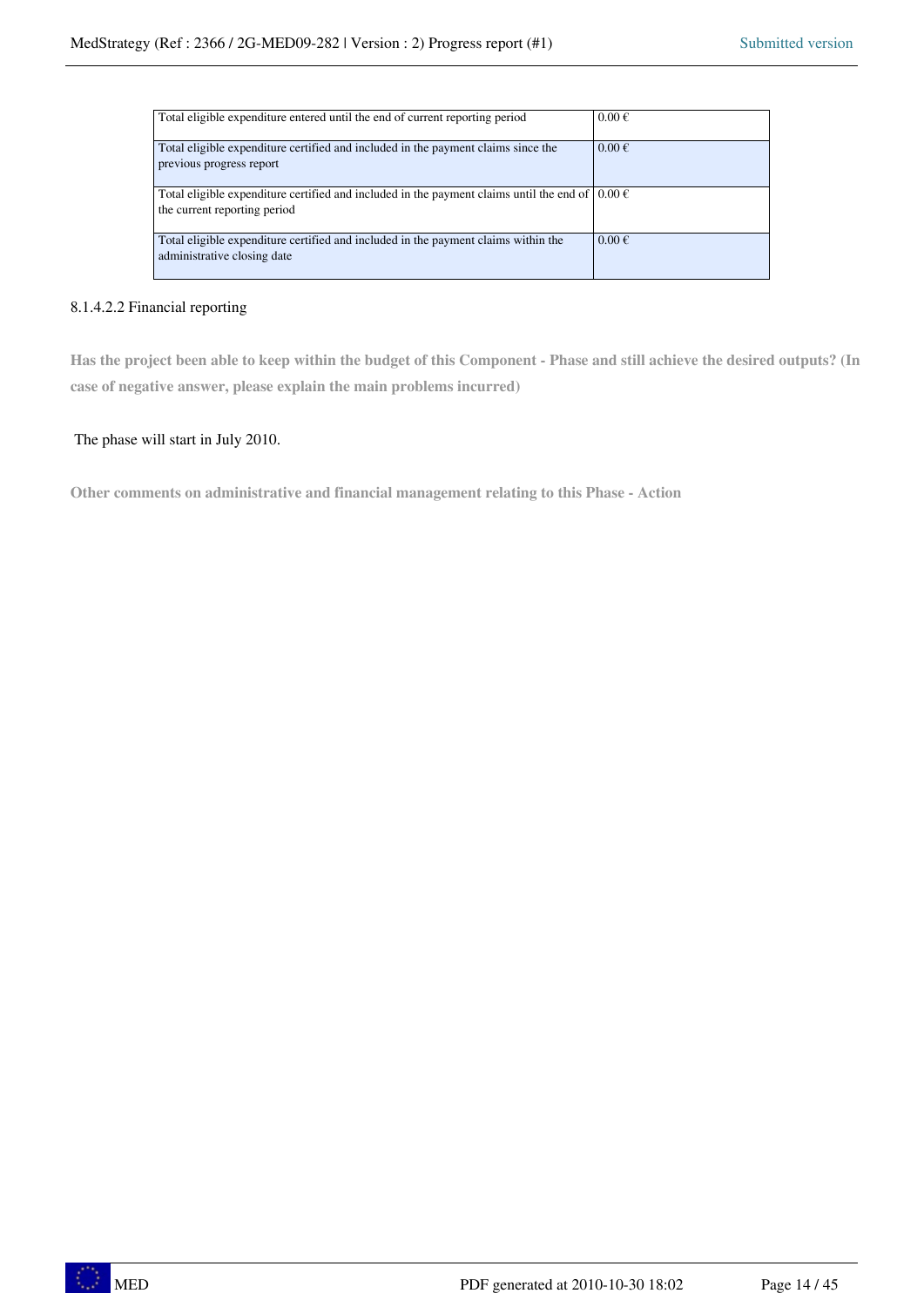| Total eligible expenditure entered until the end of current reporting period                                             | $0.00 \in$ |
|--------------------------------------------------------------------------------------------------------------------------|------------|
| Total eligible expenditure certified and included in the payment claims since the<br>previous progress report            | $0.00 \in$ |
| Total eligible expenditure certified and included in the payment claims until the end of<br>the current reporting period | 0.00€      |
| Total eligible expenditure certified and included in the payment claims within the<br>administrative closing date        | $0.00 \in$ |

## 8.1.4.2.2 Financial reporting

**Has the project been able to keep within the budget of this Component - Phase and still achieve the desired outputs? (In case of negative answer, please explain the main problems incurred)**

## The phase will start in July 2010.

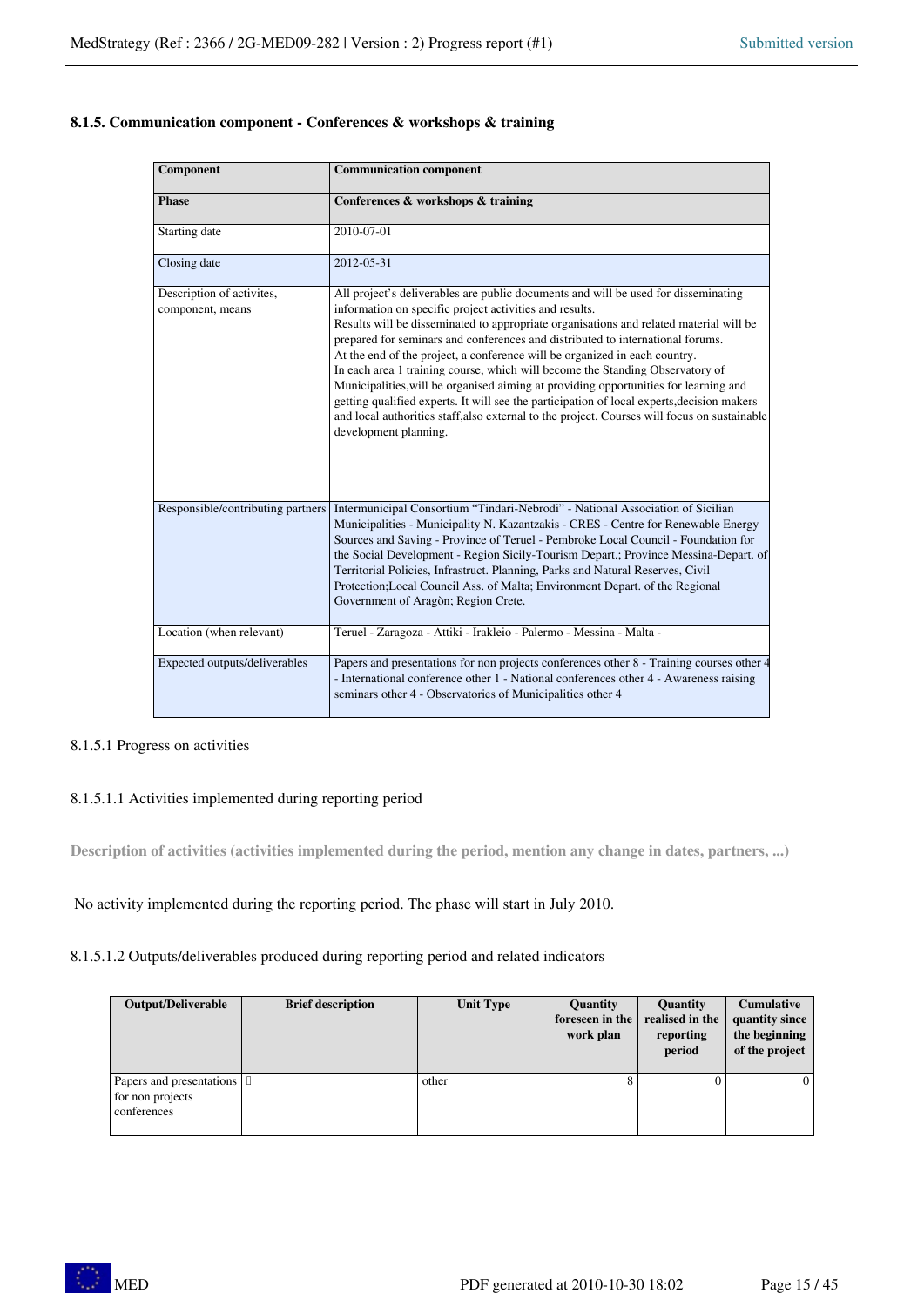| Component                                     | <b>Communication component</b>                                                                                                                                                                                                                                                                                                                                                                                                                                                                                                                                                                                                                                                                                                                                                                          |
|-----------------------------------------------|---------------------------------------------------------------------------------------------------------------------------------------------------------------------------------------------------------------------------------------------------------------------------------------------------------------------------------------------------------------------------------------------------------------------------------------------------------------------------------------------------------------------------------------------------------------------------------------------------------------------------------------------------------------------------------------------------------------------------------------------------------------------------------------------------------|
| <b>Phase</b>                                  | Conferences & workshops & training                                                                                                                                                                                                                                                                                                                                                                                                                                                                                                                                                                                                                                                                                                                                                                      |
| Starting date                                 | 2010-07-01                                                                                                                                                                                                                                                                                                                                                                                                                                                                                                                                                                                                                                                                                                                                                                                              |
| Closing date                                  | 2012-05-31                                                                                                                                                                                                                                                                                                                                                                                                                                                                                                                                                                                                                                                                                                                                                                                              |
| Description of activites,<br>component, means | All project's deliverables are public documents and will be used for disseminating<br>information on specific project activities and results.<br>Results will be disseminated to appropriate organisations and related material will be<br>prepared for seminars and conferences and distributed to international forums.<br>At the end of the project, a conference will be organized in each country.<br>In each area 1 training course, which will become the Standing Observatory of<br>Municipalities, will be organised aiming at providing opportunities for learning and<br>getting qualified experts. It will see the participation of local experts, decision makers<br>and local authorities staff, also external to the project. Courses will focus on sustainable<br>development planning. |
| Responsible/contributing partners             | Intermunicipal Consortium "Tindari-Nebrodi" - National Association of Sicilian<br>Municipalities - Municipality N. Kazantzakis - CRES - Centre for Renewable Energy<br>Sources and Saving - Province of Teruel - Pembroke Local Council - Foundation for<br>the Social Development - Region Sicily-Tourism Depart.; Province Messina-Depart. of<br>Territorial Policies, Infrastruct. Planning, Parks and Natural Reserves, Civil<br>Protection; Local Council Ass. of Malta; Environment Depart. of the Regional<br>Government of Aragòn; Region Crete.                                                                                                                                                                                                                                                |
| Location (when relevant)                      | Teruel - Zaragoza - Attiki - Irakleio - Palermo - Messina - Malta -                                                                                                                                                                                                                                                                                                                                                                                                                                                                                                                                                                                                                                                                                                                                     |
| Expected outputs/deliverables                 | Papers and presentations for non projects conferences other 8 - Training courses other 4<br>- International conference other 1 - National conferences other 4 - Awareness raising<br>seminars other 4 - Observatories of Municipalities other 4                                                                                                                                                                                                                                                                                                                                                                                                                                                                                                                                                         |

## **8.1.5. Communication component - Conferences & workshops & training**

## 8.1.5.1 Progress on activities

## 8.1.5.1.1 Activities implemented during reporting period

**Description of activities (activities implemented during the period, mention any change in dates, partners, ...)**

No activity implemented during the reporting period. The phase will start in July 2010.

#### 8.1.5.1.2 Outputs/deliverables produced during reporting period and related indicators

| <b>Output/Deliverable</b>                                   | <b>Brief description</b> | Unit Type | Quantity<br>foreseen in the<br>work plan | <b>Quantity</b><br>realised in the<br>reporting<br>period | <b>Cumulative</b><br>quantity since<br>the beginning<br>of the project |
|-------------------------------------------------------------|--------------------------|-----------|------------------------------------------|-----------------------------------------------------------|------------------------------------------------------------------------|
| Papers and presentations<br>for non projects<br>conferences |                          | other     |                                          |                                                           | $\Omega$                                                               |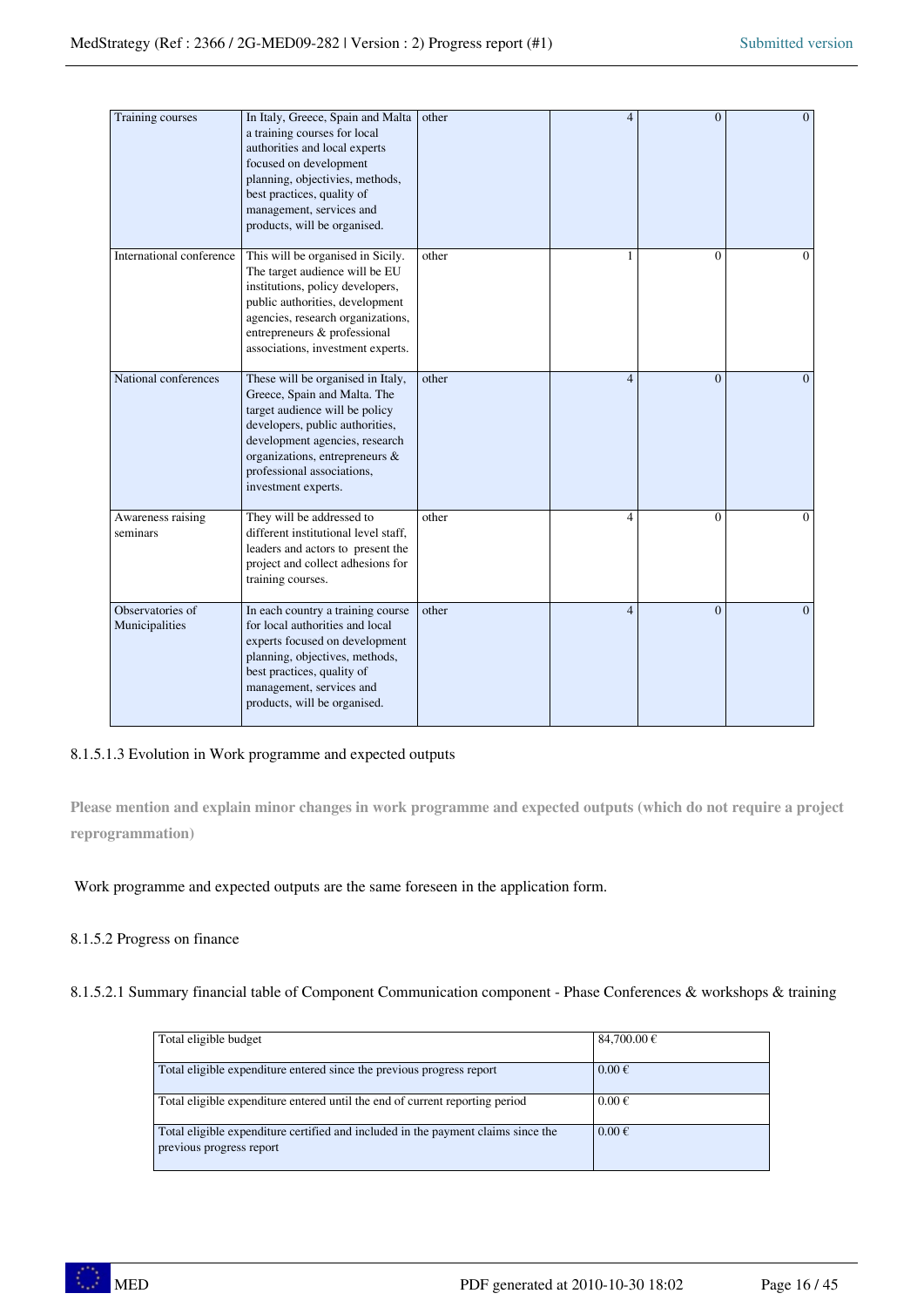| Training courses                   | In Italy, Greece, Spain and Malta<br>a training courses for local<br>authorities and local experts<br>focused on development<br>planning, objectivies, methods,<br>best practices, quality of<br>management, services and<br>products, will be organised.       | other | 4              | $\overline{0}$ | $\Omega$       |
|------------------------------------|-----------------------------------------------------------------------------------------------------------------------------------------------------------------------------------------------------------------------------------------------------------------|-------|----------------|----------------|----------------|
| International conference           | This will be organised in Sicily.<br>The target audience will be EU<br>institutions, policy developers,<br>public authorities, development<br>agencies, research organizations,<br>entrepreneurs & professional<br>associations, investment experts.            | other | 1              | $\Omega$       | $\Omega$       |
| National conferences               | These will be organised in Italy,<br>Greece, Spain and Malta. The<br>target audience will be policy<br>developers, public authorities,<br>development agencies, research<br>organizations, entrepreneurs &<br>professional associations,<br>investment experts. | other | $\overline{4}$ | $\overline{0}$ | $\overline{0}$ |
| Awareness raising<br>seminars      | They will be addressed to<br>different institutional level staff,<br>leaders and actors to present the<br>project and collect adhesions for<br>training courses.                                                                                                | other | 4              | $\overline{0}$ | $\Omega$       |
| Observatories of<br>Municipalities | In each country a training course<br>for local authorities and local<br>experts focused on development<br>planning, objectives, methods,<br>best practices, quality of<br>management, services and<br>products, will be organised.                              | other | $\overline{4}$ | $\Omega$       | $\Omega$       |

## 8.1.5.1.3 Evolution in Work programme and expected outputs

**Please mention and explain minor changes in work programme and expected outputs (which do not require a project reprogrammation)**

Work programme and expected outputs are the same foreseen in the application form.

#### 8.1.5.2 Progress on finance

8.1.5.2.1 Summary financial table of Component Communication component - Phase Conferences & workshops & training

| Total eligible budget                                                                                         | 84,700.00€ |
|---------------------------------------------------------------------------------------------------------------|------------|
| Total eligible expenditure entered since the previous progress report                                         | $0.00 \in$ |
| Total eligible expenditure entered until the end of current reporting period                                  | $0.00 \in$ |
| Total eligible expenditure certified and included in the payment claims since the<br>previous progress report | $0.00 \in$ |

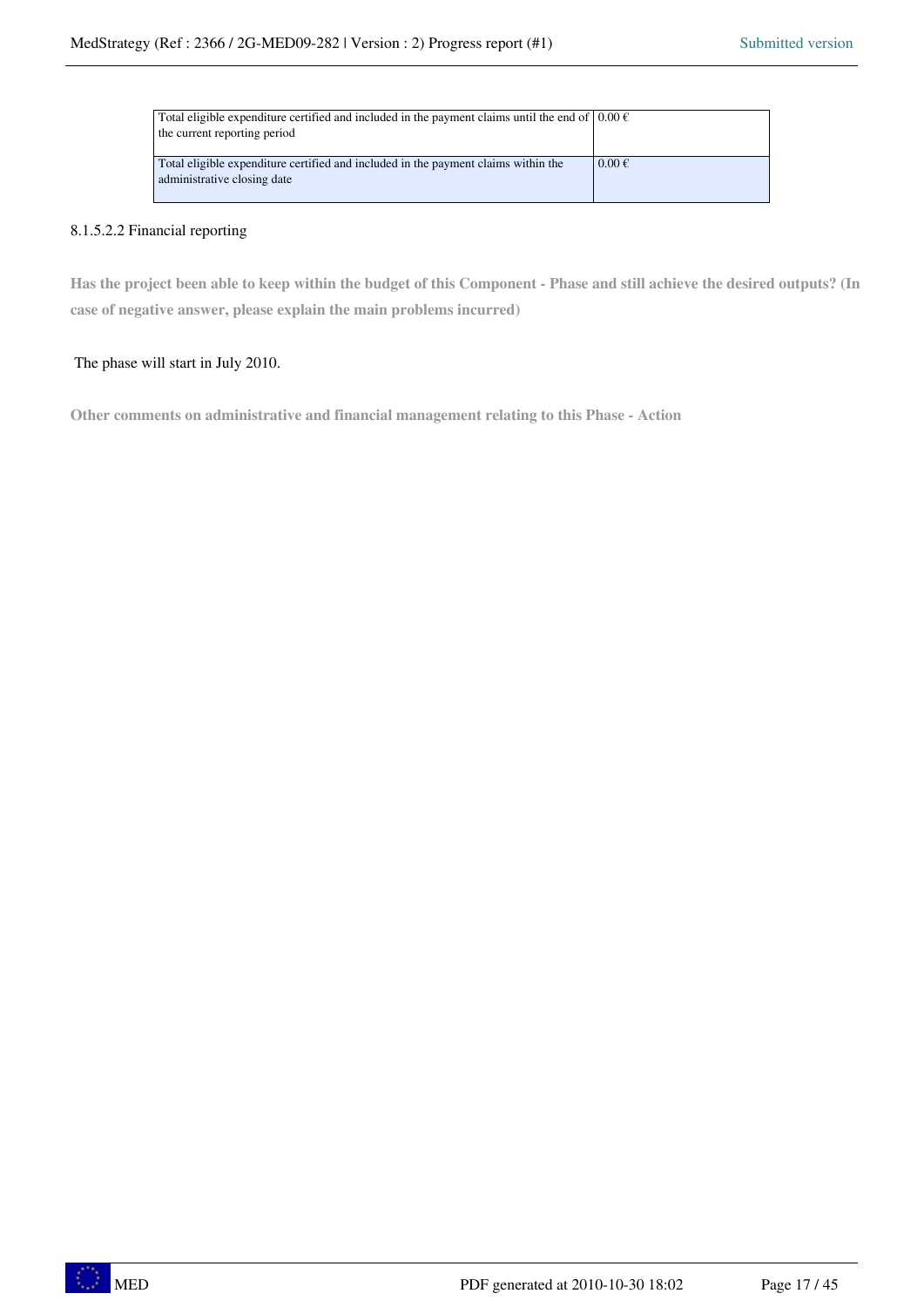| Total eligible expenditure certified and included in the payment claims until the end of $(0.00 \in$<br>the current reporting period |            |
|--------------------------------------------------------------------------------------------------------------------------------------|------------|
| Total eligible expenditure certified and included in the payment claims within the                                                   | $0.00 \in$ |
| administrative closing date                                                                                                          |            |
|                                                                                                                                      |            |

## 8.1.5.2.2 Financial reporting

**Has the project been able to keep within the budget of this Component - Phase and still achieve the desired outputs? (In case of negative answer, please explain the main problems incurred)**

## The phase will start in July 2010.

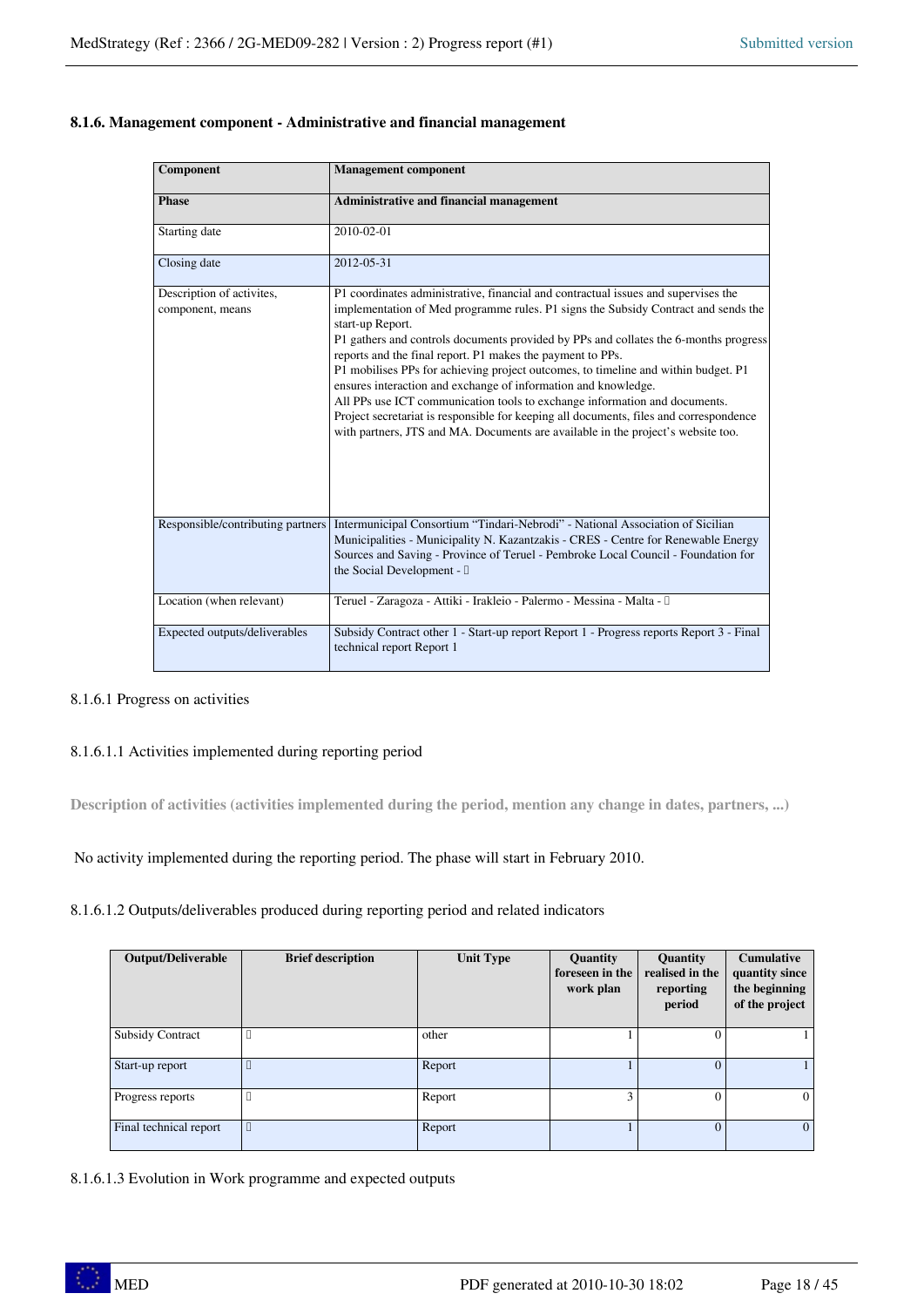| Component                                     | <b>Management component</b>                                                                                                                                                                                                                                                                                                                                                                                                                                                                                                                                                                                                                                                                                                                                            |
|-----------------------------------------------|------------------------------------------------------------------------------------------------------------------------------------------------------------------------------------------------------------------------------------------------------------------------------------------------------------------------------------------------------------------------------------------------------------------------------------------------------------------------------------------------------------------------------------------------------------------------------------------------------------------------------------------------------------------------------------------------------------------------------------------------------------------------|
| <b>Phase</b>                                  | <b>Administrative and financial management</b>                                                                                                                                                                                                                                                                                                                                                                                                                                                                                                                                                                                                                                                                                                                         |
| Starting date                                 | 2010-02-01                                                                                                                                                                                                                                                                                                                                                                                                                                                                                                                                                                                                                                                                                                                                                             |
| Closing date                                  | 2012-05-31                                                                                                                                                                                                                                                                                                                                                                                                                                                                                                                                                                                                                                                                                                                                                             |
| Description of activites,<br>component, means | P1 coordinates administrative, financial and contractual issues and supervises the<br>implementation of Med programme rules. P1 signs the Subsidy Contract and sends the<br>start-up Report.<br>P1 gathers and controls documents provided by PPs and collates the 6-months progress<br>reports and the final report. P1 makes the payment to PPs.<br>P1 mobilises PPs for achieving project outcomes, to timeline and within budget. P1<br>ensures interaction and exchange of information and knowledge.<br>All PPs use ICT communication tools to exchange information and documents.<br>Project secretariat is responsible for keeping all documents, files and correspondence<br>with partners, JTS and MA. Documents are available in the project's website too. |
| Responsible/contributing partners             | Intermunicipal Consortium "Tindari-Nebrodi" - National Association of Sicilian<br>Municipalities - Municipality N. Kazantzakis - CRES - Centre for Renewable Energy<br>Sources and Saving - Province of Teruel - Pembroke Local Council - Foundation for<br>the Social Development - II                                                                                                                                                                                                                                                                                                                                                                                                                                                                                |
| Location (when relevant)                      | Teruel - Zaragoza - Attiki - Irakleio - Palermo - Messina - Malta - I                                                                                                                                                                                                                                                                                                                                                                                                                                                                                                                                                                                                                                                                                                  |
| Expected outputs/deliverables                 | Subsidy Contract other 1 - Start-up report Report 1 - Progress reports Report 3 - Final<br>technical report Report 1                                                                                                                                                                                                                                                                                                                                                                                                                                                                                                                                                                                                                                                   |

## **8.1.6. Management component - Administrative and financial management**

## 8.1.6.1 Progress on activities

## 8.1.6.1.1 Activities implemented during reporting period

**Description of activities (activities implemented during the period, mention any change in dates, partners, ...)**

No activity implemented during the reporting period. The phase will start in February 2010.

## 8.1.6.1.2 Outputs/deliverables produced during reporting period and related indicators

| <b>Output/Deliverable</b> | <b>Brief description</b> | <b>Unit Type</b> | Quantity<br>foreseen in the<br>work plan | Quantity<br>realised in the<br>reporting<br>period | <b>Cumulative</b><br>quantity since<br>the beginning<br>of the project |
|---------------------------|--------------------------|------------------|------------------------------------------|----------------------------------------------------|------------------------------------------------------------------------|
| <b>Subsidy Contract</b>   |                          | other            |                                          |                                                    |                                                                        |
| Start-up report           |                          | Report           |                                          | $\Omega$                                           |                                                                        |
| Progress reports          |                          | Report           | 3                                        | $\Omega$                                           | 0                                                                      |
| Final technical report    | 10                       | Report           |                                          | $\theta$                                           | $\Omega$                                                               |

8.1.6.1.3 Evolution in Work programme and expected outputs

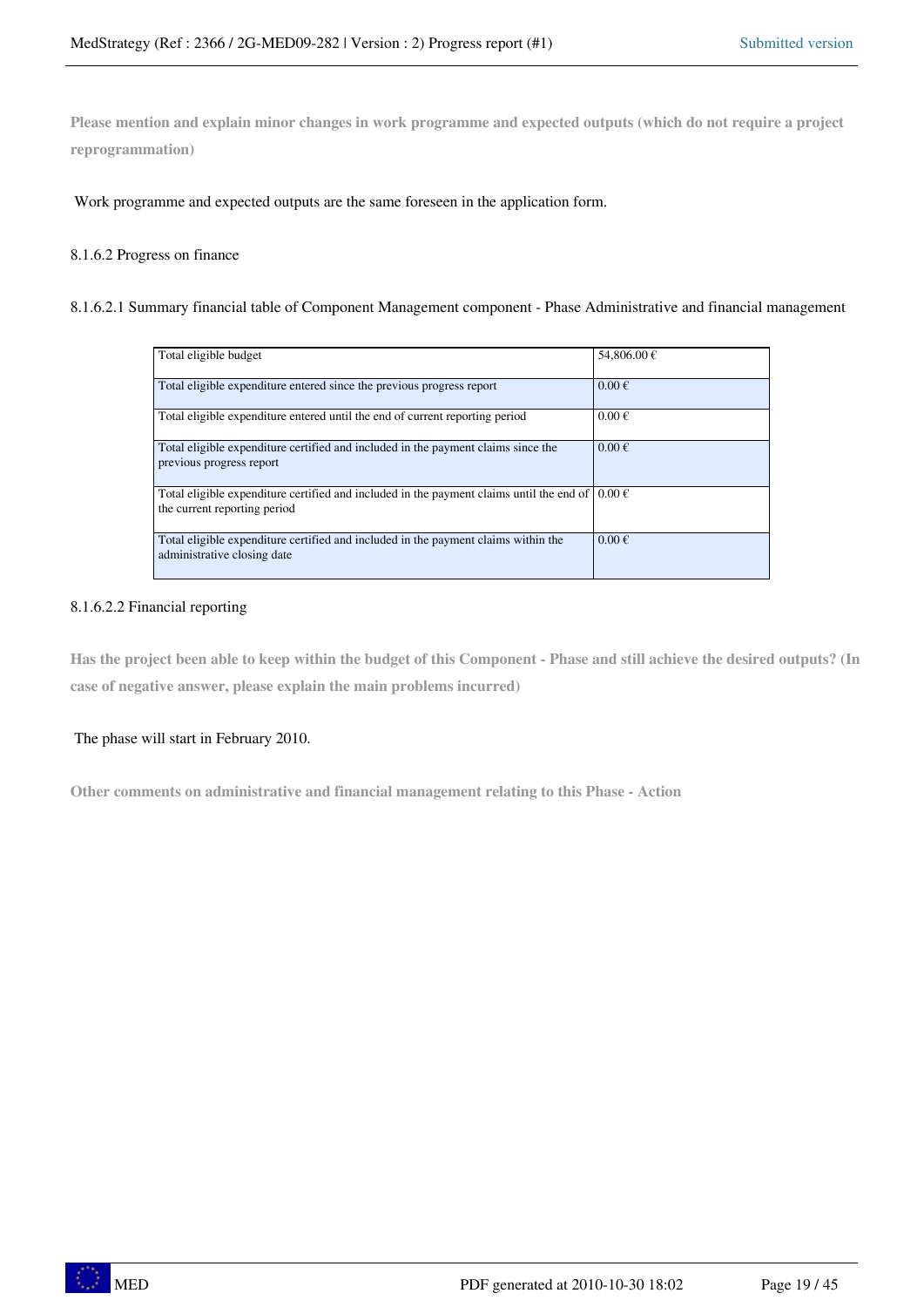**Please mention and explain minor changes in work programme and expected outputs (which do not require a project reprogrammation)**

Work programme and expected outputs are the same foreseen in the application form.

## 8.1.6.2 Progress on finance

8.1.6.2.1 Summary financial table of Component Management component - Phase Administrative and financial management

| Total eligible budget                                                                                                    | 54,806.00€ |
|--------------------------------------------------------------------------------------------------------------------------|------------|
| Total eligible expenditure entered since the previous progress report                                                    | $0.00 \in$ |
| Total eligible expenditure entered until the end of current reporting period                                             | $0.00 \in$ |
| Total eligible expenditure certified and included in the payment claims since the<br>previous progress report            | $0.00 \in$ |
| Total eligible expenditure certified and included in the payment claims until the end of<br>the current reporting period | $0.00 \in$ |
| Total eligible expenditure certified and included in the payment claims within the<br>administrative closing date        | $0.00 \in$ |

## 8.1.6.2.2 Financial reporting

**Has the project been able to keep within the budget of this Component - Phase and still achieve the desired outputs? (In case of negative answer, please explain the main problems incurred)**

## The phase will start in February 2010.

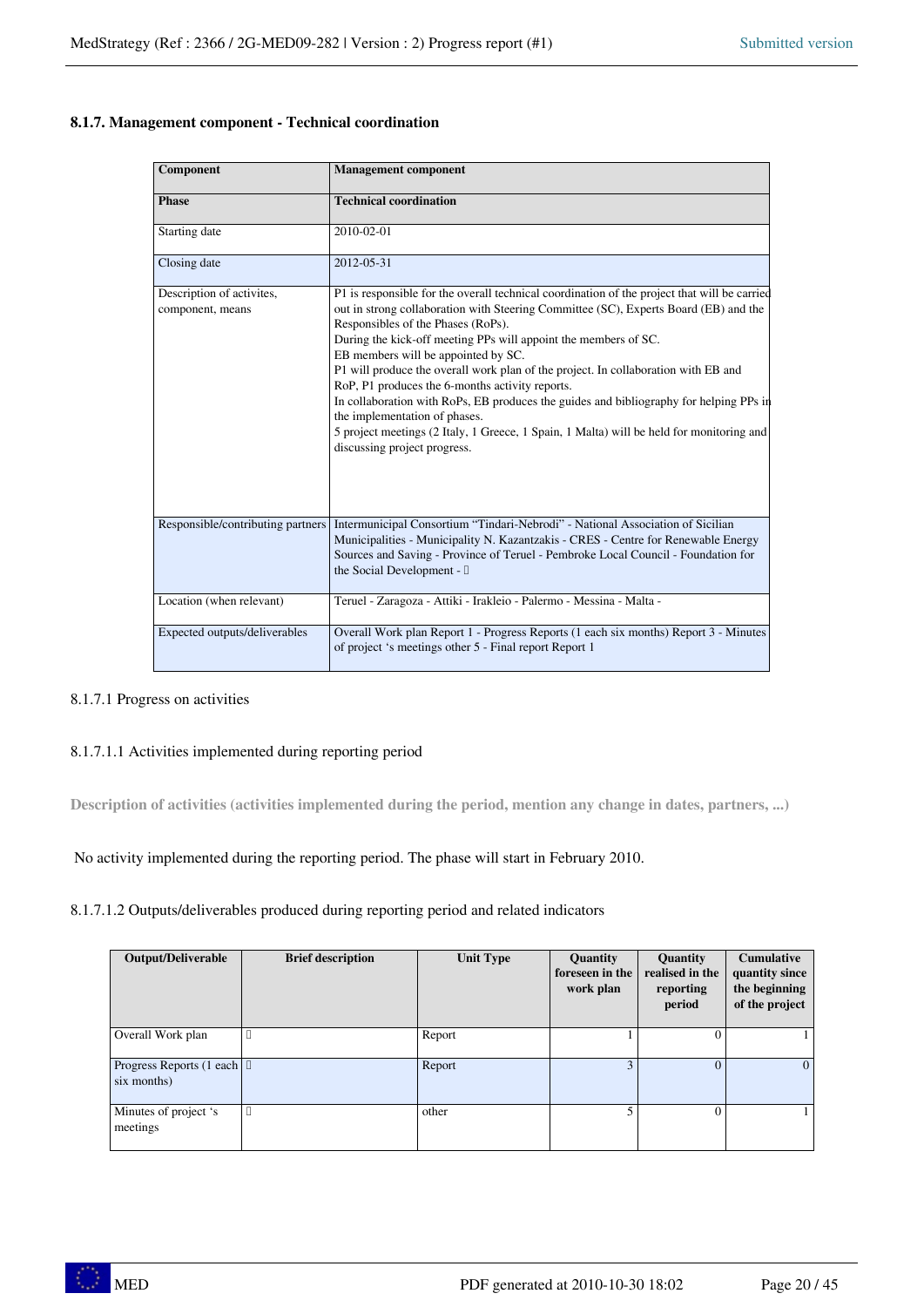## **8.1.7. Management component - Technical coordination**

| Component                         | <b>Management component</b>                                                                                                                                                                                                                                                                                                                                                                                                                                                                                                                                                                                                          |
|-----------------------------------|--------------------------------------------------------------------------------------------------------------------------------------------------------------------------------------------------------------------------------------------------------------------------------------------------------------------------------------------------------------------------------------------------------------------------------------------------------------------------------------------------------------------------------------------------------------------------------------------------------------------------------------|
| <b>Phase</b>                      | <b>Technical coordination</b>                                                                                                                                                                                                                                                                                                                                                                                                                                                                                                                                                                                                        |
| Starting date                     | 2010-02-01                                                                                                                                                                                                                                                                                                                                                                                                                                                                                                                                                                                                                           |
| Closing date                      | 2012-05-31                                                                                                                                                                                                                                                                                                                                                                                                                                                                                                                                                                                                                           |
| Description of activites,         | P1 is responsible for the overall technical coordination of the project that will be carried                                                                                                                                                                                                                                                                                                                                                                                                                                                                                                                                         |
| component, means                  | out in strong collaboration with Steering Committee (SC), Experts Board (EB) and the<br>Responsibles of the Phases (RoPs).<br>During the kick-off meeting PPs will appoint the members of SC.<br>EB members will be appointed by SC.<br>P1 will produce the overall work plan of the project. In collaboration with EB and<br>RoP, P1 produces the 6-months activity reports.<br>In collaboration with RoPs, EB produces the guides and bibliography for helping PPs in<br>the implementation of phases.<br>5 project meetings (2 Italy, 1 Greece, 1 Spain, 1 Malta) will be held for monitoring and<br>discussing project progress. |
| Responsible/contributing partners | Intermunicipal Consortium "Tindari-Nebrodi" - National Association of Sicilian<br>Municipalities - Municipality N. Kazantzakis - CRES - Centre for Renewable Energy<br>Sources and Saving - Province of Teruel - Pembroke Local Council - Foundation for<br>the Social Development - []                                                                                                                                                                                                                                                                                                                                              |
| Location (when relevant)          | Teruel - Zaragoza - Attiki - Irakleio - Palermo - Messina - Malta -                                                                                                                                                                                                                                                                                                                                                                                                                                                                                                                                                                  |
| Expected outputs/deliverables     | Overall Work plan Report 1 - Progress Reports (1 each six months) Report 3 - Minutes<br>of project 's meetings other 5 - Final report Report 1                                                                                                                                                                                                                                                                                                                                                                                                                                                                                       |

## 8.1.7.1 Progress on activities

## 8.1.7.1.1 Activities implemented during reporting period

**Description of activities (activities implemented during the period, mention any change in dates, partners, ...)**

No activity implemented during the reporting period. The phase will start in February 2010.

## 8.1.7.1.2 Outputs/deliverables produced during reporting period and related indicators

| <b>Output/Deliverable</b>                      | <b>Brief description</b> | <b>Unit Type</b> | <b>Quantity</b><br>foreseen in the<br>work plan | Quantity<br>realised in the<br>reporting<br>period | <b>Cumulative</b><br>quantity since<br>the beginning<br>of the project |
|------------------------------------------------|--------------------------|------------------|-------------------------------------------------|----------------------------------------------------|------------------------------------------------------------------------|
| Overall Work plan                              |                          | Report           |                                                 | $^{(1)}$                                           |                                                                        |
| Progress Reports (1 each $\Box$<br>six months) |                          | Report           | 3                                               | $\Omega$                                           | $\Omega$                                                               |
| Minutes of project 's<br>meetings              |                          | other            |                                                 | 0                                                  |                                                                        |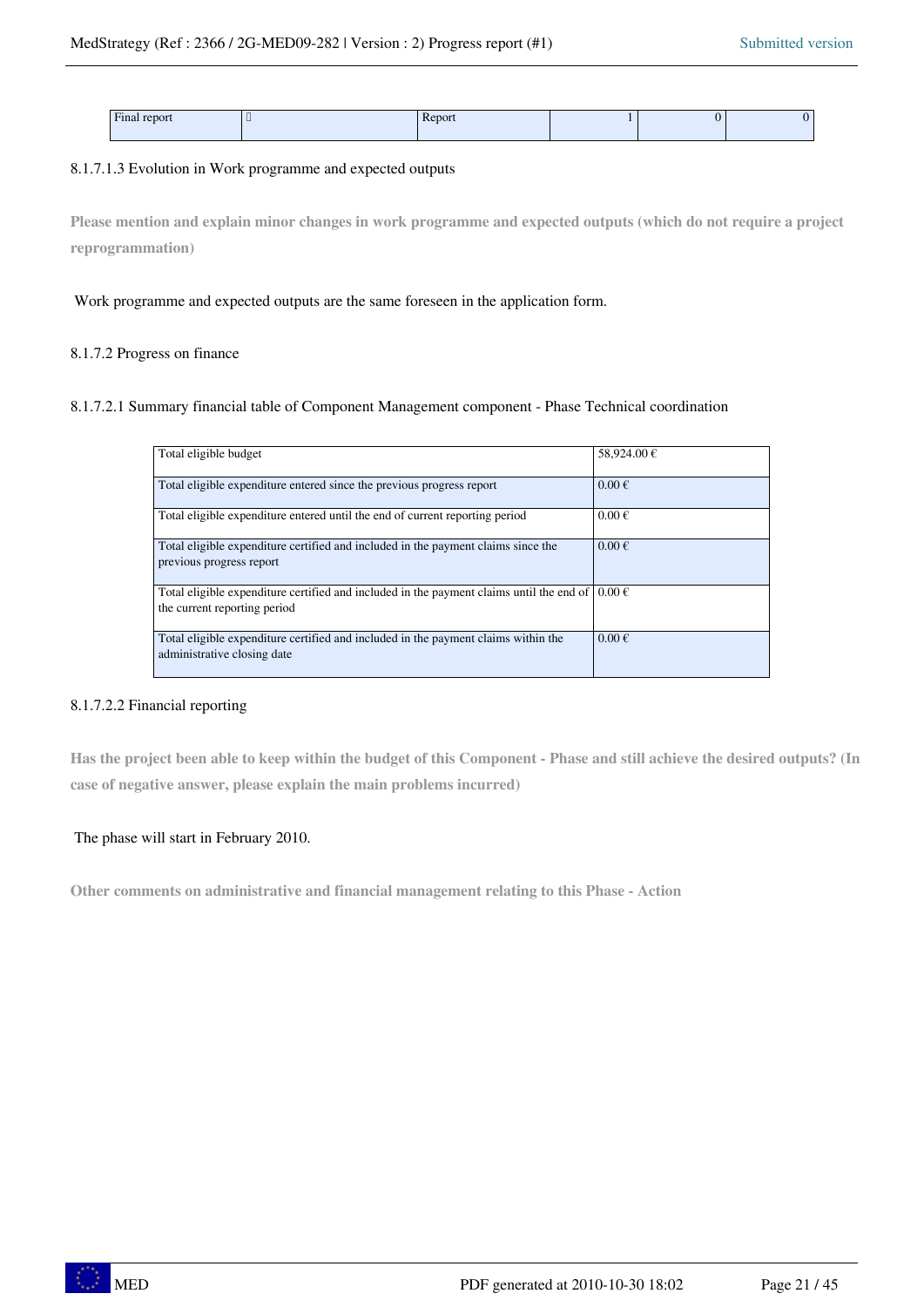|  | $\mathbf{r}$<br>.<br><b>Report</b> |
|--|------------------------------------|
|--|------------------------------------|

## 8.1.7.1.3 Evolution in Work programme and expected outputs

**Please mention and explain minor changes in work programme and expected outputs (which do not require a project reprogrammation)**

## Work programme and expected outputs are the same foreseen in the application form.

## 8.1.7.2 Progress on finance

## 8.1.7.2.1 Summary financial table of Component Management component - Phase Technical coordination

| Total eligible budget                                                                                                                | 58,924.00 € |
|--------------------------------------------------------------------------------------------------------------------------------------|-------------|
| Total eligible expenditure entered since the previous progress report                                                                | $0.00 \in$  |
| Total eligible expenditure entered until the end of current reporting period                                                         | $0.00 \in$  |
| Total eligible expenditure certified and included in the payment claims since the<br>previous progress report                        | $0.00 \in$  |
| Total eligible expenditure certified and included in the payment claims until the end of $(0.00 \in$<br>the current reporting period |             |
| Total eligible expenditure certified and included in the payment claims within the<br>administrative closing date                    | $0.00 \in$  |

## 8.1.7.2.2 Financial reporting

**Has the project been able to keep within the budget of this Component - Phase and still achieve the desired outputs? (In case of negative answer, please explain the main problems incurred)**

## The phase will start in February 2010.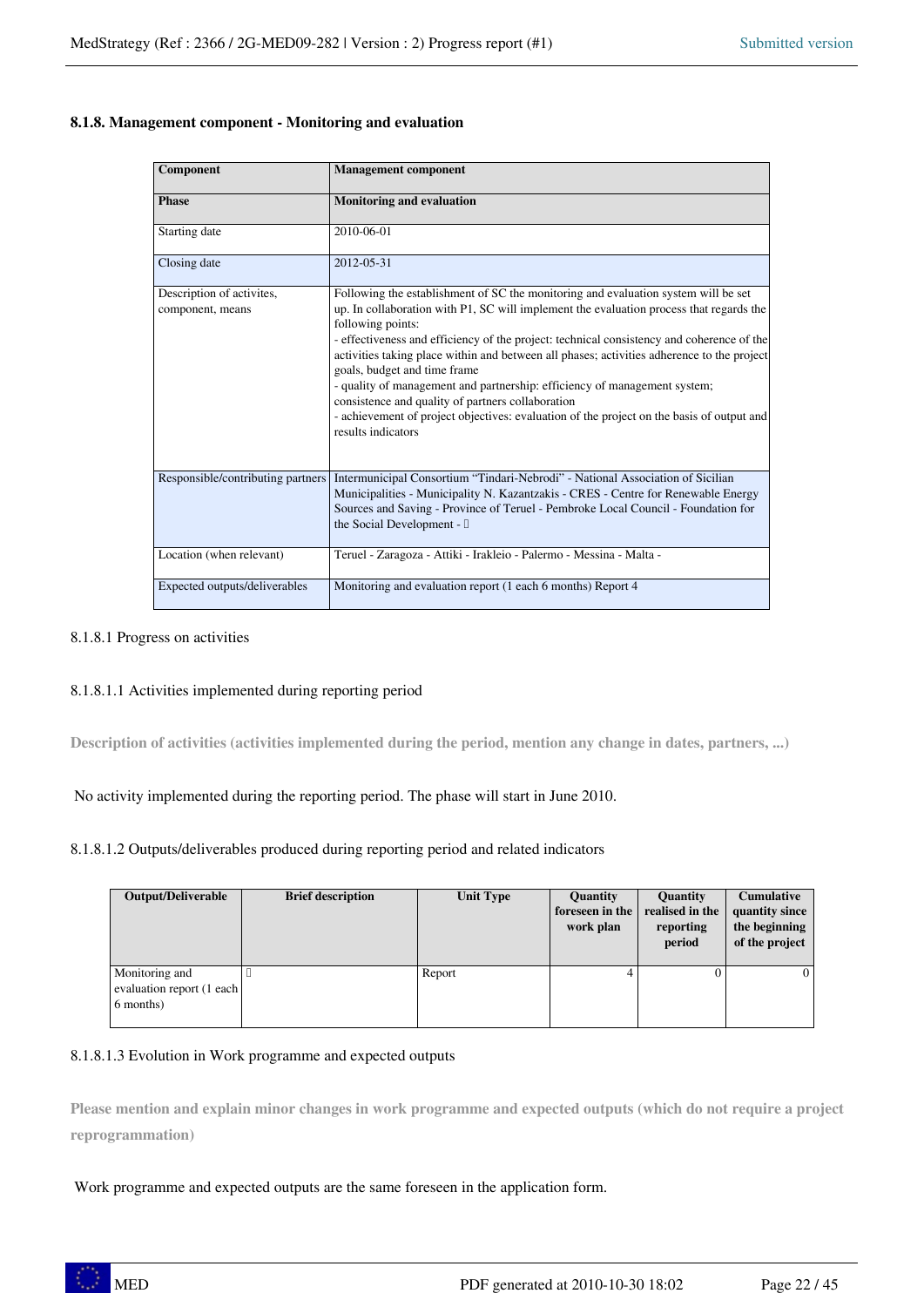|  |  |  |  | 8.1.8. Management component - Monitoring and evaluation |
|--|--|--|--|---------------------------------------------------------|
|--|--|--|--|---------------------------------------------------------|

| Component                         | <b>Management component</b>                                                                                                                                         |
|-----------------------------------|---------------------------------------------------------------------------------------------------------------------------------------------------------------------|
| <b>Phase</b>                      | <b>Monitoring and evaluation</b>                                                                                                                                    |
| Starting date                     | 2010-06-01                                                                                                                                                          |
| Closing date                      | 2012-05-31                                                                                                                                                          |
| Description of activites,         | Following the establishment of SC the monitoring and evaluation system will be set                                                                                  |
| component, means                  | up. In collaboration with P1, SC will implement the evaluation process that regards the<br>following points:                                                        |
|                                   | - effectiveness and efficiency of the project: technical consistency and coherence of the                                                                           |
|                                   | activities taking place within and between all phases; activities adherence to the project<br>goals, budget and time frame                                          |
|                                   | - quality of management and partnership: efficiency of management system;<br>consistence and quality of partners collaboration                                      |
|                                   | - achievement of project objectives: evaluation of the project on the basis of output and<br>results indicators                                                     |
|                                   |                                                                                                                                                                     |
| Responsible/contributing partners | Intermunicipal Consortium "Tindari-Nebrodi" - National Association of Sicilian<br>Municipalities - Municipality N. Kazantzakis - CRES - Centre for Renewable Energy |
|                                   | Sources and Saving - Province of Teruel - Pembroke Local Council - Foundation for                                                                                   |
|                                   | the Social Development - []                                                                                                                                         |
| Location (when relevant)          | Teruel - Zaragoza - Attiki - Irakleio - Palermo - Messina - Malta -                                                                                                 |
| Expected outputs/deliverables     | Monitoring and evaluation report (1 each 6 months) Report 4                                                                                                         |

## 8.1.8.1 Progress on activities

## 8.1.8.1.1 Activities implemented during reporting period

**Description of activities (activities implemented during the period, mention any change in dates, partners, ...)**

No activity implemented during the reporting period. The phase will start in June 2010.

## 8.1.8.1.2 Outputs/deliverables produced during reporting period and related indicators

| <b>Output/Deliverable</b>                                 | <b>Brief description</b> | Unit Type | Quantity<br>foreseen in the<br>work plan | Quantity<br>realised in the<br>reporting<br>period | <b>Cumulative</b><br>quantity since<br>the beginning<br>of the project |
|-----------------------------------------------------------|--------------------------|-----------|------------------------------------------|----------------------------------------------------|------------------------------------------------------------------------|
| Monitoring and<br>evaluation report (1 each)<br>6 months) |                          | Report    |                                          |                                                    |                                                                        |

#### 8.1.8.1.3 Evolution in Work programme and expected outputs

**Please mention and explain minor changes in work programme and expected outputs (which do not require a project reprogrammation)**

Work programme and expected outputs are the same foreseen in the application form.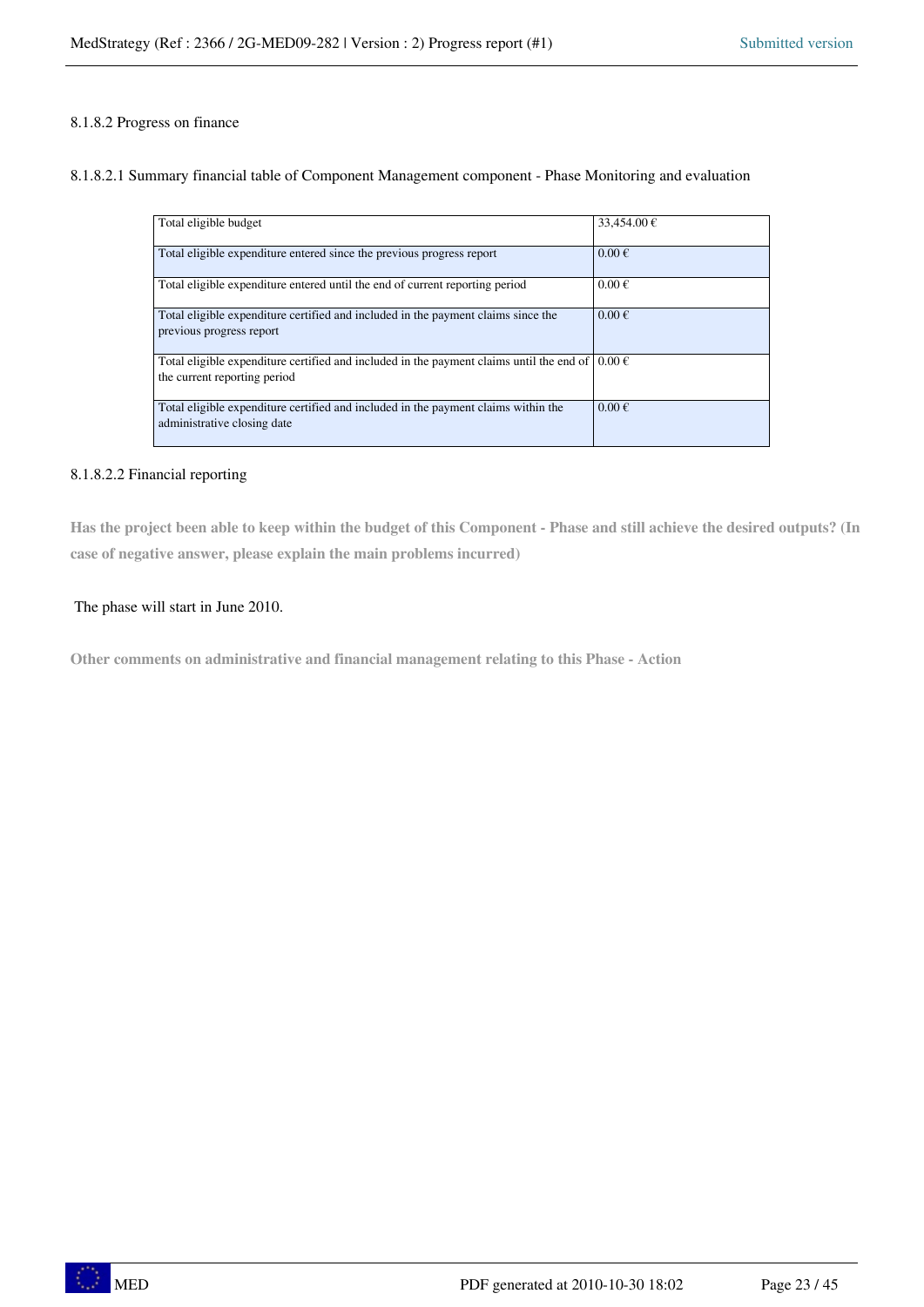#### 8.1.8.2 Progress on finance

## 8.1.8.2.1 Summary financial table of Component Management component - Phase Monitoring and evaluation

| Total eligible budget                                                                                                                | 33,454.00 € |
|--------------------------------------------------------------------------------------------------------------------------------------|-------------|
| Total eligible expenditure entered since the previous progress report                                                                | $0.00 \in$  |
| Total eligible expenditure entered until the end of current reporting period                                                         | $0.00 \in$  |
| Total eligible expenditure certified and included in the payment claims since the<br>previous progress report                        | $0.00 \in$  |
| Total eligible expenditure certified and included in the payment claims until the end of $(0.00 \in$<br>the current reporting period |             |
| Total eligible expenditure certified and included in the payment claims within the<br>administrative closing date                    | $0.00 \in$  |

#### 8.1.8.2.2 Financial reporting

**Has the project been able to keep within the budget of this Component - Phase and still achieve the desired outputs? (In case of negative answer, please explain the main problems incurred)**

#### The phase will start in June 2010.

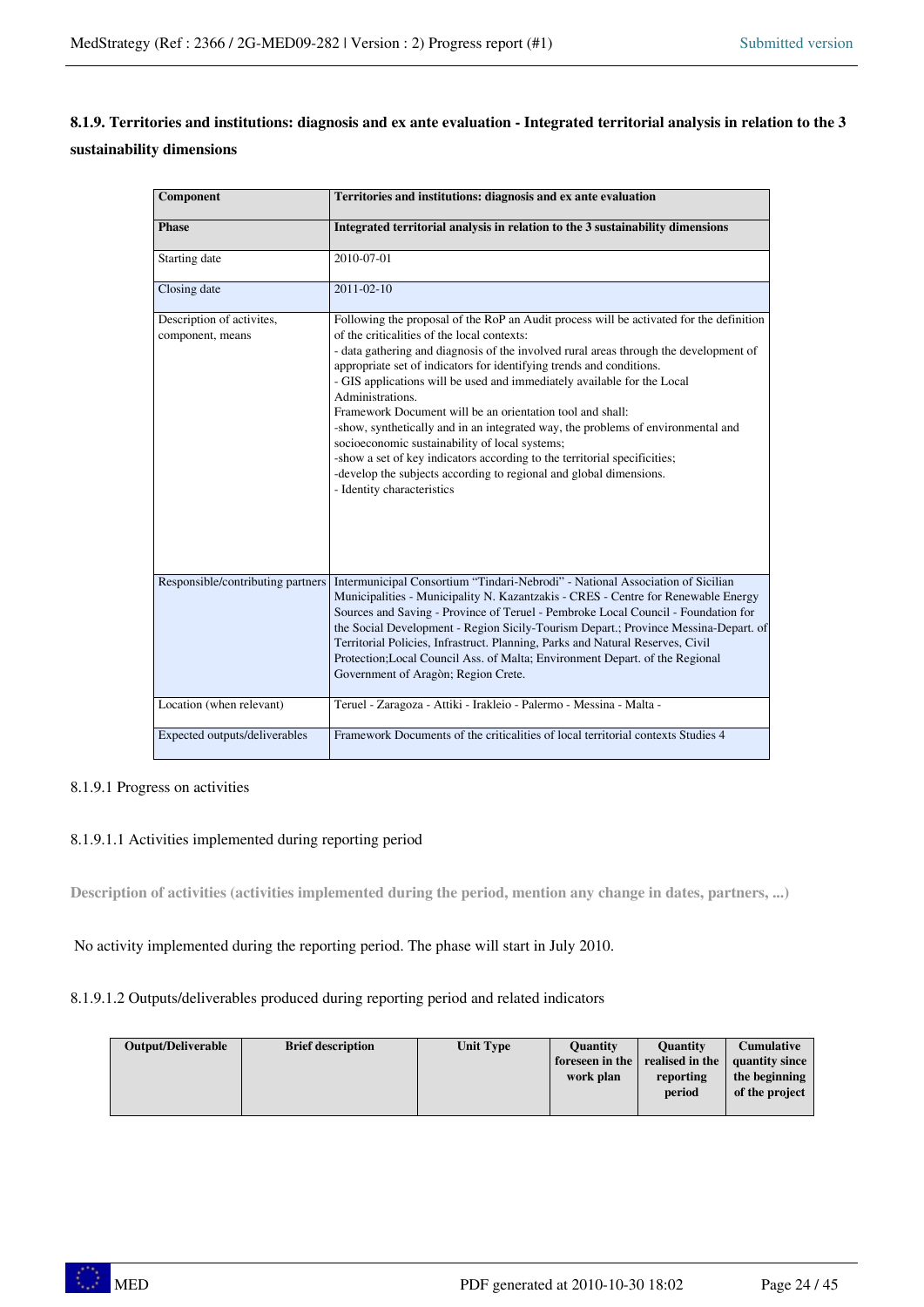## **8.1.9. Territories and institutions: diagnosis and ex ante evaluation - Integrated territorial analysis in relation to the 3 sustainability dimensions**

| Component                                     | Territories and institutions: diagnosis and ex ante evaluation                                                                                                                                                                                                                                                                                                                                                                                                                                                                                                                                                                                                                                                                                                                             |
|-----------------------------------------------|--------------------------------------------------------------------------------------------------------------------------------------------------------------------------------------------------------------------------------------------------------------------------------------------------------------------------------------------------------------------------------------------------------------------------------------------------------------------------------------------------------------------------------------------------------------------------------------------------------------------------------------------------------------------------------------------------------------------------------------------------------------------------------------------|
| <b>Phase</b>                                  | Integrated territorial analysis in relation to the 3 sustainability dimensions                                                                                                                                                                                                                                                                                                                                                                                                                                                                                                                                                                                                                                                                                                             |
| Starting date                                 | 2010-07-01                                                                                                                                                                                                                                                                                                                                                                                                                                                                                                                                                                                                                                                                                                                                                                                 |
| Closing date                                  | 2011-02-10                                                                                                                                                                                                                                                                                                                                                                                                                                                                                                                                                                                                                                                                                                                                                                                 |
| Description of activites,<br>component, means | Following the proposal of the RoP an Audit process will be activated for the definition<br>of the criticalities of the local contexts:<br>- data gathering and diagnosis of the involved rural areas through the development of<br>appropriate set of indicators for identifying trends and conditions.<br>- GIS applications will be used and immediately available for the Local<br>Administrations.<br>Framework Document will be an orientation tool and shall:<br>-show, synthetically and in an integrated way, the problems of environmental and<br>socioeconomic sustainability of local systems;<br>-show a set of key indicators according to the territorial specificities;<br>-develop the subjects according to regional and global dimensions.<br>- Identity characteristics |
| Responsible/contributing partners             | Intermunicipal Consortium "Tindari-Nebrodi" - National Association of Sicilian<br>Municipalities - Municipality N. Kazantzakis - CRES - Centre for Renewable Energy<br>Sources and Saving - Province of Teruel - Pembroke Local Council - Foundation for<br>the Social Development - Region Sicily-Tourism Depart.; Province Messina-Depart. of<br>Territorial Policies, Infrastruct. Planning, Parks and Natural Reserves, Civil<br>Protection; Local Council Ass. of Malta; Environment Depart. of the Regional<br>Government of Aragòn; Region Crete.                                                                                                                                                                                                                                   |
| Location (when relevant)                      | Teruel - Zaragoza - Attiki - Irakleio - Palermo - Messina - Malta -                                                                                                                                                                                                                                                                                                                                                                                                                                                                                                                                                                                                                                                                                                                        |
| Expected outputs/deliverables                 | Framework Documents of the criticalities of local territorial contexts Studies 4                                                                                                                                                                                                                                                                                                                                                                                                                                                                                                                                                                                                                                                                                                           |

## 8.1.9.1 Progress on activities

## 8.1.9.1.1 Activities implemented during reporting period

**Description of activities (activities implemented during the period, mention any change in dates, partners, ...)**

No activity implemented during the reporting period. The phase will start in July 2010.

## 8.1.9.1.2 Outputs/deliverables produced during reporting period and related indicators

| Output/Deliverable | <b>Brief description</b> | Unit Type | <b>Quantity</b> | <b>Quantity</b>                                                | <b>Cumulative</b> |
|--------------------|--------------------------|-----------|-----------------|----------------------------------------------------------------|-------------------|
|                    |                          |           |                 | foreseen in the $\vert$ realised in the $\vert$ quantity since |                   |
|                    |                          |           | work plan       | reporting                                                      | the beginning     |
|                    |                          |           |                 | period                                                         | of the project    |
|                    |                          |           |                 |                                                                |                   |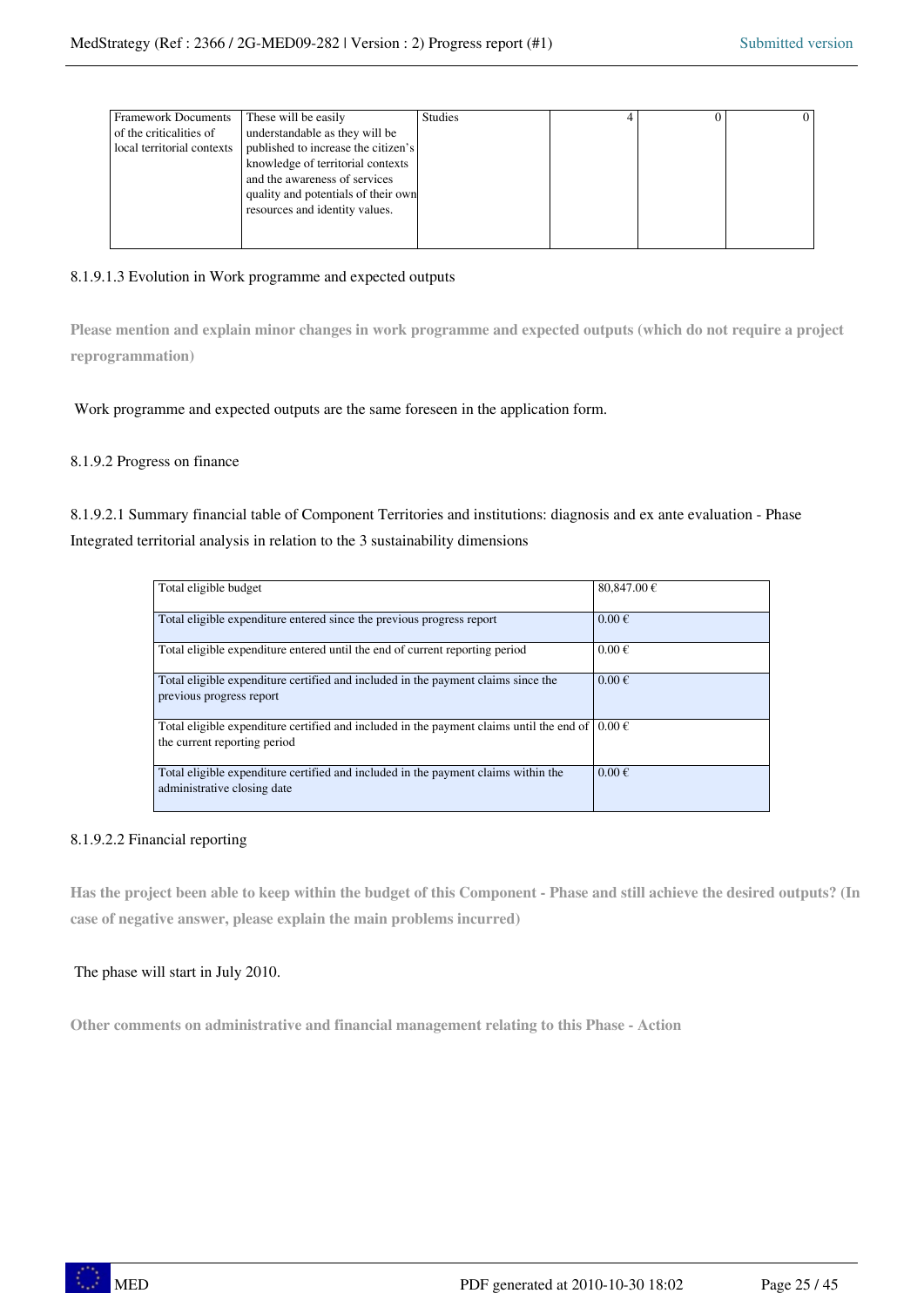| <b>Framework Documents</b> | These will be easily                | <b>Studies</b> |  | $\mathbf{U}$ |
|----------------------------|-------------------------------------|----------------|--|--------------|
| of the criticalities of    | understandable as they will be      |                |  |              |
| local territorial contexts | published to increase the citizen's |                |  |              |
|                            | knowledge of territorial contexts   |                |  |              |
|                            | and the awareness of services       |                |  |              |
|                            | quality and potentials of their own |                |  |              |
|                            | resources and identity values.      |                |  |              |
|                            |                                     |                |  |              |
|                            |                                     |                |  |              |

## 8.1.9.1.3 Evolution in Work programme and expected outputs

**Please mention and explain minor changes in work programme and expected outputs (which do not require a project reprogrammation)**

## Work programme and expected outputs are the same foreseen in the application form.

## 8.1.9.2 Progress on finance

| 8.1.9.2.1 Summary financial table of Component Territories and institutions: diagnosis and ex ante evaluation - Phase |  |
|-----------------------------------------------------------------------------------------------------------------------|--|
| Integrated territorial analysis in relation to the 3 sustainability dimensions                                        |  |

| Total eligible budget                                                                                                                | 80,847.00€ |
|--------------------------------------------------------------------------------------------------------------------------------------|------------|
| Total eligible expenditure entered since the previous progress report                                                                | $0.00 \in$ |
| Total eligible expenditure entered until the end of current reporting period                                                         | $0.00 \in$ |
| Total eligible expenditure certified and included in the payment claims since the<br>previous progress report                        | $0.00 \in$ |
| Total eligible expenditure certified and included in the payment claims until the end of $(0.00 \in$<br>the current reporting period |            |
| Total eligible expenditure certified and included in the payment claims within the<br>administrative closing date                    | $0.00 \in$ |

## 8.1.9.2.2 Financial reporting

**Has the project been able to keep within the budget of this Component - Phase and still achieve the desired outputs? (In case of negative answer, please explain the main problems incurred)**

## The phase will start in July 2010.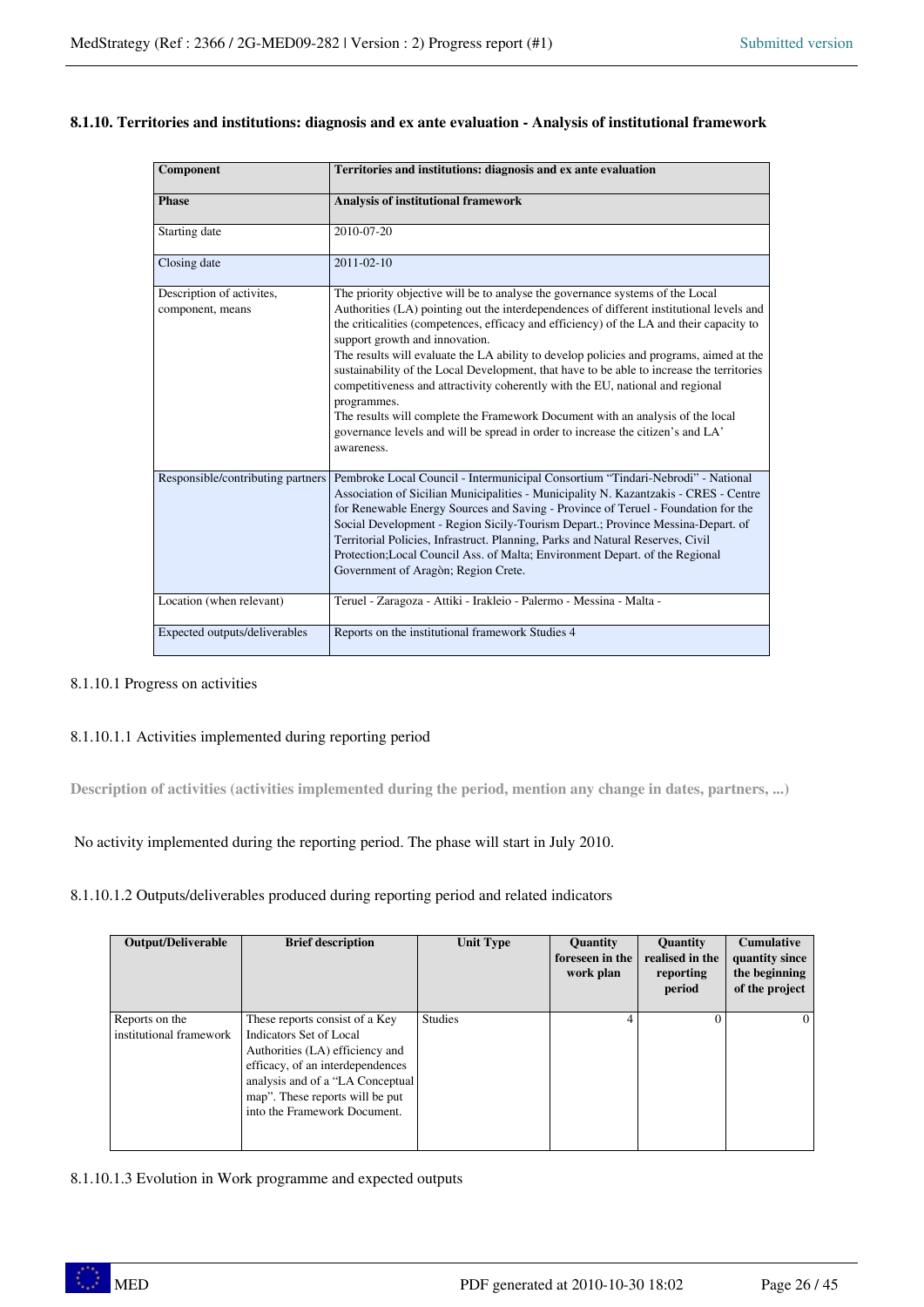| Component                                     | Territories and institutions: diagnosis and ex ante evaluation                                                                                                                                                                                                                                                                                                                                                                                                                                                                                                                                                                                                                                                                                                                      |
|-----------------------------------------------|-------------------------------------------------------------------------------------------------------------------------------------------------------------------------------------------------------------------------------------------------------------------------------------------------------------------------------------------------------------------------------------------------------------------------------------------------------------------------------------------------------------------------------------------------------------------------------------------------------------------------------------------------------------------------------------------------------------------------------------------------------------------------------------|
| <b>Phase</b>                                  | <b>Analysis of institutional framework</b>                                                                                                                                                                                                                                                                                                                                                                                                                                                                                                                                                                                                                                                                                                                                          |
| Starting date                                 | 2010-07-20                                                                                                                                                                                                                                                                                                                                                                                                                                                                                                                                                                                                                                                                                                                                                                          |
| Closing date                                  | 2011-02-10                                                                                                                                                                                                                                                                                                                                                                                                                                                                                                                                                                                                                                                                                                                                                                          |
| Description of activites,<br>component, means | The priority objective will be to analyse the governance systems of the Local<br>Authorities (LA) pointing out the interdependences of different institutional levels and<br>the criticalities (competences, efficacy and efficiency) of the LA and their capacity to<br>support growth and innovation.<br>The results will evaluate the LA ability to develop policies and programs, aimed at the<br>sustainability of the Local Development, that have to be able to increase the territories<br>competitiveness and attractivity coherently with the EU, national and regional<br>programmes.<br>The results will complete the Framework Document with an analysis of the local<br>governance levels and will be spread in order to increase the citizen's and LA'<br>awareness. |
| Responsible/contributing partners             | Pembroke Local Council - Intermunicipal Consortium "Tindari-Nebrodi" - National<br>Association of Sicilian Municipalities - Municipality N. Kazantzakis - CRES - Centre<br>for Renewable Energy Sources and Saving - Province of Teruel - Foundation for the<br>Social Development - Region Sicily-Tourism Depart.; Province Messina-Depart. of<br>Territorial Policies, Infrastruct. Planning, Parks and Natural Reserves, Civil<br>Protection; Local Council Ass. of Malta; Environment Depart. of the Regional<br>Government of Aragòn; Region Crete.                                                                                                                                                                                                                            |
| Location (when relevant)                      | Teruel - Zaragoza - Attiki - Irakleio - Palermo - Messina - Malta -                                                                                                                                                                                                                                                                                                                                                                                                                                                                                                                                                                                                                                                                                                                 |
| Expected outputs/deliverables                 | Reports on the institutional framework Studies 4                                                                                                                                                                                                                                                                                                                                                                                                                                                                                                                                                                                                                                                                                                                                    |

## **8.1.10. Territories and institutions: diagnosis and ex ante evaluation - Analysis of institutional framework**

## 8.1.10.1 Progress on activities

## 8.1.10.1.1 Activities implemented during reporting period

**Description of activities (activities implemented during the period, mention any change in dates, partners, ...)**

No activity implemented during the reporting period. The phase will start in July 2010.

## 8.1.10.1.2 Outputs/deliverables produced during reporting period and related indicators

| <b>Output/Deliverable</b>                 | <b>Brief description</b>                                                                                                                                                                                                                | <b>Unit Type</b> | <b>Quantity</b><br>foreseen in the<br>work plan | <b>Quantity</b><br>realised in the<br>reporting<br>period | <b>Cumulative</b><br>quantity since<br>the beginning<br>of the project |
|-------------------------------------------|-----------------------------------------------------------------------------------------------------------------------------------------------------------------------------------------------------------------------------------------|------------------|-------------------------------------------------|-----------------------------------------------------------|------------------------------------------------------------------------|
| Reports on the<br>institutional framework | These reports consist of a Key<br>Indicators Set of Local<br>Authorities (LA) efficiency and<br>efficacy, of an interdependences<br>analysis and of a "LA Conceptual<br>map". These reports will be put<br>into the Framework Document. | <b>Studies</b>   |                                                 |                                                           | $\Omega$                                                               |

8.1.10.1.3 Evolution in Work programme and expected outputs

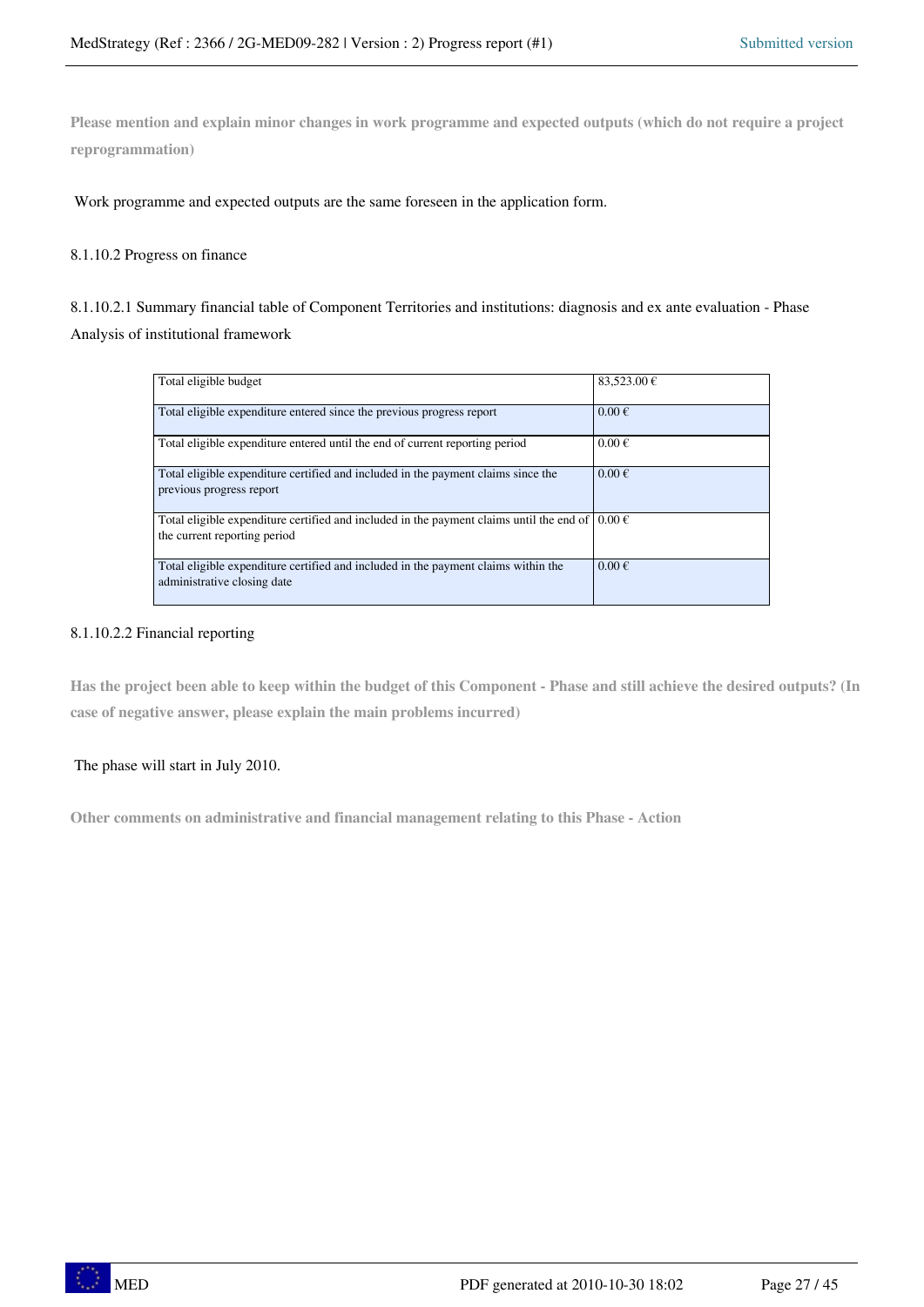**Please mention and explain minor changes in work programme and expected outputs (which do not require a project reprogrammation)**

Work programme and expected outputs are the same foreseen in the application form.

#### 8.1.10.2 Progress on finance

8.1.10.2.1 Summary financial table of Component Territories and institutions: diagnosis and ex ante evaluation - Phase Analysis of institutional framework

| Total eligible budget                                                                                                    | 83,523.00 € |
|--------------------------------------------------------------------------------------------------------------------------|-------------|
| Total eligible expenditure entered since the previous progress report                                                    | $0.00 \in$  |
| Total eligible expenditure entered until the end of current reporting period                                             | $0.00 \in$  |
| Total eligible expenditure certified and included in the payment claims since the<br>previous progress report            | $0.00 \in$  |
| Total eligible expenditure certified and included in the payment claims until the end of<br>the current reporting period | $0.00 \in$  |
| Total eligible expenditure certified and included in the payment claims within the<br>administrative closing date        | $0.00 \in$  |

## 8.1.10.2.2 Financial reporting

**Has the project been able to keep within the budget of this Component - Phase and still achieve the desired outputs? (In case of negative answer, please explain the main problems incurred)**

## The phase will start in July 2010.

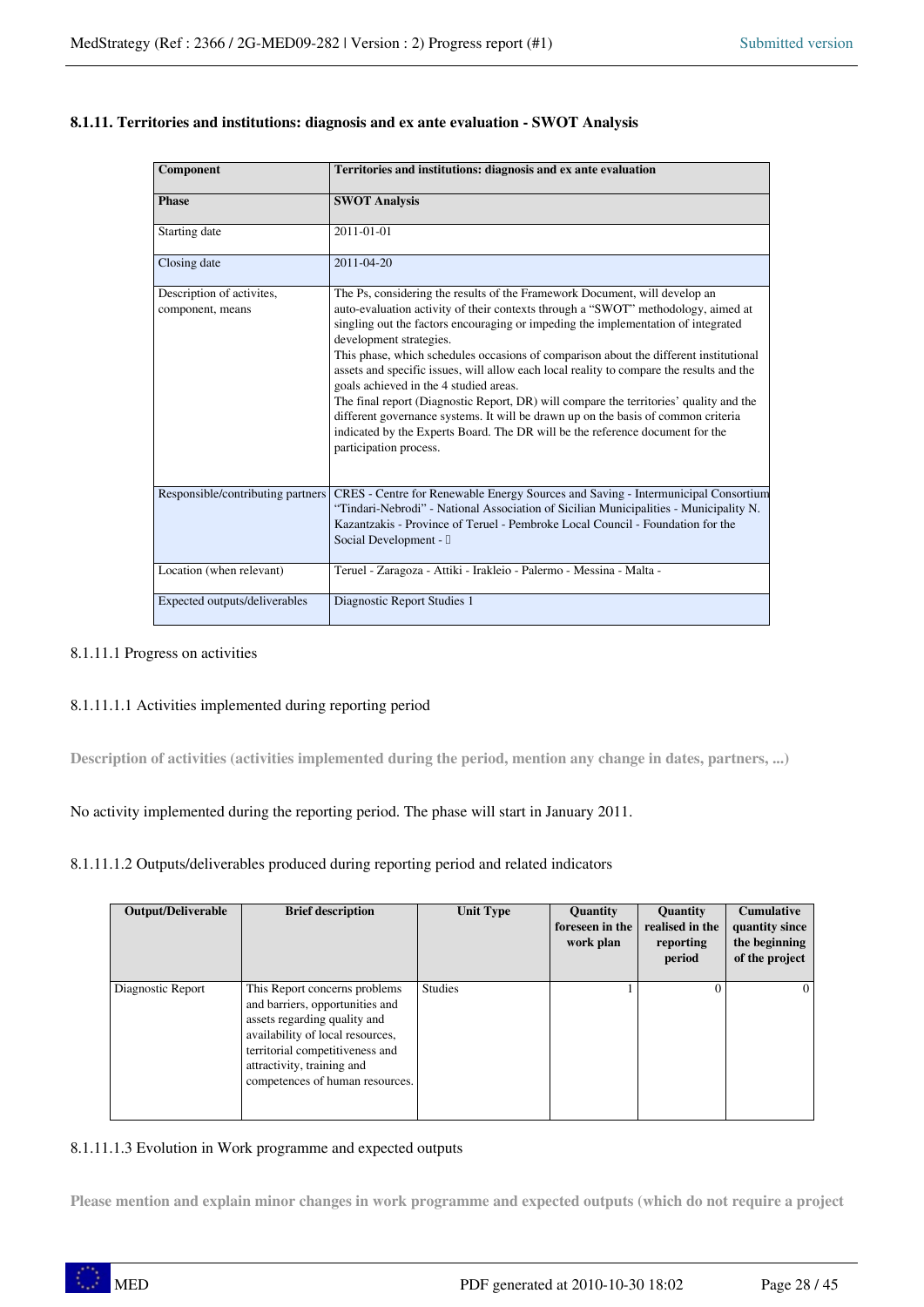| Component                                     | Territories and institutions: diagnosis and ex ante evaluation                                                                                                                                                                                                                                                                                                                                                                                                                                                                                                                                                                                                                                                                                                                                           |
|-----------------------------------------------|----------------------------------------------------------------------------------------------------------------------------------------------------------------------------------------------------------------------------------------------------------------------------------------------------------------------------------------------------------------------------------------------------------------------------------------------------------------------------------------------------------------------------------------------------------------------------------------------------------------------------------------------------------------------------------------------------------------------------------------------------------------------------------------------------------|
| <b>Phase</b>                                  | <b>SWOT Analysis</b>                                                                                                                                                                                                                                                                                                                                                                                                                                                                                                                                                                                                                                                                                                                                                                                     |
| Starting date                                 | 2011-01-01                                                                                                                                                                                                                                                                                                                                                                                                                                                                                                                                                                                                                                                                                                                                                                                               |
| Closing date                                  | 2011-04-20                                                                                                                                                                                                                                                                                                                                                                                                                                                                                                                                                                                                                                                                                                                                                                                               |
| Description of activites,<br>component, means | The Ps, considering the results of the Framework Document, will develop an<br>auto-evaluation activity of their contexts through a "SWOT" methodology, aimed at<br>singling out the factors encouraging or impeding the implementation of integrated<br>development strategies.<br>This phase, which schedules occasions of comparison about the different institutional<br>assets and specific issues, will allow each local reality to compare the results and the<br>goals achieved in the 4 studied areas.<br>The final report (Diagnostic Report, DR) will compare the territories' quality and the<br>different governance systems. It will be drawn up on the basis of common criteria<br>indicated by the Experts Board. The DR will be the reference document for the<br>participation process. |
| Responsible/contributing partners             | CRES - Centre for Renewable Energy Sources and Saving - Intermunicipal Consortium<br>"Tindari-Nebrodi" - National Association of Sicilian Municipalities - Municipality N.<br>Kazantzakis - Province of Teruel - Pembroke Local Council - Foundation for the<br>Social Development - I                                                                                                                                                                                                                                                                                                                                                                                                                                                                                                                   |
| Location (when relevant)                      | Teruel - Zaragoza - Attiki - Irakleio - Palermo - Messina - Malta -                                                                                                                                                                                                                                                                                                                                                                                                                                                                                                                                                                                                                                                                                                                                      |
| Expected outputs/deliverables                 | Diagnostic Report Studies 1                                                                                                                                                                                                                                                                                                                                                                                                                                                                                                                                                                                                                                                                                                                                                                              |

## **8.1.11. Territories and institutions: diagnosis and ex ante evaluation - SWOT Analysis**

## 8.1.11.1 Progress on activities

#### 8.1.11.1.1 Activities implemented during reporting period

**Description of activities (activities implemented during the period, mention any change in dates, partners, ...)**

No activity implemented during the reporting period. The phase will start in January 2011.

8.1.11.1.2 Outputs/deliverables produced during reporting period and related indicators

| <b>Output/Deliverable</b> | <b>Brief description</b>                                                                                                                                                                                                                 | <b>Unit Type</b> | Quantity<br>foreseen in the<br>work plan | <b>Quantity</b><br>realised in the<br>reporting<br>period | <b>Cumulative</b><br>quantity since<br>the beginning<br>of the project |
|---------------------------|------------------------------------------------------------------------------------------------------------------------------------------------------------------------------------------------------------------------------------------|------------------|------------------------------------------|-----------------------------------------------------------|------------------------------------------------------------------------|
| Diagnostic Report         | This Report concerns problems<br>and barriers, opportunities and<br>assets regarding quality and<br>availability of local resources,<br>territorial competitiveness and<br>attractivity, training and<br>competences of human resources. | <b>Studies</b>   |                                          | 0                                                         | $\Omega$                                                               |

## 8.1.11.1.3 Evolution in Work programme and expected outputs

**Please mention and explain minor changes in work programme and expected outputs (which do not require a project**

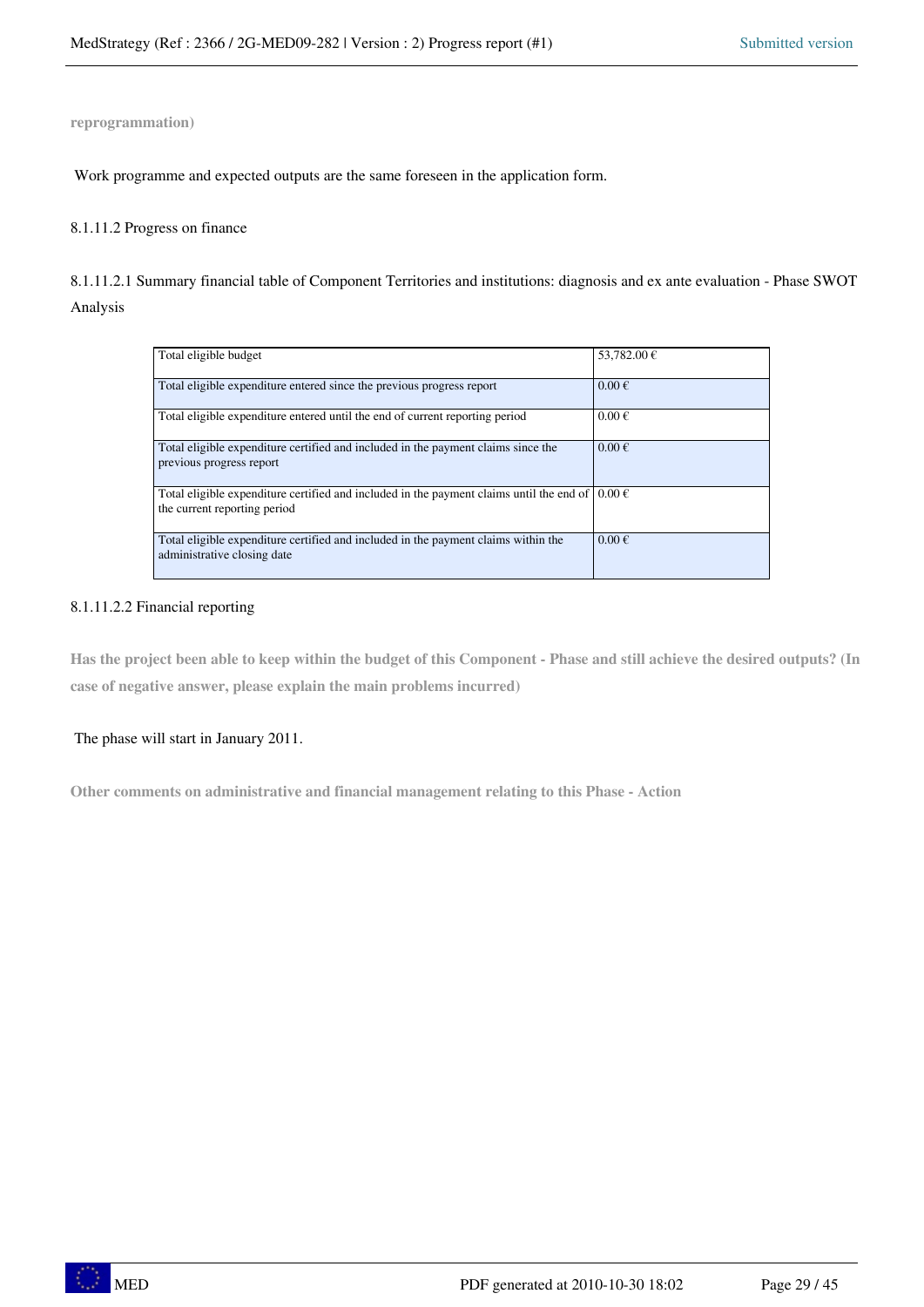**reprogrammation)**

Work programme and expected outputs are the same foreseen in the application form.

## 8.1.11.2 Progress on finance

8.1.11.2.1 Summary financial table of Component Territories and institutions: diagnosis and ex ante evaluation - Phase SWOT Analysis

| Total eligible budget                                                                                                    | 53,782,00€ |
|--------------------------------------------------------------------------------------------------------------------------|------------|
| Total eligible expenditure entered since the previous progress report                                                    | $0.00 \in$ |
| Total eligible expenditure entered until the end of current reporting period                                             | $0.00 \in$ |
| Total eligible expenditure certified and included in the payment claims since the<br>previous progress report            | $0.00 \in$ |
| Total eligible expenditure certified and included in the payment claims until the end of<br>the current reporting period | $0.00 \in$ |
| Total eligible expenditure certified and included in the payment claims within the<br>administrative closing date        | $0.00 \in$ |

## 8.1.11.2.2 Financial reporting

**Has the project been able to keep within the budget of this Component - Phase and still achieve the desired outputs? (In case of negative answer, please explain the main problems incurred)**

## The phase will start in January 2011.

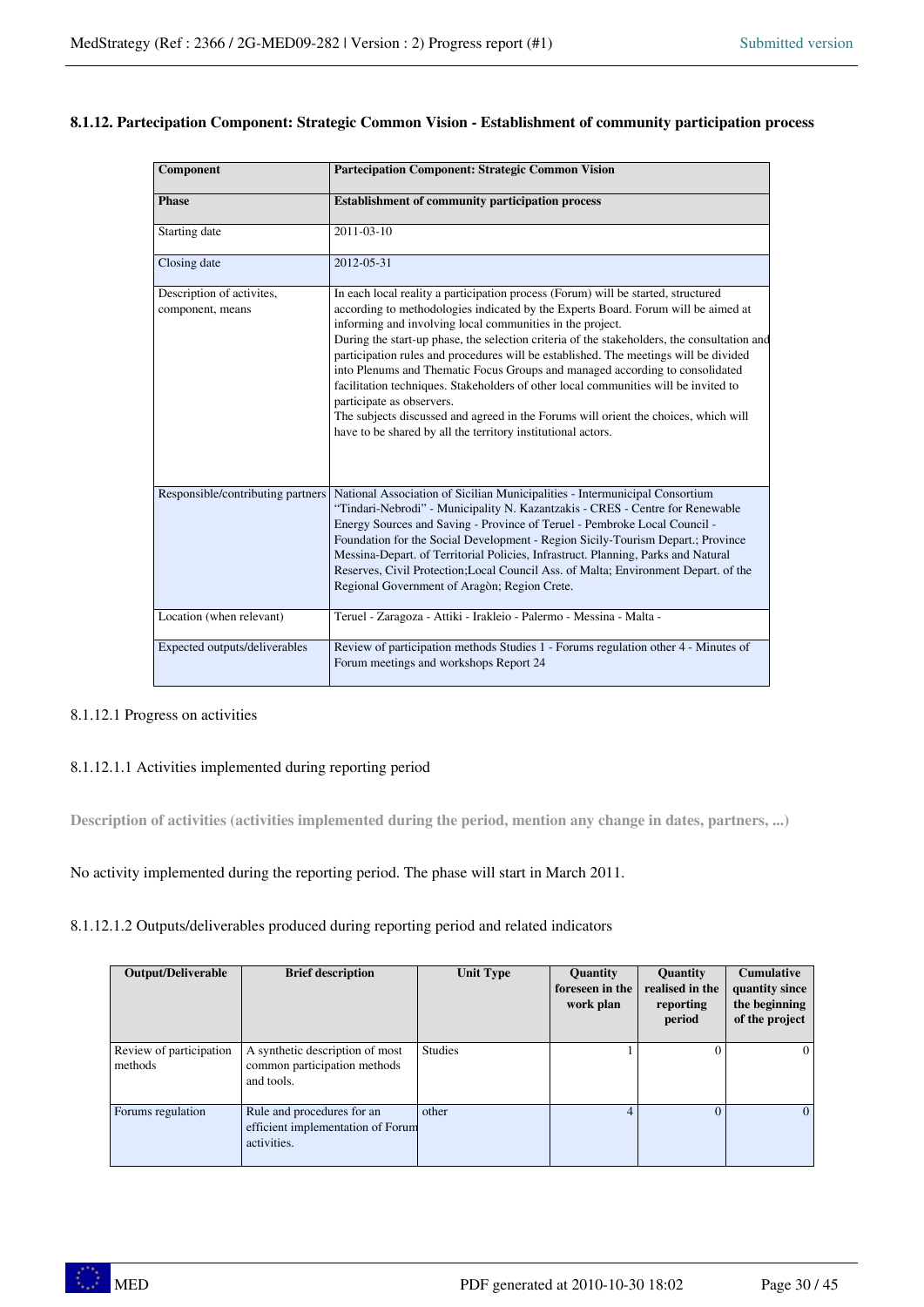| Component                                     | Partecipation Component: Strategic Common Vision                                                                                                                                                                                                                                                                                                                                                                                                                                                                                                                                                                                                                                                                                                                                      |
|-----------------------------------------------|---------------------------------------------------------------------------------------------------------------------------------------------------------------------------------------------------------------------------------------------------------------------------------------------------------------------------------------------------------------------------------------------------------------------------------------------------------------------------------------------------------------------------------------------------------------------------------------------------------------------------------------------------------------------------------------------------------------------------------------------------------------------------------------|
| <b>Phase</b>                                  | <b>Establishment of community participation process</b>                                                                                                                                                                                                                                                                                                                                                                                                                                                                                                                                                                                                                                                                                                                               |
| Starting date                                 | 2011-03-10                                                                                                                                                                                                                                                                                                                                                                                                                                                                                                                                                                                                                                                                                                                                                                            |
| Closing date                                  | 2012-05-31                                                                                                                                                                                                                                                                                                                                                                                                                                                                                                                                                                                                                                                                                                                                                                            |
| Description of activites,<br>component, means | In each local reality a participation process (Forum) will be started, structured<br>according to methodologies indicated by the Experts Board. Forum will be aimed at<br>informing and involving local communities in the project.<br>During the start-up phase, the selection criteria of the stakeholders, the consultation and<br>participation rules and procedures will be established. The meetings will be divided<br>into Plenums and Thematic Focus Groups and managed according to consolidated<br>facilitation techniques. Stakeholders of other local communities will be invited to<br>participate as observers.<br>The subjects discussed and agreed in the Forums will orient the choices, which will<br>have to be shared by all the territory institutional actors. |
| Responsible/contributing partners             | National Association of Sicilian Municipalities - Intermunicipal Consortium<br>"Tindari-Nebrodi" - Municipality N. Kazantzakis - CRES - Centre for Renewable<br>Energy Sources and Saving - Province of Teruel - Pembroke Local Council -<br>Foundation for the Social Development - Region Sicily-Tourism Depart.; Province<br>Messina-Depart. of Territorial Policies, Infrastruct. Planning, Parks and Natural<br>Reserves, Civil Protection; Local Council Ass. of Malta; Environment Depart. of the<br>Regional Government of Aragòn; Region Crete.                                                                                                                                                                                                                              |
| Location (when relevant)                      | Teruel - Zaragoza - Attiki - Irakleio - Palermo - Messina - Malta -                                                                                                                                                                                                                                                                                                                                                                                                                                                                                                                                                                                                                                                                                                                   |
| Expected outputs/deliverables                 | Review of participation methods Studies 1 - Forums regulation other 4 - Minutes of<br>Forum meetings and workshops Report 24                                                                                                                                                                                                                                                                                                                                                                                                                                                                                                                                                                                                                                                          |

## **8.1.12. Partecipation Component: Strategic Common Vision - Establishment of community participation process**

## 8.1.12.1 Progress on activities

## 8.1.12.1.1 Activities implemented during reporting period

**Description of activities (activities implemented during the period, mention any change in dates, partners, ...)**

No activity implemented during the reporting period. The phase will start in March 2011.

## 8.1.12.1.2 Outputs/deliverables produced during reporting period and related indicators

| <b>Output/Deliverable</b>          | <b>Brief description</b>                                                       | <b>Unit Type</b> | Quantity<br>foreseen in the<br>work plan | <b>Quantity</b><br>realised in the<br>reporting<br>period | <b>Cumulative</b><br>quantity since<br>the beginning<br>of the project |
|------------------------------------|--------------------------------------------------------------------------------|------------------|------------------------------------------|-----------------------------------------------------------|------------------------------------------------------------------------|
| Review of participation<br>methods | A synthetic description of most<br>common participation methods<br>and tools.  | <b>Studies</b>   |                                          | $\Omega$                                                  |                                                                        |
| Forums regulation                  | Rule and procedures for an<br>efficient implementation of Forum<br>activities. | other            |                                          | $\Omega$                                                  | $\Omega$                                                               |

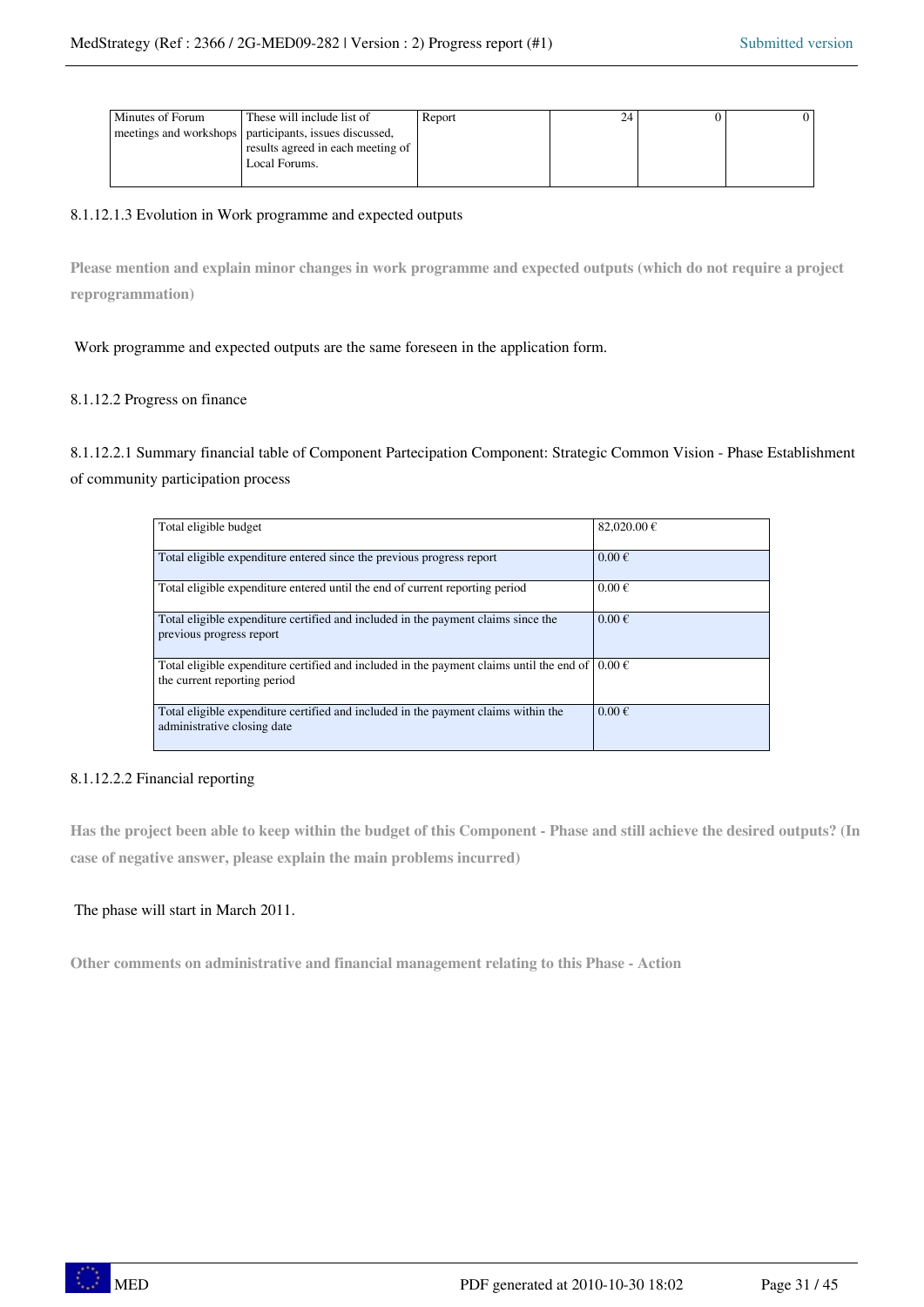| Minutes of Forum | These will include list of                               | Report | 24 |  |
|------------------|----------------------------------------------------------|--------|----|--|
|                  | meetings and workshops   participants, issues discussed, |        |    |  |
|                  | results agreed in each meeting of                        |        |    |  |
|                  | Local Forums.                                            |        |    |  |
|                  |                                                          |        |    |  |

## 8.1.12.1.3 Evolution in Work programme and expected outputs

**Please mention and explain minor changes in work programme and expected outputs (which do not require a project reprogrammation)**

Work programme and expected outputs are the same foreseen in the application form.

## 8.1.12.2 Progress on finance

8.1.12.2.1 Summary financial table of Component Partecipation Component: Strategic Common Vision - Phase Establishment of community participation process

| Total eligible budget                                                                                                                | 82,020.00€ |
|--------------------------------------------------------------------------------------------------------------------------------------|------------|
| Total eligible expenditure entered since the previous progress report                                                                | $0.00 \in$ |
| Total eligible expenditure entered until the end of current reporting period                                                         | $0.00 \in$ |
| Total eligible expenditure certified and included in the payment claims since the<br>previous progress report                        | $0.00 \in$ |
| Total eligible expenditure certified and included in the payment claims until the end of $(0.00 \in$<br>the current reporting period |            |
| Total eligible expenditure certified and included in the payment claims within the<br>administrative closing date                    | $0.00 \in$ |

## 8.1.12.2.2 Financial reporting

**Has the project been able to keep within the budget of this Component - Phase and still achieve the desired outputs? (In case of negative answer, please explain the main problems incurred)**

## The phase will start in March 2011.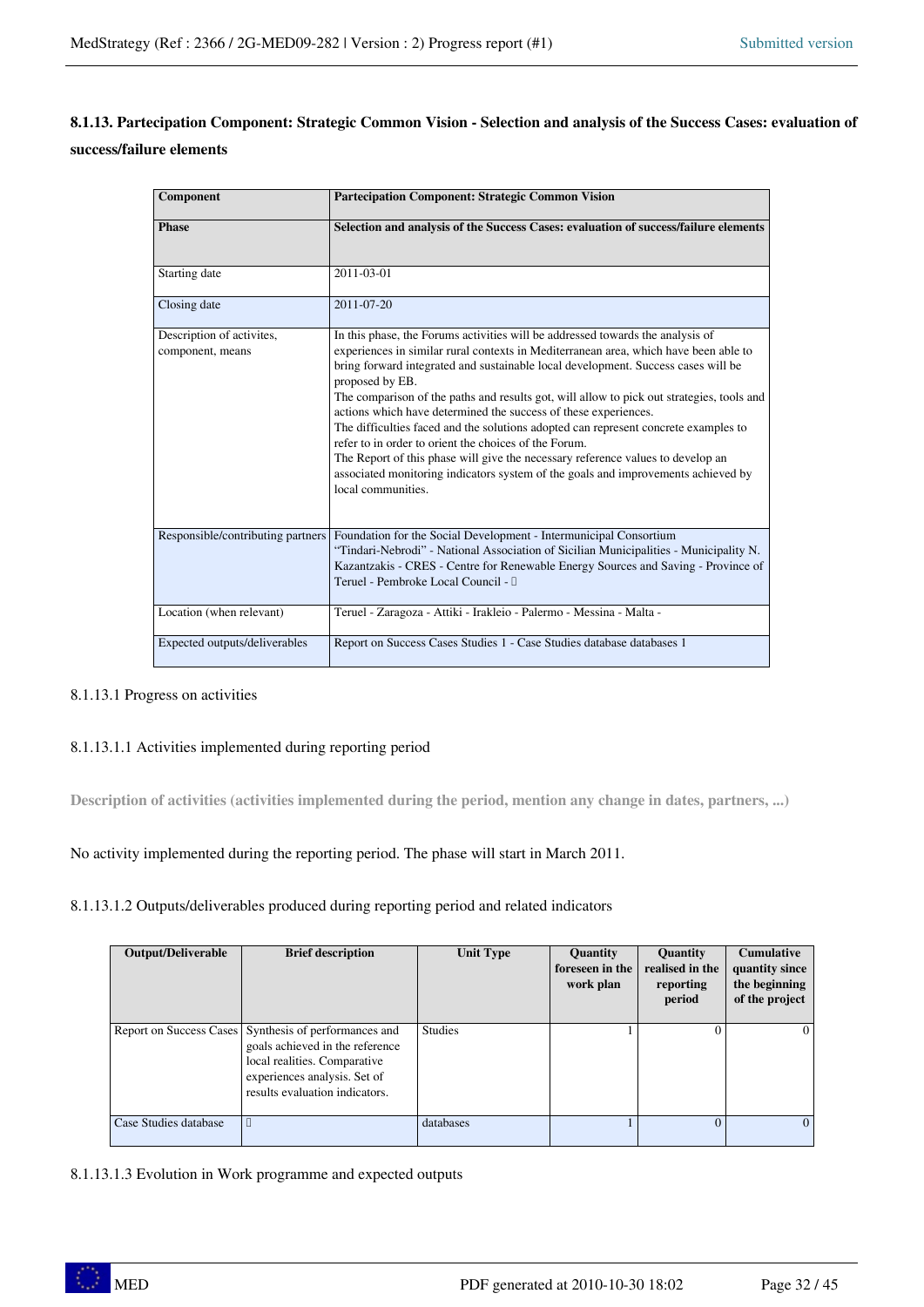## **8.1.13. Partecipation Component: Strategic Common Vision - Selection and analysis of the Success Cases: evaluation of success/failure elements**

| Component                                     | <b>Partecipation Component: Strategic Common Vision</b>                                                                                                                                                                                                                                                                                                                                                                                                                                                                                                                                                                                                                                                                                                                                      |
|-----------------------------------------------|----------------------------------------------------------------------------------------------------------------------------------------------------------------------------------------------------------------------------------------------------------------------------------------------------------------------------------------------------------------------------------------------------------------------------------------------------------------------------------------------------------------------------------------------------------------------------------------------------------------------------------------------------------------------------------------------------------------------------------------------------------------------------------------------|
| <b>Phase</b>                                  | Selection and analysis of the Success Cases: evaluation of success/failure elements                                                                                                                                                                                                                                                                                                                                                                                                                                                                                                                                                                                                                                                                                                          |
| Starting date                                 | 2011-03-01                                                                                                                                                                                                                                                                                                                                                                                                                                                                                                                                                                                                                                                                                                                                                                                   |
| Closing date                                  | $2011 - 07 - 20$                                                                                                                                                                                                                                                                                                                                                                                                                                                                                                                                                                                                                                                                                                                                                                             |
| Description of activites,<br>component, means | In this phase, the Forums activities will be addressed towards the analysis of<br>experiences in similar rural contexts in Mediterranean area, which have been able to<br>bring forward integrated and sustainable local development. Success cases will be<br>proposed by EB.<br>The comparison of the paths and results got, will allow to pick out strategies, tools and<br>actions which have determined the success of these experiences.<br>The difficulties faced and the solutions adopted can represent concrete examples to<br>refer to in order to orient the choices of the Forum.<br>The Report of this phase will give the necessary reference values to develop an<br>associated monitoring indicators system of the goals and improvements achieved by<br>local communities. |
| Responsible/contributing partners             | Foundation for the Social Development - Intermunicipal Consortium<br>"Tindari-Nebrodi" - National Association of Sicilian Municipalities - Municipality N.<br>Kazantzakis - CRES - Centre for Renewable Energy Sources and Saving - Province of<br>Teruel - Pembroke Local Council - []                                                                                                                                                                                                                                                                                                                                                                                                                                                                                                      |
| Location (when relevant)                      | Teruel - Zaragoza - Attiki - Irakleio - Palermo - Messina - Malta -                                                                                                                                                                                                                                                                                                                                                                                                                                                                                                                                                                                                                                                                                                                          |
| Expected outputs/deliverables                 | Report on Success Cases Studies 1 - Case Studies database databases 1                                                                                                                                                                                                                                                                                                                                                                                                                                                                                                                                                                                                                                                                                                                        |

## 8.1.13.1 Progress on activities

## 8.1.13.1.1 Activities implemented during reporting period

**Description of activities (activities implemented during the period, mention any change in dates, partners, ...)**

## No activity implemented during the reporting period. The phase will start in March 2011.

## 8.1.13.1.2 Outputs/deliverables produced during reporting period and related indicators

| <b>Output/Deliverable</b> | <b>Brief description</b>                                                                                                                                           | <b>Unit Type</b> | <b>Quantity</b><br>foreseen in the<br>work plan | Quantity<br>realised in the<br>reporting<br>period | <b>Cumulative</b><br>quantity since<br>the beginning<br>of the project |
|---------------------------|--------------------------------------------------------------------------------------------------------------------------------------------------------------------|------------------|-------------------------------------------------|----------------------------------------------------|------------------------------------------------------------------------|
| Report on Success Cases   | Synthesis of performances and<br>goals achieved in the reference<br>local realities. Comparative<br>experiences analysis. Set of<br>results evaluation indicators. | <b>Studies</b>   |                                                 |                                                    | $\Omega$                                                               |
| Case Studies database     |                                                                                                                                                                    | databases        |                                                 |                                                    | $\theta$                                                               |

8.1.13.1.3 Evolution in Work programme and expected outputs

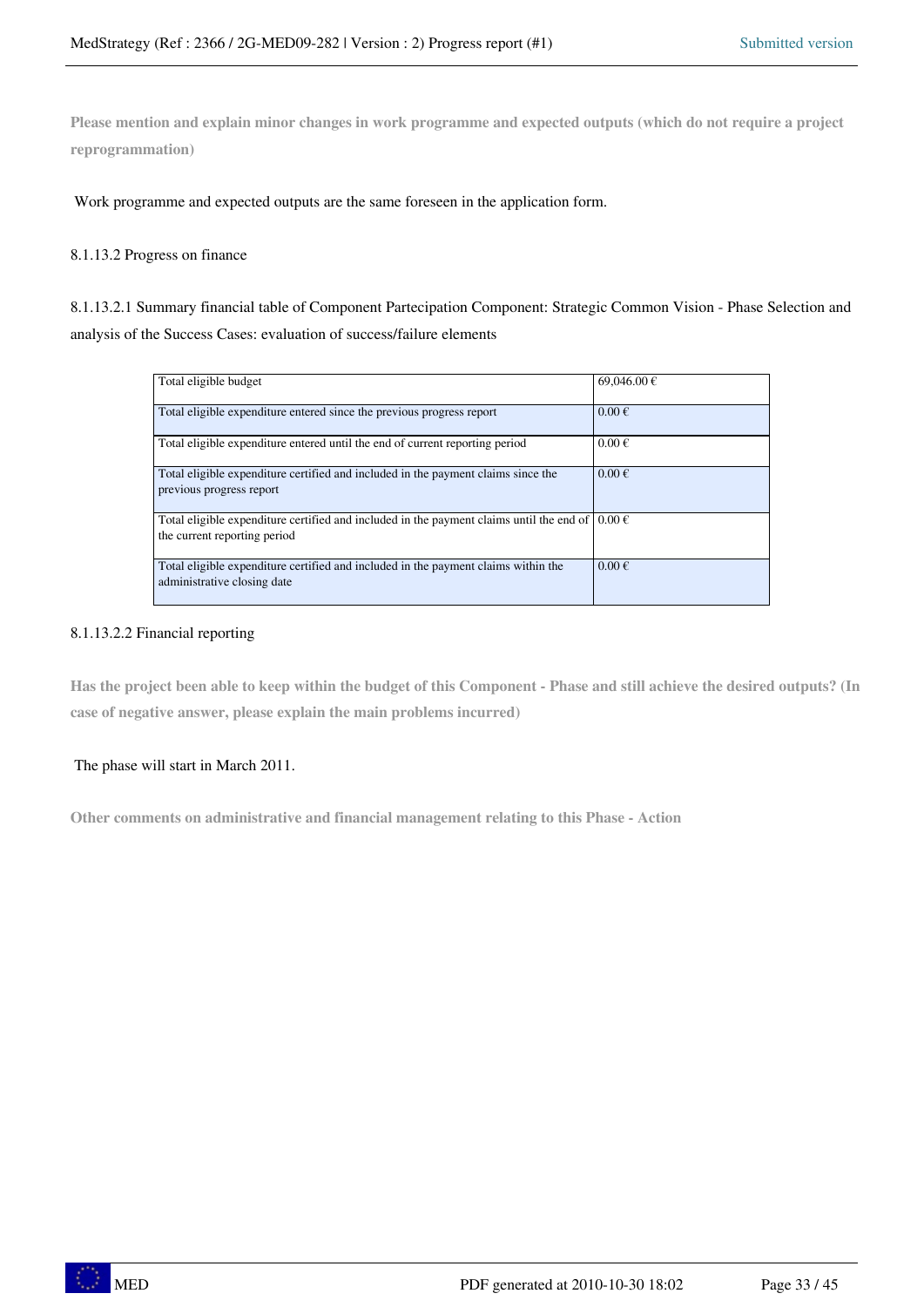**Please mention and explain minor changes in work programme and expected outputs (which do not require a project reprogrammation)**

Work programme and expected outputs are the same foreseen in the application form.

## 8.1.13.2 Progress on finance

8.1.13.2.1 Summary financial table of Component Partecipation Component: Strategic Common Vision - Phase Selection and analysis of the Success Cases: evaluation of success/failure elements

| Total eligible budget                                                                                                                | 69,046.00 € |
|--------------------------------------------------------------------------------------------------------------------------------------|-------------|
| Total eligible expenditure entered since the previous progress report                                                                | $0.00 \in$  |
| Total eligible expenditure entered until the end of current reporting period                                                         | $0.00 \in$  |
| Total eligible expenditure certified and included in the payment claims since the<br>previous progress report                        | $0.00 \in$  |
| Total eligible expenditure certified and included in the payment claims until the end of $(0.00 \in$<br>the current reporting period |             |
| Total eligible expenditure certified and included in the payment claims within the<br>administrative closing date                    | $0.00 \in$  |

#### 8.1.13.2.2 Financial reporting

**Has the project been able to keep within the budget of this Component - Phase and still achieve the desired outputs? (In case of negative answer, please explain the main problems incurred)**

## The phase will start in March 2011.

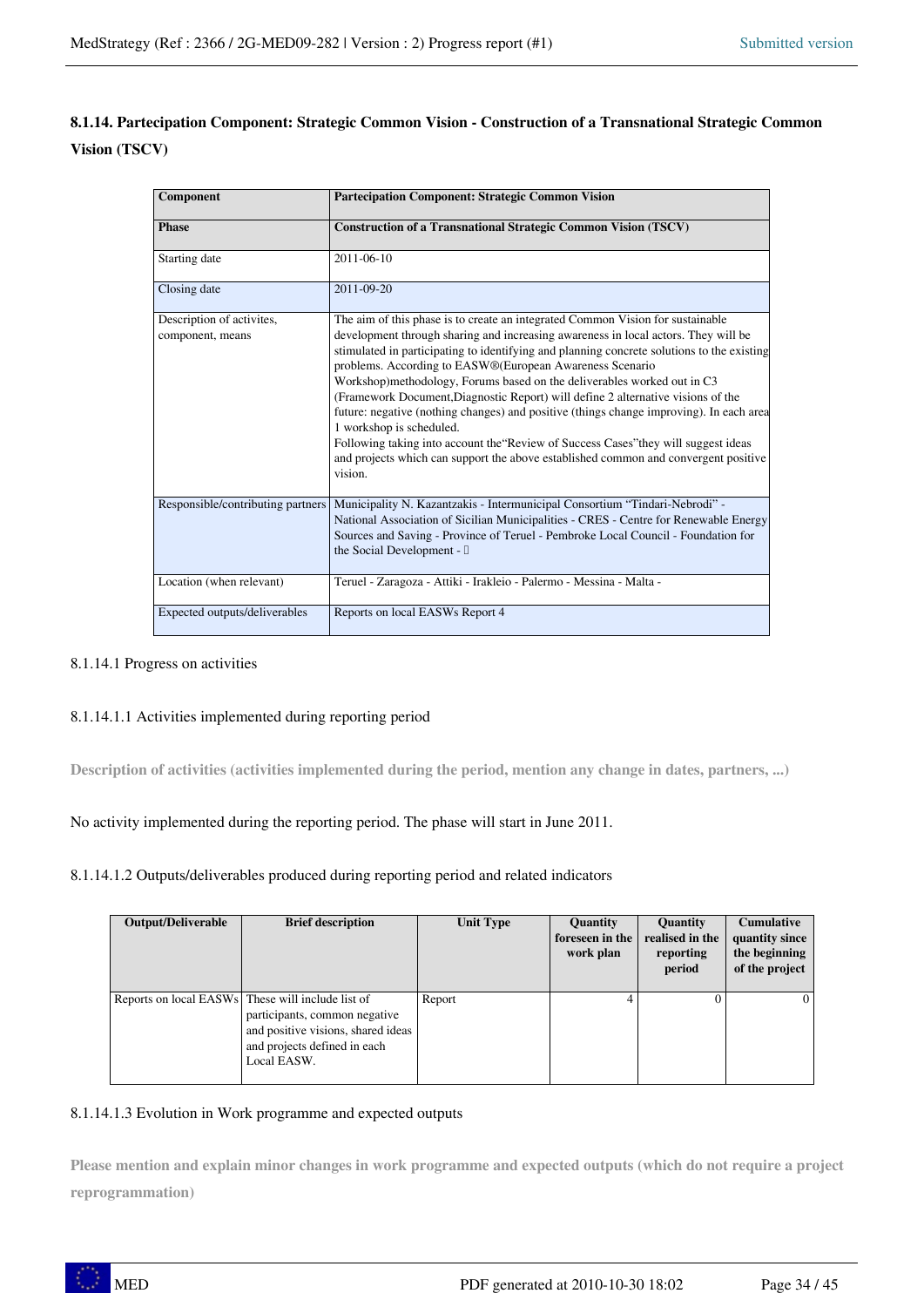## **8.1.14. Partecipation Component: Strategic Common Vision - Construction of a Transnational Strategic Common Vision (TSCV)**

| Component                                     | <b>Partecipation Component: Strategic Common Vision</b>                                                                                                                                                                                                                                                                                                                                                                                                                                                                                                                                                                                                                                                                                                                                                        |
|-----------------------------------------------|----------------------------------------------------------------------------------------------------------------------------------------------------------------------------------------------------------------------------------------------------------------------------------------------------------------------------------------------------------------------------------------------------------------------------------------------------------------------------------------------------------------------------------------------------------------------------------------------------------------------------------------------------------------------------------------------------------------------------------------------------------------------------------------------------------------|
| <b>Phase</b>                                  | <b>Construction of a Transnational Strategic Common Vision (TSCV)</b>                                                                                                                                                                                                                                                                                                                                                                                                                                                                                                                                                                                                                                                                                                                                          |
| Starting date                                 | 2011-06-10                                                                                                                                                                                                                                                                                                                                                                                                                                                                                                                                                                                                                                                                                                                                                                                                     |
| Closing date                                  | 2011-09-20                                                                                                                                                                                                                                                                                                                                                                                                                                                                                                                                                                                                                                                                                                                                                                                                     |
| Description of activites,<br>component, means | The aim of this phase is to create an integrated Common Vision for sustainable<br>development through sharing and increasing awareness in local actors. They will be<br>stimulated in participating to identifying and planning concrete solutions to the existing<br>problems. According to EASW®(European Awareness Scenario<br>Workshop) methodology, Forums based on the deliverables worked out in C3<br>(Framework Document, Diagnostic Report) will define 2 alternative visions of the<br>future: negative (nothing changes) and positive (things change improving). In each area<br>1 workshop is scheduled.<br>Following taking into account the "Review of Success Cases" they will suggest ideas<br>and projects which can support the above established common and convergent positive<br>vision. |
| Responsible/contributing partners             | Municipality N. Kazantzakis - Intermunicipal Consortium "Tindari-Nebrodi" -<br>National Association of Sicilian Municipalities - CRES - Centre for Renewable Energy<br>Sources and Saving - Province of Teruel - Pembroke Local Council - Foundation for<br>the Social Development - []                                                                                                                                                                                                                                                                                                                                                                                                                                                                                                                        |
| Location (when relevant)                      | Teruel - Zaragoza - Attiki - Irakleio - Palermo - Messina - Malta -                                                                                                                                                                                                                                                                                                                                                                                                                                                                                                                                                                                                                                                                                                                                            |
| Expected outputs/deliverables                 | Reports on local EASWs Report 4                                                                                                                                                                                                                                                                                                                                                                                                                                                                                                                                                                                                                                                                                                                                                                                |

## 8.1.14.1 Progress on activities

## 8.1.14.1.1 Activities implemented during reporting period

**Description of activities (activities implemented during the period, mention any change in dates, partners, ...)**

No activity implemented during the reporting period. The phase will start in June 2011.

8.1.14.1.2 Outputs/deliverables produced during reporting period and related indicators

| <b>Output/Deliverable</b> | <b>Brief description</b>                                                                                                                                                | <b>Unit Type</b> | Quantity<br>foreseen in the<br>work plan | Quantity<br>realised in the<br>reporting<br>period | <b>Cumulative</b><br>quantity since<br>the beginning<br>of the project |
|---------------------------|-------------------------------------------------------------------------------------------------------------------------------------------------------------------------|------------------|------------------------------------------|----------------------------------------------------|------------------------------------------------------------------------|
|                           | Reports on local EASWs These will include list of<br>participants, common negative<br>and positive visions, shared ideas<br>and projects defined in each<br>Local EASW. | Report           |                                          |                                                    |                                                                        |

## 8.1.14.1.3 Evolution in Work programme and expected outputs

**Please mention and explain minor changes in work programme and expected outputs (which do not require a project reprogrammation)**

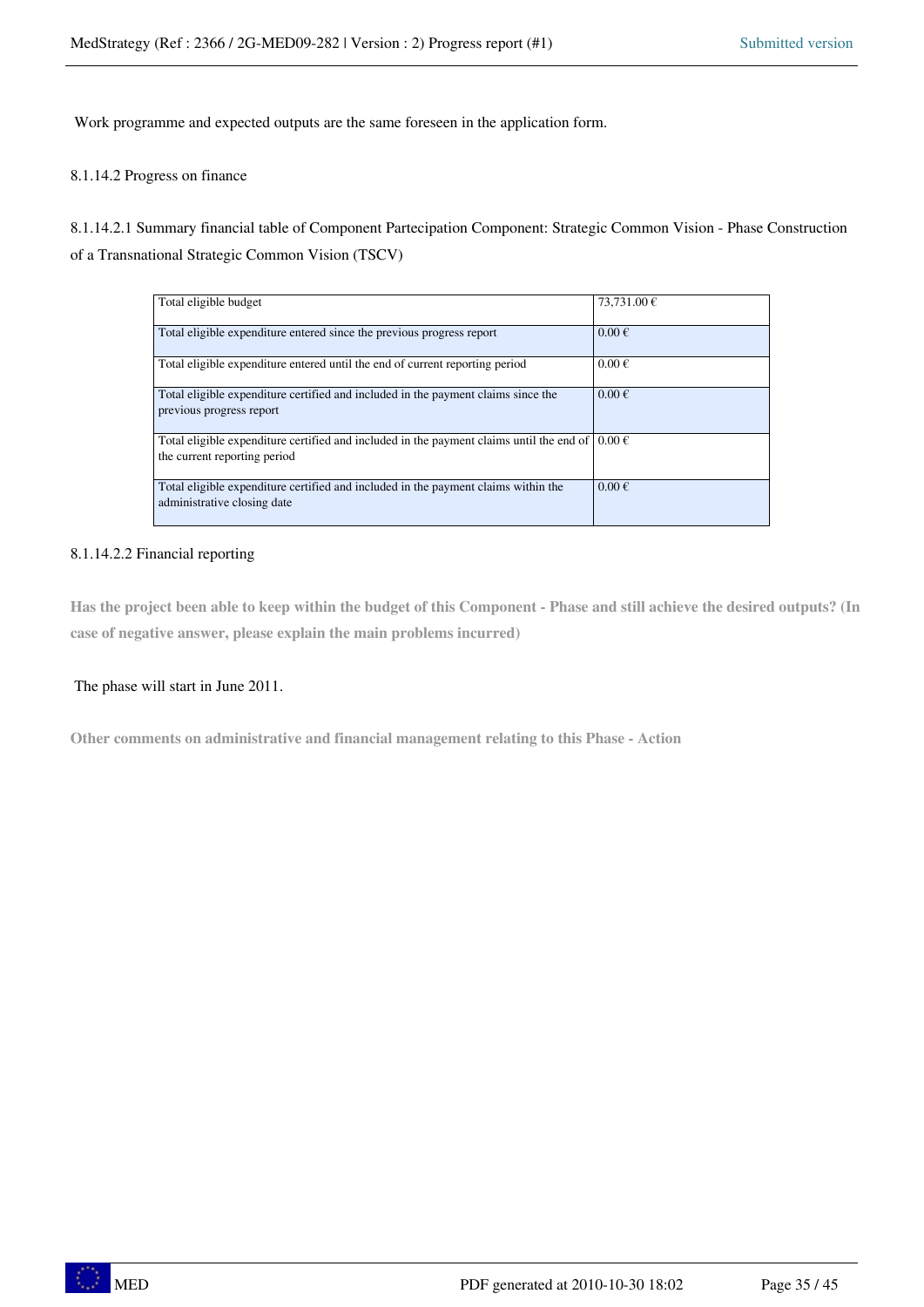Work programme and expected outputs are the same foreseen in the application form.

#### 8.1.14.2 Progress on finance

8.1.14.2.1 Summary financial table of Component Partecipation Component: Strategic Common Vision - Phase Construction of a Transnational Strategic Common Vision (TSCV)

| Total eligible budget                                                                                                                | 73.731.00€ |
|--------------------------------------------------------------------------------------------------------------------------------------|------------|
| Total eligible expenditure entered since the previous progress report                                                                | $0.00 \in$ |
| Total eligible expenditure entered until the end of current reporting period                                                         | $0.00 \in$ |
| Total eligible expenditure certified and included in the payment claims since the<br>previous progress report                        | $0.00 \in$ |
| Total eligible expenditure certified and included in the payment claims until the end of $(0.00 \in$<br>the current reporting period |            |
| Total eligible expenditure certified and included in the payment claims within the<br>administrative closing date                    | $0.00 \in$ |

## 8.1.14.2.2 Financial reporting

**Has the project been able to keep within the budget of this Component - Phase and still achieve the desired outputs? (In case of negative answer, please explain the main problems incurred)**

#### The phase will start in June 2011.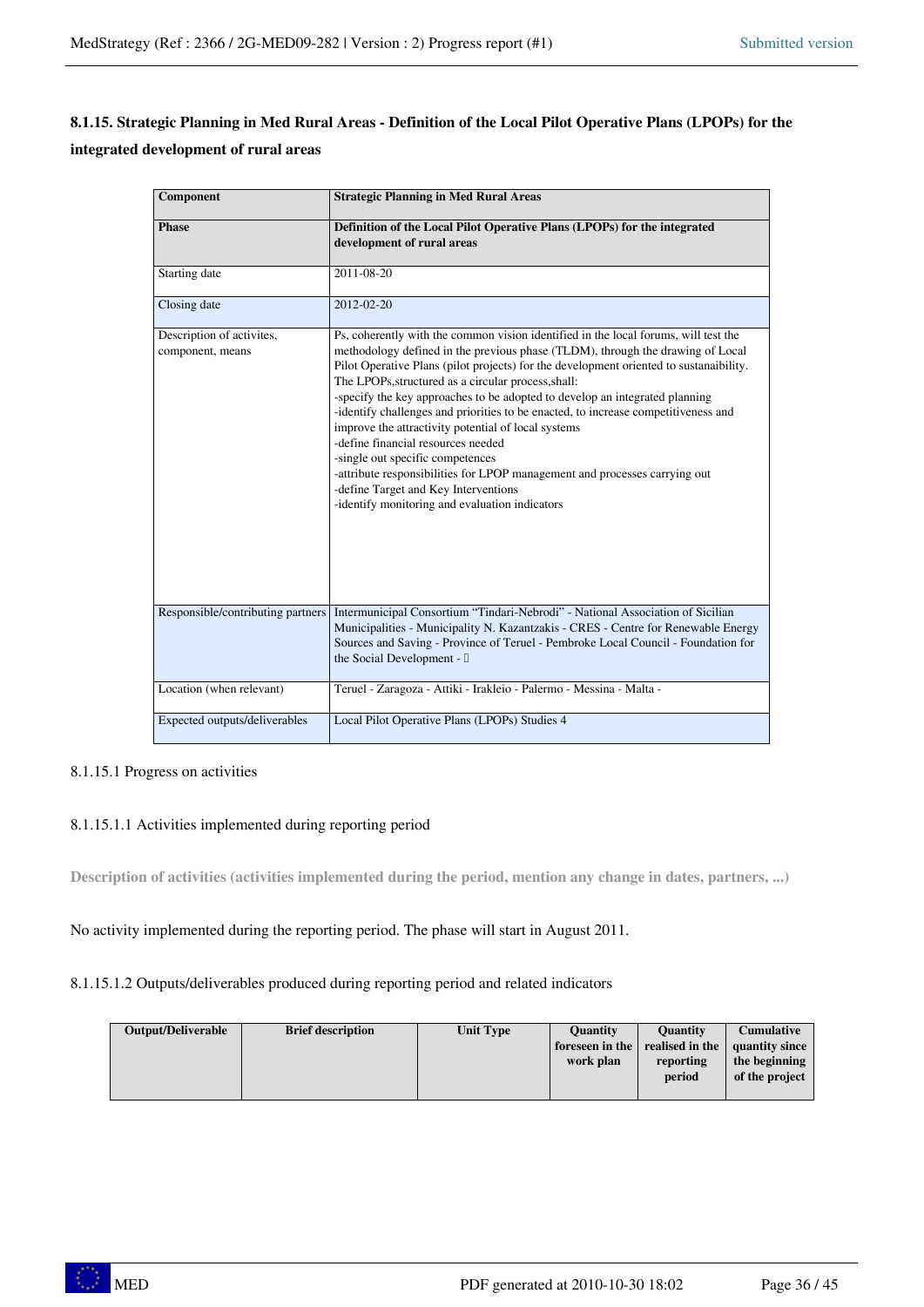## **8.1.15. Strategic Planning in Med Rural Areas - Definition of the Local Pilot Operative Plans (LPOPs) for the integrated development of rural areas**

| Component                                     | <b>Strategic Planning in Med Rural Areas</b>                                                                                                                                                                                                                                                                                                                                                                                                                                                                                                                                                                                                                                                                                                                                                         |
|-----------------------------------------------|------------------------------------------------------------------------------------------------------------------------------------------------------------------------------------------------------------------------------------------------------------------------------------------------------------------------------------------------------------------------------------------------------------------------------------------------------------------------------------------------------------------------------------------------------------------------------------------------------------------------------------------------------------------------------------------------------------------------------------------------------------------------------------------------------|
| <b>Phase</b>                                  | Definition of the Local Pilot Operative Plans (LPOPs) for the integrated<br>development of rural areas                                                                                                                                                                                                                                                                                                                                                                                                                                                                                                                                                                                                                                                                                               |
| Starting date                                 | 2011-08-20                                                                                                                                                                                                                                                                                                                                                                                                                                                                                                                                                                                                                                                                                                                                                                                           |
| Closing date                                  | 2012-02-20                                                                                                                                                                                                                                                                                                                                                                                                                                                                                                                                                                                                                                                                                                                                                                                           |
| Description of activites,<br>component, means | Ps, coherently with the common vision identified in the local forums, will test the<br>methodology defined in the previous phase (TLDM), through the drawing of Local<br>Pilot Operative Plans (pilot projects) for the development oriented to sustanaibility.<br>The LPOPs, structured as a circular process, shall:<br>-specify the key approaches to be adopted to develop an integrated planning<br>-identify challenges and priorities to be enacted, to increase competitiveness and<br>improve the attractivity potential of local systems<br>-define financial resources needed<br>-single out specific competences<br>-attribute responsibilities for LPOP management and processes carrying out<br>-define Target and Key Interventions<br>-identify monitoring and evaluation indicators |
| Responsible/contributing partners             | Intermunicipal Consortium "Tindari-Nebrodi" - National Association of Sicilian<br>Municipalities - Municipality N. Kazantzakis - CRES - Centre for Renewable Energy<br>Sources and Saving - Province of Teruel - Pembroke Local Council - Foundation for<br>the Social Development - []                                                                                                                                                                                                                                                                                                                                                                                                                                                                                                              |
| Location (when relevant)                      | Teruel - Zaragoza - Attiki - Irakleio - Palermo - Messina - Malta -                                                                                                                                                                                                                                                                                                                                                                                                                                                                                                                                                                                                                                                                                                                                  |
| Expected outputs/deliverables                 | Local Pilot Operative Plans (LPOPs) Studies 4                                                                                                                                                                                                                                                                                                                                                                                                                                                                                                                                                                                                                                                                                                                                                        |

## 8.1.15.1 Progress on activities

## 8.1.15.1.1 Activities implemented during reporting period

**Description of activities (activities implemented during the period, mention any change in dates, partners, ...)**

## No activity implemented during the reporting period. The phase will start in August 2011.

## 8.1.15.1.2 Outputs/deliverables produced during reporting period and related indicators

|  | <b>Output/Deliverable</b> | <b>Brief description</b> | <b>Unit Type</b> | <b>Quantity</b><br>foreseen in the<br>work plan | <b>Quantity</b><br>reporting<br>period | <b>Cumulative</b><br>realised in the   quantity since<br>the beginning<br>of the project |
|--|---------------------------|--------------------------|------------------|-------------------------------------------------|----------------------------------------|------------------------------------------------------------------------------------------|
|--|---------------------------|--------------------------|------------------|-------------------------------------------------|----------------------------------------|------------------------------------------------------------------------------------------|

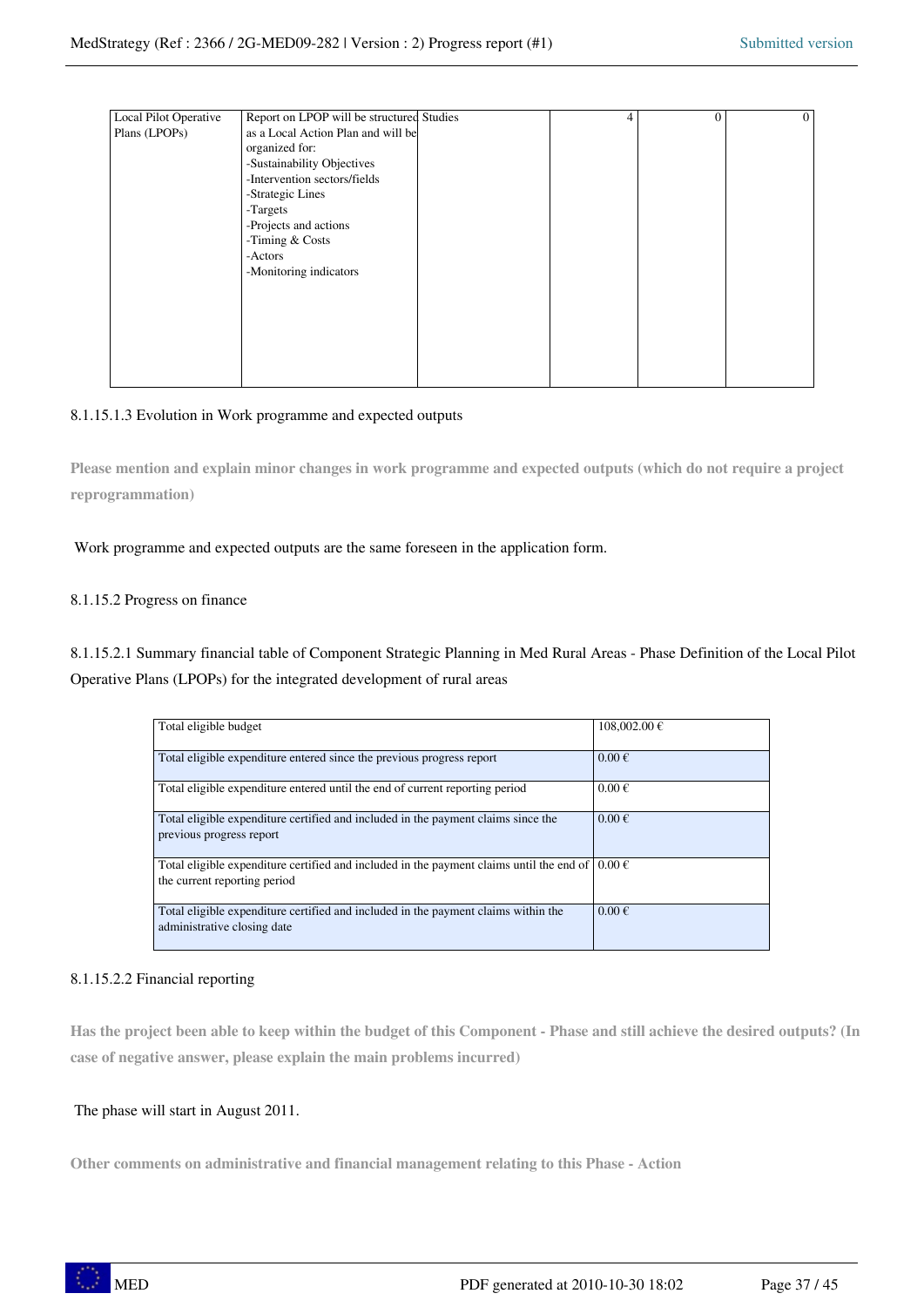| Local Pilot Operative | Report on LPOP will be structured Studies |  | $\theta$ | 0 |
|-----------------------|-------------------------------------------|--|----------|---|
| Plans (LPOPs)         | as a Local Action Plan and will be        |  |          |   |
|                       | organized for:                            |  |          |   |
|                       | -Sustainability Objectives                |  |          |   |
|                       | -Intervention sectors/fields              |  |          |   |
|                       | -Strategic Lines                          |  |          |   |
|                       | -Targets                                  |  |          |   |
|                       | -Projects and actions                     |  |          |   |
|                       | -Timing & Costs                           |  |          |   |
|                       | -Actors                                   |  |          |   |
|                       | -Monitoring indicators                    |  |          |   |
|                       |                                           |  |          |   |
|                       |                                           |  |          |   |
|                       |                                           |  |          |   |
|                       |                                           |  |          |   |
|                       |                                           |  |          |   |
|                       |                                           |  |          |   |
|                       |                                           |  |          |   |

## 8.1.15.1.3 Evolution in Work programme and expected outputs

**Please mention and explain minor changes in work programme and expected outputs (which do not require a project reprogrammation)**

## Work programme and expected outputs are the same foreseen in the application form.

## 8.1.15.2 Progress on finance

8.1.15.2.1 Summary financial table of Component Strategic Planning in Med Rural Areas - Phase Definition of the Local Pilot Operative Plans (LPOPs) for the integrated development of rural areas

| Total eligible budget                                                                                                                | 108,002.00€ |
|--------------------------------------------------------------------------------------------------------------------------------------|-------------|
| Total eligible expenditure entered since the previous progress report                                                                | $0.00 \in$  |
| Total eligible expenditure entered until the end of current reporting period                                                         | $0.00 \in$  |
| Total eligible expenditure certified and included in the payment claims since the<br>previous progress report                        | $0.00 \in$  |
| Total eligible expenditure certified and included in the payment claims until the end of $(0.00 \in$<br>the current reporting period |             |
| Total eligible expenditure certified and included in the payment claims within the<br>administrative closing date                    | $0.00 \in$  |

## 8.1.15.2.2 Financial reporting

**Has the project been able to keep within the budget of this Component - Phase and still achieve the desired outputs? (In case of negative answer, please explain the main problems incurred)**

## The phase will start in August 2011.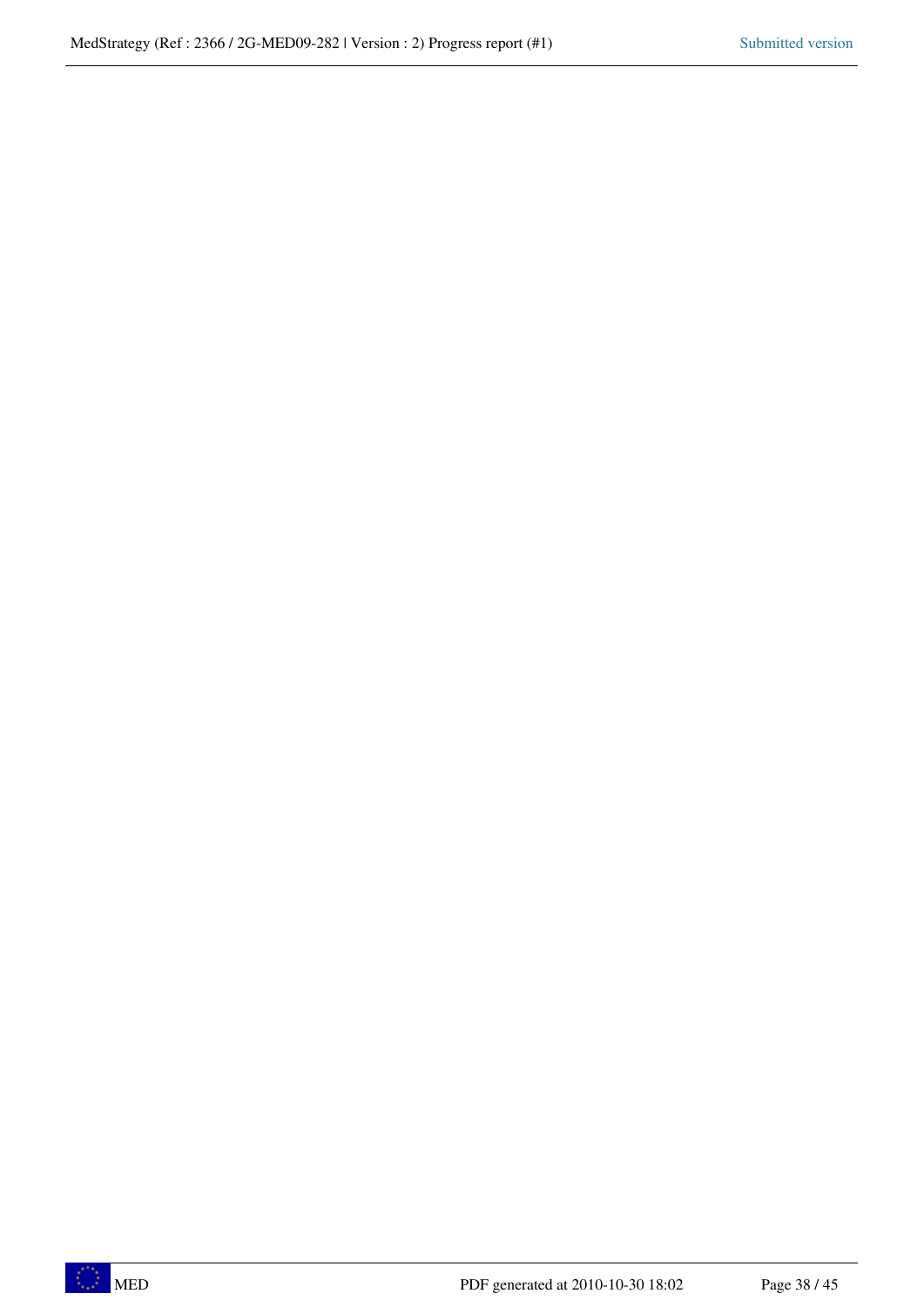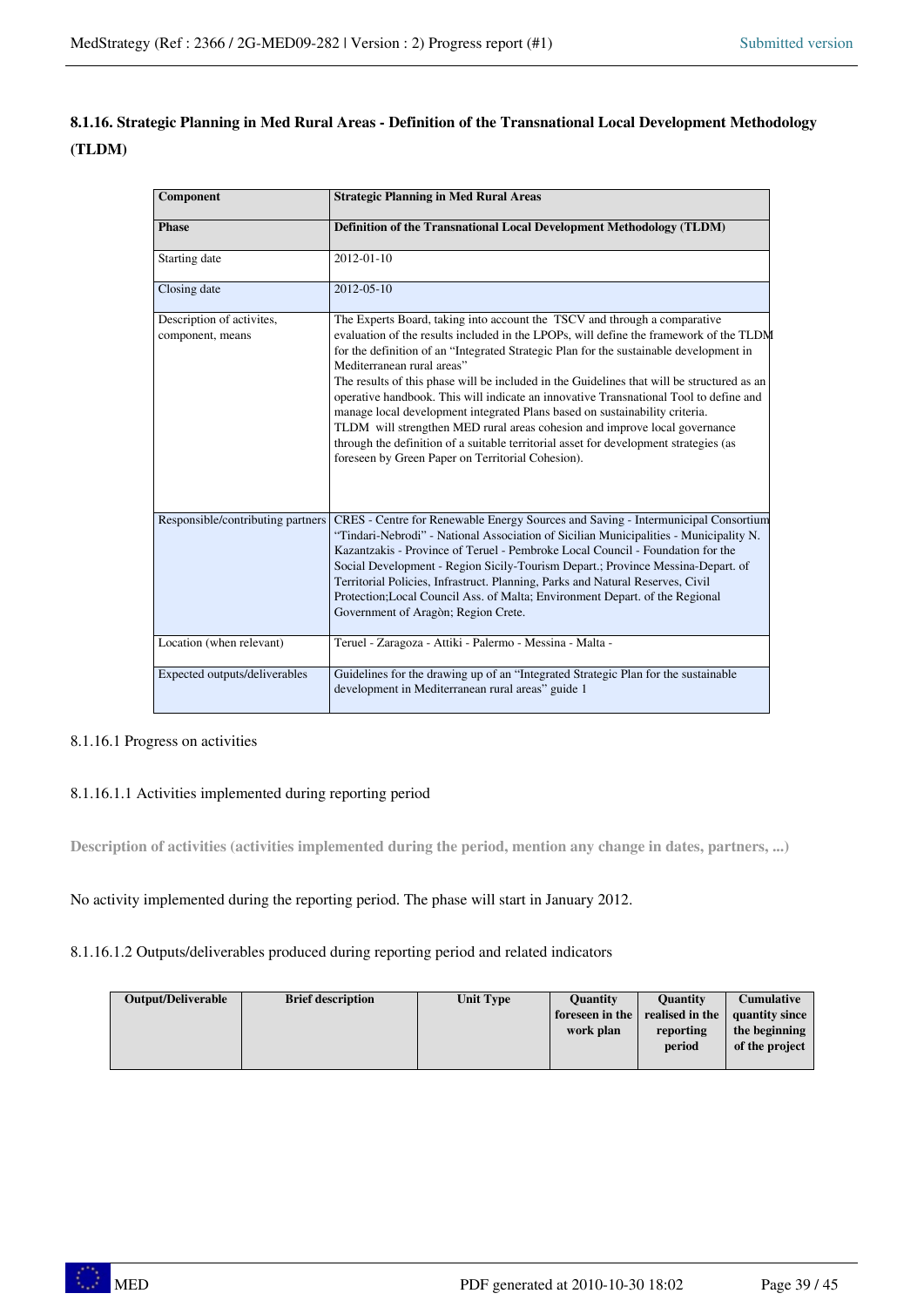## **8.1.16. Strategic Planning in Med Rural Areas - Definition of the Transnational Local Development Methodology (TLDM)**

| Component                                     | <b>Strategic Planning in Med Rural Areas</b>                                                                                                                                                                                                                                                                                                                                                                                                                                                                                                                                                                                                                                                                                                                                                  |
|-----------------------------------------------|-----------------------------------------------------------------------------------------------------------------------------------------------------------------------------------------------------------------------------------------------------------------------------------------------------------------------------------------------------------------------------------------------------------------------------------------------------------------------------------------------------------------------------------------------------------------------------------------------------------------------------------------------------------------------------------------------------------------------------------------------------------------------------------------------|
| <b>Phase</b>                                  | Definition of the Transnational Local Development Methodology (TLDM)                                                                                                                                                                                                                                                                                                                                                                                                                                                                                                                                                                                                                                                                                                                          |
| Starting date                                 | 2012-01-10                                                                                                                                                                                                                                                                                                                                                                                                                                                                                                                                                                                                                                                                                                                                                                                    |
| Closing date                                  | 2012-05-10                                                                                                                                                                                                                                                                                                                                                                                                                                                                                                                                                                                                                                                                                                                                                                                    |
| Description of activites,<br>component, means | The Experts Board, taking into account the TSCV and through a comparative<br>evaluation of the results included in the LPOPs, will define the framework of the TLDM<br>for the definition of an "Integrated Strategic Plan for the sustainable development in<br>Mediterranean rural areas"<br>The results of this phase will be included in the Guidelines that will be structured as an<br>operative handbook. This will indicate an innovative Transnational Tool to define and<br>manage local development integrated Plans based on sustainability criteria.<br>TLDM will strengthen MED rural areas cohesion and improve local governance<br>through the definition of a suitable territorial asset for development strategies (as<br>foreseen by Green Paper on Territorial Cohesion). |
| Responsible/contributing partners             | CRES - Centre for Renewable Energy Sources and Saving - Intermunicipal Consortium<br>"Tindari-Nebrodi" - National Association of Sicilian Municipalities - Municipality N.<br>Kazantzakis - Province of Teruel - Pembroke Local Council - Foundation for the<br>Social Development - Region Sicily-Tourism Depart.; Province Messina-Depart. of<br>Territorial Policies, Infrastruct. Planning, Parks and Natural Reserves, Civil<br>Protection; Local Council Ass. of Malta; Environment Depart. of the Regional<br>Government of Aragòn; Region Crete.                                                                                                                                                                                                                                      |
| Location (when relevant)                      | Teruel - Zaragoza - Attiki - Palermo - Messina - Malta -                                                                                                                                                                                                                                                                                                                                                                                                                                                                                                                                                                                                                                                                                                                                      |
| Expected outputs/deliverables                 | Guidelines for the drawing up of an "Integrated Strategic Plan for the sustainable<br>development in Mediterranean rural areas" guide 1                                                                                                                                                                                                                                                                                                                                                                                                                                                                                                                                                                                                                                                       |

## 8.1.16.1 Progress on activities

## 8.1.16.1.1 Activities implemented during reporting period

**Description of activities (activities implemented during the period, mention any change in dates, partners, ...)**

No activity implemented during the reporting period. The phase will start in January 2012.

## 8.1.16.1.2 Outputs/deliverables produced during reporting period and related indicators

| Output/Deliverable | <b>Brief description</b> | Unit Type | <b>Quantity</b><br>foreseen in the<br>work plan | <b>Quantity</b><br>reporting<br>period | <b>Cumulative</b><br>realised in the quantity since<br>the beginning<br>of the project |
|--------------------|--------------------------|-----------|-------------------------------------------------|----------------------------------------|----------------------------------------------------------------------------------------|
|--------------------|--------------------------|-----------|-------------------------------------------------|----------------------------------------|----------------------------------------------------------------------------------------|

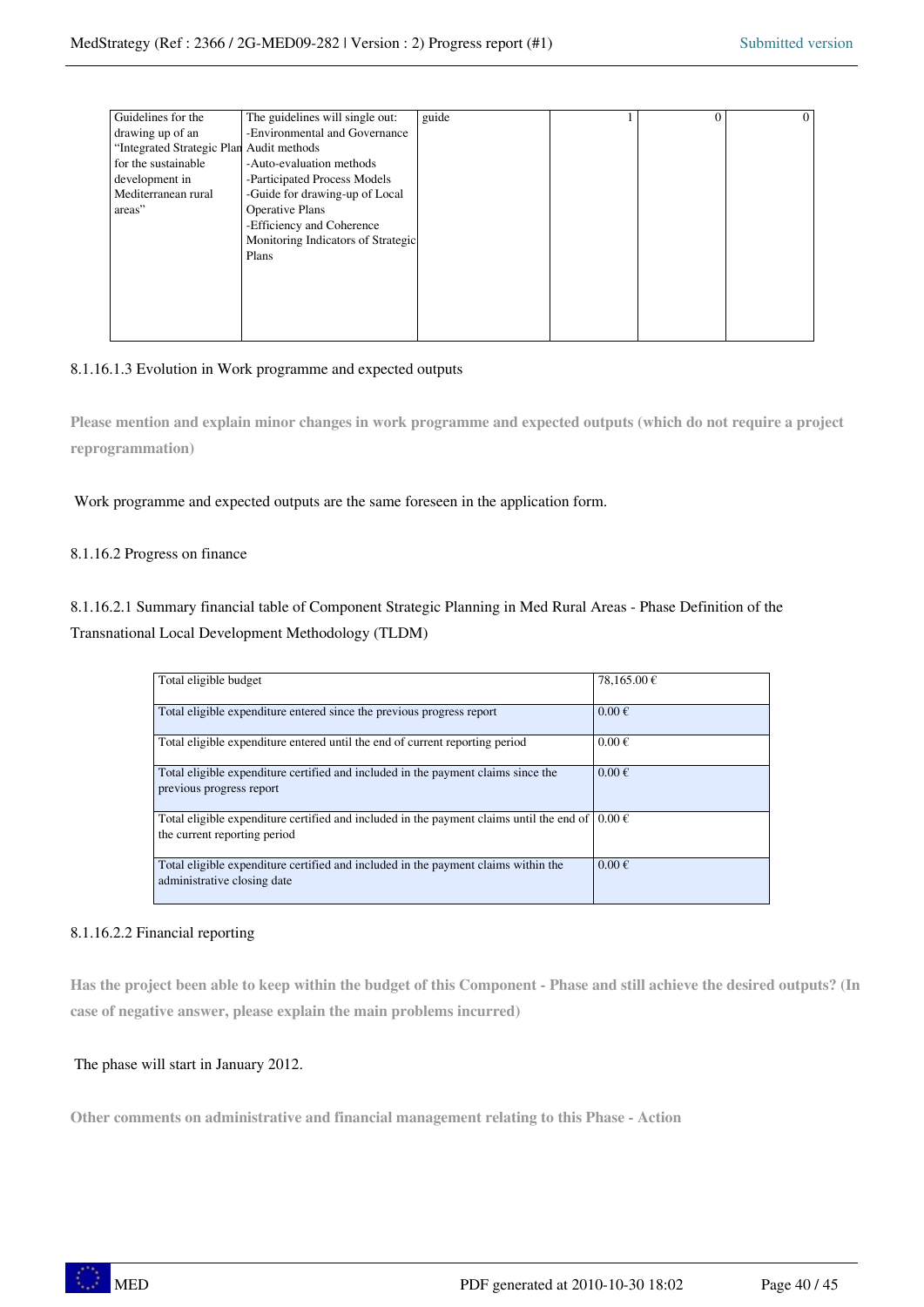| Guidelines for the                       | The guidelines will single out:    | guide | $\Omega$ | $_{0}$ |
|------------------------------------------|------------------------------------|-------|----------|--------|
| drawing up of an                         | -Environmental and Governance      |       |          |        |
| "Integrated Strategic Plan Audit methods |                                    |       |          |        |
| for the sustainable                      | -Auto-evaluation methods           |       |          |        |
| development in                           | -Participated Process Models       |       |          |        |
| Mediterranean rural                      | -Guide for drawing-up of Local     |       |          |        |
| areas"                                   | <b>Operative Plans</b>             |       |          |        |
|                                          | -Efficiency and Coherence          |       |          |        |
|                                          | Monitoring Indicators of Strategic |       |          |        |
|                                          | Plans                              |       |          |        |
|                                          |                                    |       |          |        |
|                                          |                                    |       |          |        |
|                                          |                                    |       |          |        |
|                                          |                                    |       |          |        |
|                                          |                                    |       |          |        |

## 8.1.16.1.3 Evolution in Work programme and expected outputs

**Please mention and explain minor changes in work programme and expected outputs (which do not require a project reprogrammation)**

Work programme and expected outputs are the same foreseen in the application form.

#### 8.1.16.2 Progress on finance

8.1.16.2.1 Summary financial table of Component Strategic Planning in Med Rural Areas - Phase Definition of the Transnational Local Development Methodology (TLDM)

| Total eligible budget                                                                                                    | 78,165.00€ |
|--------------------------------------------------------------------------------------------------------------------------|------------|
| Total eligible expenditure entered since the previous progress report                                                    | $0.00 \in$ |
| Total eligible expenditure entered until the end of current reporting period                                             | $0.00 \in$ |
| Total eligible expenditure certified and included in the payment claims since the<br>previous progress report            | $0.00 \in$ |
| Total eligible expenditure certified and included in the payment claims until the end of<br>the current reporting period | $0.00 \in$ |
| Total eligible expenditure certified and included in the payment claims within the<br>administrative closing date        | $0.00 \in$ |

#### 8.1.16.2.2 Financial reporting

**Has the project been able to keep within the budget of this Component - Phase and still achieve the desired outputs? (In case of negative answer, please explain the main problems incurred)**

## The phase will start in January 2012.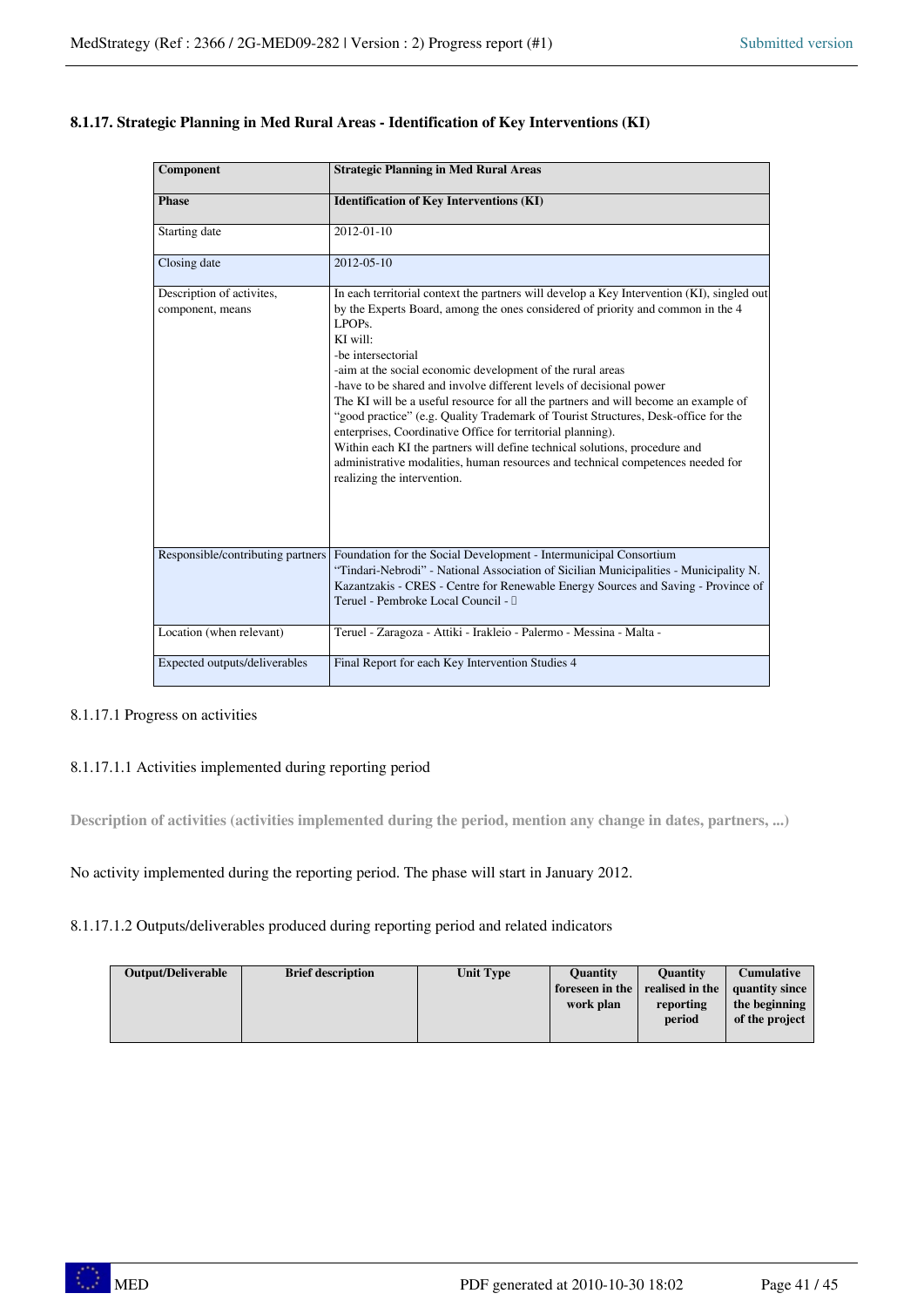| Component                         | Strategic Planning in Med Rural Areas                                                                                                                                      |
|-----------------------------------|----------------------------------------------------------------------------------------------------------------------------------------------------------------------------|
| <b>Phase</b>                      | <b>Identification of Key Interventions (KI)</b>                                                                                                                            |
| Starting date                     | 2012-01-10                                                                                                                                                                 |
| Closing date                      | 2012-05-10                                                                                                                                                                 |
| Description of activites,         | In each territorial context the partners will develop a Key Intervention (KI), singled out                                                                                 |
| component, means                  | by the Experts Board, among the ones considered of priority and common in the 4<br>LPOPs.<br>KI will:                                                                      |
|                                   | -be intersectorial                                                                                                                                                         |
|                                   | -aim at the social economic development of the rural areas<br>-have to be shared and involve different levels of decisional power                                          |
|                                   | The KI will be a useful resource for all the partners and will become an example of                                                                                        |
|                                   | "good practice" (e.g. Quality Trademark of Tourist Structures, Desk-office for the<br>enterprises, Coordinative Office for territorial planning).                          |
|                                   | Within each KI the partners will define technical solutions, procedure and                                                                                                 |
|                                   | administrative modalities, human resources and technical competences needed for<br>realizing the intervention.                                                             |
|                                   |                                                                                                                                                                            |
| Responsible/contributing partners | Foundation for the Social Development - Intermunicipal Consortium                                                                                                          |
|                                   | "Tindari-Nebrodi" - National Association of Sicilian Municipalities - Municipality N.<br>Kazantzakis - CRES - Centre for Renewable Energy Sources and Saving - Province of |
|                                   | Teruel - Pembroke Local Council - []                                                                                                                                       |
| Location (when relevant)          | Teruel - Zaragoza - Attiki - Irakleio - Palermo - Messina - Malta -                                                                                                        |
| Expected outputs/deliverables     | Final Report for each Key Intervention Studies 4                                                                                                                           |

## **8.1.17. Strategic Planning in Med Rural Areas - Identification of Key Interventions (KI)**

## 8.1.17.1 Progress on activities

## 8.1.17.1.1 Activities implemented during reporting period

**Description of activities (activities implemented during the period, mention any change in dates, partners, ...)**

No activity implemented during the reporting period. The phase will start in January 2012.

## 8.1.17.1.2 Outputs/deliverables produced during reporting period and related indicators

| <b>Output/Deliverable</b> | <b>Brief description</b> | Unit Type | <b>Quantity</b><br>work plan | <b>Ouantity</b><br>foreseen in the $\vert$ realised in the $\vert$ quantity since<br>reporting<br>period | <b>Cumulative</b><br>the beginning<br>of the project |
|---------------------------|--------------------------|-----------|------------------------------|----------------------------------------------------------------------------------------------------------|------------------------------------------------------|
|---------------------------|--------------------------|-----------|------------------------------|----------------------------------------------------------------------------------------------------------|------------------------------------------------------|

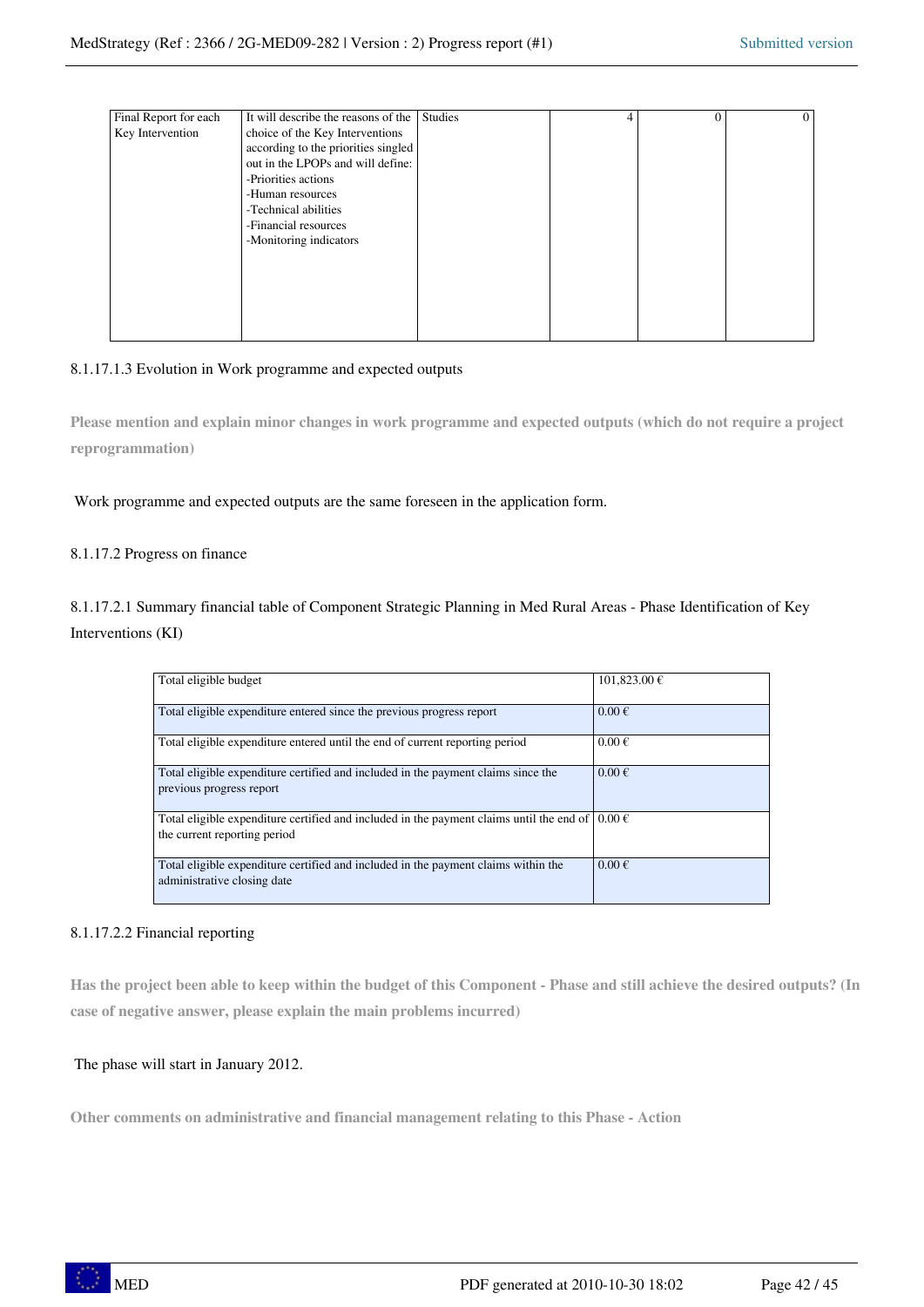| Final Report for each | It will describe the reasons of the | <b>Studies</b> | 0 |  |
|-----------------------|-------------------------------------|----------------|---|--|
| Key Intervention      | choice of the Key Interventions     |                |   |  |
|                       | according to the priorities singled |                |   |  |
|                       | out in the LPOPs and will define:   |                |   |  |
|                       | -Priorities actions                 |                |   |  |
|                       | -Human resources                    |                |   |  |
|                       | -Technical abilities                |                |   |  |
|                       | -Financial resources                |                |   |  |
|                       | -Monitoring indicators              |                |   |  |
|                       |                                     |                |   |  |
|                       |                                     |                |   |  |
|                       |                                     |                |   |  |
|                       |                                     |                |   |  |
|                       |                                     |                |   |  |
|                       |                                     |                |   |  |

## 8.1.17.1.3 Evolution in Work programme and expected outputs

**Please mention and explain minor changes in work programme and expected outputs (which do not require a project reprogrammation)**

Work programme and expected outputs are the same foreseen in the application form.

## 8.1.17.2 Progress on finance

8.1.17.2.1 Summary financial table of Component Strategic Planning in Med Rural Areas - Phase Identification of Key Interventions (KI)

| Total eligible budget                                                                                                                | 101,823.00 € |
|--------------------------------------------------------------------------------------------------------------------------------------|--------------|
| Total eligible expenditure entered since the previous progress report                                                                | $0.00 \in$   |
| Total eligible expenditure entered until the end of current reporting period                                                         | $0.00 \in$   |
| Total eligible expenditure certified and included in the payment claims since the<br>previous progress report                        | $0.00 \in$   |
| Total eligible expenditure certified and included in the payment claims until the end of $(0.00 \in$<br>the current reporting period |              |
| Total eligible expenditure certified and included in the payment claims within the<br>administrative closing date                    | $0.00 \in$   |

## 8.1.17.2.2 Financial reporting

**Has the project been able to keep within the budget of this Component - Phase and still achieve the desired outputs? (In case of negative answer, please explain the main problems incurred)**

## The phase will start in January 2012.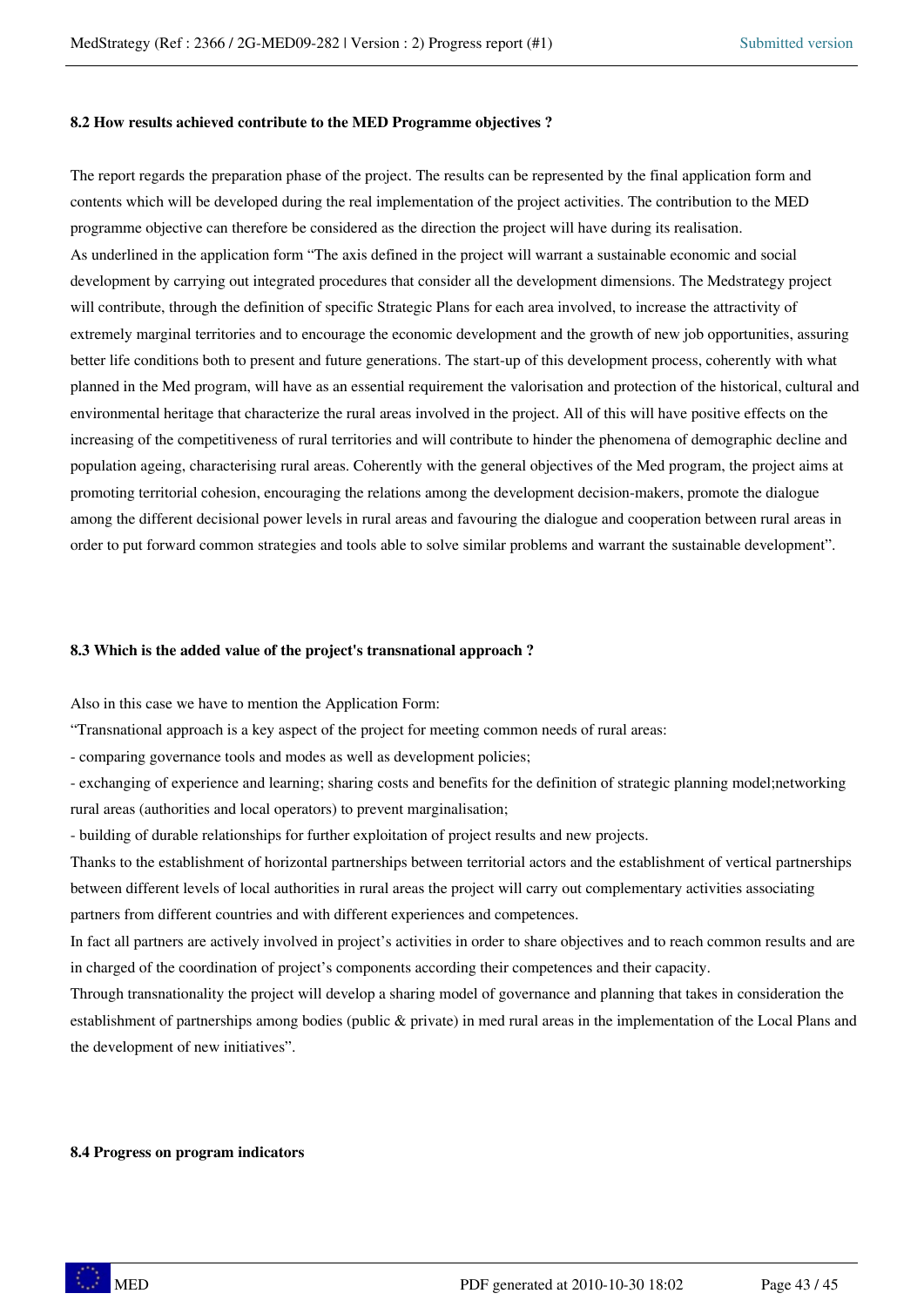#### **8.2 How results achieved contribute to the MED Programme objectives ?**

The report regards the preparation phase of the project. The results can be represented by the final application form and contents which will be developed during the real implementation of the project activities. The contribution to the MED programme objective can therefore be considered as the direction the project will have during its realisation. As underlined in the application form "The axis defined in the project will warrant a sustainable economic and social development by carrying out integrated procedures that consider all the development dimensions. The Medstrategy project will contribute, through the definition of specific Strategic Plans for each area involved, to increase the attractivity of extremely marginal territories and to encourage the economic development and the growth of new job opportunities, assuring better life conditions both to present and future generations. The start-up of this development process, coherently with what planned in the Med program, will have as an essential requirement the valorisation and protection of the historical, cultural and environmental heritage that characterize the rural areas involved in the project. All of this will have positive effects on the increasing of the competitiveness of rural territories and will contribute to hinder the phenomena of demographic decline and population ageing, characterising rural areas. Coherently with the general objectives of the Med program, the project aims at promoting territorial cohesion, encouraging the relations among the development decision-makers, promote the dialogue among the different decisional power levels in rural areas and favouring the dialogue and cooperation between rural areas in order to put forward common strategies and tools able to solve similar problems and warrant the sustainable development".

#### **8.3 Which is the added value of the project's transnational approach ?**

Also in this case we have to mention the Application Form:

"Transnational approach is a key aspect of the project for meeting common needs of rural areas:

- comparing governance tools and modes as well as development policies;

- exchanging of experience and learning; sharing costs and benefits for the definition of strategic planning model;networking rural areas (authorities and local operators) to prevent marginalisation;

- building of durable relationships for further exploitation of project results and new projects.

Thanks to the establishment of horizontal partnerships between territorial actors and the establishment of vertical partnerships between different levels of local authorities in rural areas the project will carry out complementary activities associating partners from different countries and with different experiences and competences.

In fact all partners are actively involved in project's activities in order to share objectives and to reach common results and are in charged of the coordination of project's components according their competences and their capacity.

Through transnationality the project will develop a sharing model of governance and planning that takes in consideration the establishment of partnerships among bodies (public & private) in med rural areas in the implementation of the Local Plans and the development of new initiatives".

#### **8.4 Progress on program indicators**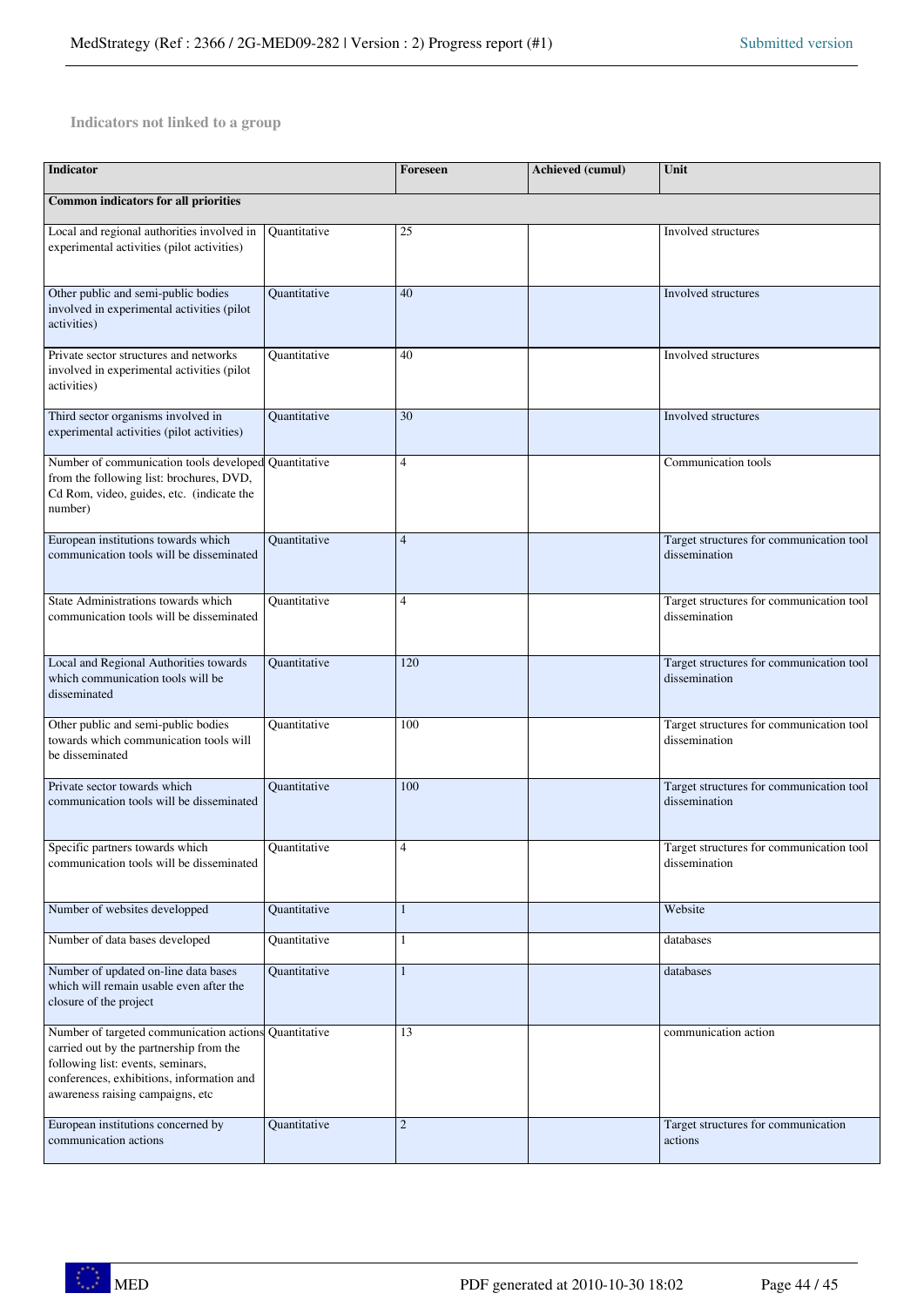**Indicators not linked to a group**

| <b>Indicator</b>                                                                                                                                                                                                       |              | Foreseen       | Achieved (cumul) | Unit                                                      |  |  |
|------------------------------------------------------------------------------------------------------------------------------------------------------------------------------------------------------------------------|--------------|----------------|------------------|-----------------------------------------------------------|--|--|
| <b>Common indicators for all priorities</b>                                                                                                                                                                            |              |                |                  |                                                           |  |  |
| Local and regional authorities involved in<br>experimental activities (pilot activities)                                                                                                                               | Quantitative | 25             |                  | Involved structures                                       |  |  |
| Other public and semi-public bodies<br>involved in experimental activities (pilot<br>activities)                                                                                                                       | Quantitative | 40             |                  | Involved structures                                       |  |  |
| Private sector structures and networks<br>involved in experimental activities (pilot<br>activities)                                                                                                                    | Quantitative | 40             |                  | Involved structures                                       |  |  |
| Third sector organisms involved in<br>experimental activities (pilot activities)                                                                                                                                       | Quantitative | 30             |                  | Involved structures                                       |  |  |
| Number of communication tools developed<br>from the following list: brochures, DVD,<br>Cd Rom, video, guides, etc. (indicate the<br>number)                                                                            | Quantitative | $\overline{4}$ |                  | Communication tools                                       |  |  |
| European institutions towards which<br>communication tools will be disseminated                                                                                                                                        | Quantitative | $\overline{4}$ |                  | Target structures for communication tool<br>dissemination |  |  |
| State Administrations towards which<br>communication tools will be disseminated                                                                                                                                        | Quantitative | $\overline{4}$ |                  | Target structures for communication tool<br>dissemination |  |  |
| Local and Regional Authorities towards<br>which communication tools will be<br>disseminated                                                                                                                            | Quantitative | 120            |                  | Target structures for communication tool<br>dissemination |  |  |
| Other public and semi-public bodies<br>towards which communication tools will<br>be disseminated                                                                                                                       | Quantitative | 100            |                  | Target structures for communication tool<br>dissemination |  |  |
| Private sector towards which<br>communication tools will be disseminated                                                                                                                                               | Quantitative | 100            |                  | Target structures for communication tool<br>dissemination |  |  |
| Specific partners towards which<br>communication tools will be disseminated                                                                                                                                            | Quantitative | $\overline{4}$ |                  | Target structures for communication tool<br>dissemination |  |  |
| Number of websites developped                                                                                                                                                                                          | Quantitative | $\mathbf{1}$   |                  | Website                                                   |  |  |
| Number of data bases developed                                                                                                                                                                                         | Quantitative | $\mathbf{1}$   |                  | databases                                                 |  |  |
| Number of updated on-line data bases<br>which will remain usable even after the<br>closure of the project                                                                                                              | Quantitative | $\mathbf{1}$   |                  | databases                                                 |  |  |
| Number of targeted communication actions Quantitative<br>carried out by the partnership from the<br>following list: events, seminars,<br>conferences, exhibitions, information and<br>awareness raising campaigns, etc |              | 13             |                  | communication action                                      |  |  |
| European institutions concerned by<br>communication actions                                                                                                                                                            | Quantitative | $\overline{2}$ |                  | Target structures for communication<br>actions            |  |  |